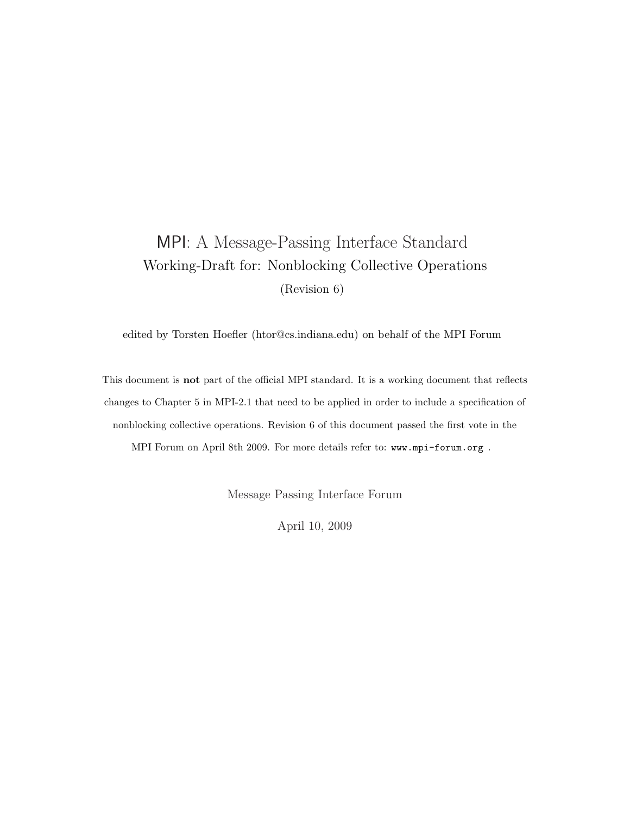# MPI: A Message-Passing Interface Standard Working-Draft for: Nonblocking Collective Operations (Revision 6)

edited by Torsten Hoefler (htor@cs.indiana.edu) on behalf of the MPI Forum

This document is not part of the official MPI standard. It is a working document that reflects changes to Chapter 5 in MPI-2.1 that need to be applied in order to include a specification of nonblocking collective operations. Revision 6 of this document passed the first vote in the MPI Forum on April 8th 2009. For more details refer to: www.mpi-forum.org .

Message Passing Interface Forum

April 10, 2009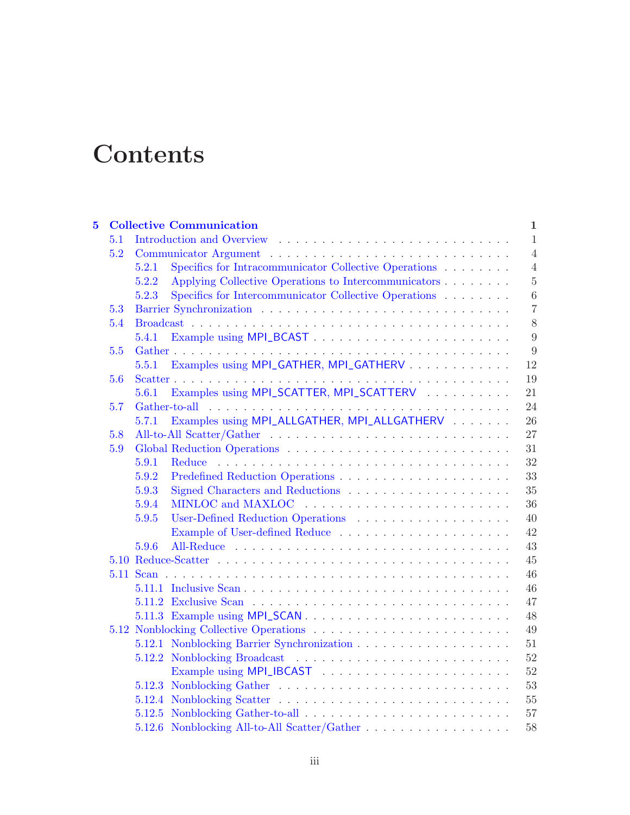# **Contents**

| $\overline{\mathbf{5}}$ |     | <b>Collective Communication</b>                                                    | $\mathbf{1}$   |
|-------------------------|-----|------------------------------------------------------------------------------------|----------------|
|                         | 5.1 |                                                                                    | $\mathbf{1}$   |
|                         | 5.2 |                                                                                    | $\overline{4}$ |
|                         |     | Specifics for Intracommunicator Collective Operations<br>5.2.1                     | $\overline{4}$ |
|                         |     | Applying Collective Operations to Intercommunicators<br>5.2.2                      | $\overline{5}$ |
|                         |     | Specifics for Intercommunicator Collective Operations<br>5.2.3                     | $\,6\,$        |
|                         | 5.3 |                                                                                    | $\overline{7}$ |
|                         | 5.4 |                                                                                    | $8\,$          |
|                         |     | 5.4.1                                                                              | 9              |
|                         | 5.5 |                                                                                    | $9\phantom{.}$ |
|                         |     | Examples using MPI_GATHER, MPI_GATHERV<br>5.5.1                                    | 12             |
|                         | 5.6 |                                                                                    | 19             |
|                         |     | Examples using MPI_SCATTER, MPI_SCATTERV<br>5.6.1                                  | 21             |
|                         | 5.7 |                                                                                    | 24             |
|                         |     | Examples using MPI_ALLGATHER, MPI_ALLGATHERV<br>5.7.1                              | 26             |
|                         | 5.8 |                                                                                    | 27             |
|                         | 5.9 |                                                                                    | 31             |
|                         |     | 5.9.1<br>Reduce                                                                    | 32             |
|                         |     | 5.9.2                                                                              | 33             |
|                         |     | 5.9.3                                                                              | 35             |
|                         |     | 5.9.4                                                                              | 36             |
|                         |     | 5.9.5                                                                              | 40             |
|                         |     |                                                                                    | 42             |
|                         |     | 5.9.6                                                                              | 43             |
|                         |     |                                                                                    | 45             |
|                         |     |                                                                                    | 46             |
|                         |     |                                                                                    | 46             |
|                         |     |                                                                                    | 47             |
|                         |     |                                                                                    | 48             |
|                         |     |                                                                                    | 49             |
|                         |     |                                                                                    | 51             |
|                         |     |                                                                                    | $52\,$         |
|                         |     |                                                                                    | 52             |
|                         |     |                                                                                    | 53             |
|                         |     |                                                                                    | 55             |
|                         |     |                                                                                    | 57             |
|                         |     | 5.12.6 Nonblocking All-to-All Scatter/Gather $\dots \dots \dots \dots \dots \dots$ | 58             |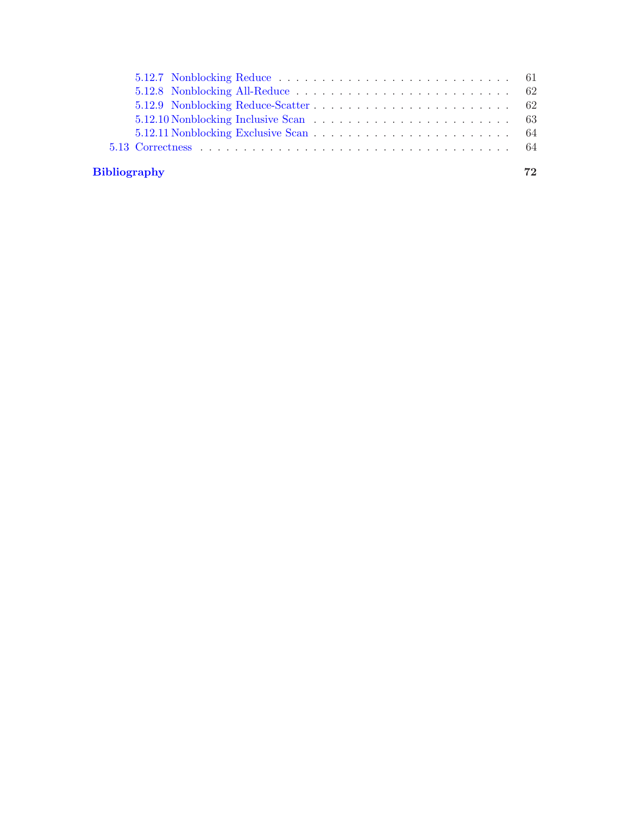# [Bibliography](#page-74-0) 72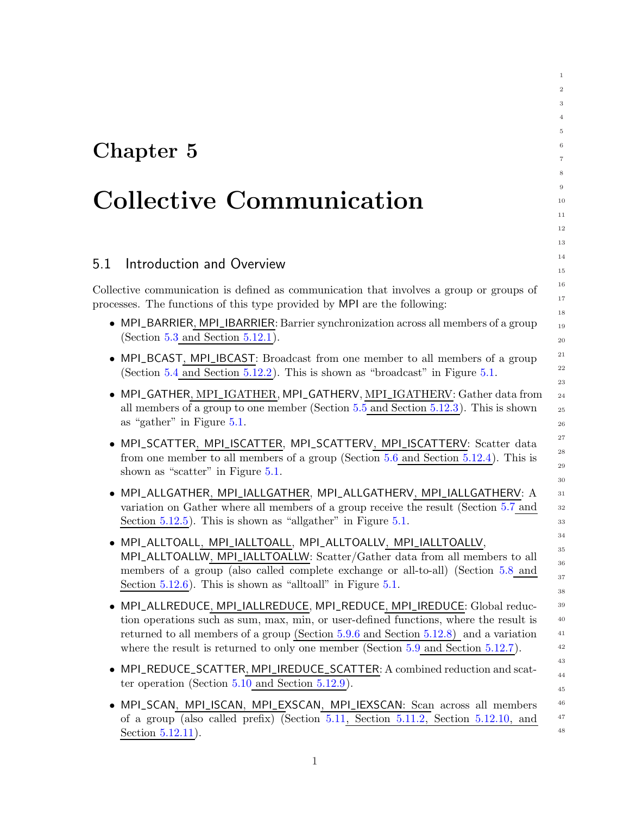# <span id="page-4-0"></span>Chapter 5

# Collective Communication

## <span id="page-4-1"></span>5.1 Introduction and Overview

Collective communication is defined as communication that involves a group or groups of processes. The functions of this type provided by MPI are the following:

• MPI\_BARRIER, MPI\_IBARRIER: Barrier synchronization across all members of a group (Section  $5.3$  and Section  $5.12.1$ ).

- MPI\_BCAST, MPI\_IBCAST: Broadcast from one member to all members of a group (Section [5.4](#page-11-0) and Section [5.12.2\)](#page-55-0). This is shown as "broadcast" in Figure [5.1.](#page-6-0)
- MPI\_GATHER, MPI\_IGATHER, MPI\_GATHERV, MPI\_IGATHERV: Gather data from all members of a group to one member (Section [5.5](#page-12-1) and Section [5.12.3\)](#page-56-0). This is shown as "gather" in Figure [5.1.](#page-6-0)
- MPI\_SCATTER, MPI\_ISCATTER, MPI\_SCATTERV, MPI\_ISCATTERV: Scatter data from one member to all members of a group (Section [5.6](#page-22-0) and Section [5.12.4\)](#page-58-0). This is shown as "scatter" in Figure [5.1.](#page-6-0)
- MPI\_ALLGATHER, MPI\_IALLGATHER, MPI\_ALLGATHERV, MPI\_IALLGATHERV: A variation on Gather where all members of a group receive the result (Section [5.7](#page-27-0) and Section [5.12.5\)](#page-60-0). This is shown as "allgather" in Figure [5.1.](#page-6-0)
- MPI\_ALLTOALL, MPI\_IALLTOALL, MPI\_ALLTOALLV, MPI\_IALLTOALLV, MPI\_ALLTOALLW, MPI\_IALLTOALLW: Scatter/Gather data from all members to all members of a group (also called complete exchange or all-to-all) (Section [5.8](#page-30-0) and Section [5.12.6\)](#page-61-0). This is shown as "alltoall" in Figure [5.1.](#page-6-0)
- MPI\_ALLREDUCE, MPI\_IALLREDUCE, MPI\_REDUCE, MPI\_IREDUCE: Global reduction operations such as sum, max, min, or user-defined functions, where the result is returned to all members of a group (Section [5.9.6](#page-46-0) and Section [5.12.8\)](#page-65-0) and a variation where the result is returned to only one member (Section [5.9](#page-34-0) and Section [5.12.7\)](#page-64-0).
- MPI\_REDUCE\_SCATTER, MPI\_IREDUCE\_SCATTER: A combined reduction and scatter operation (Section [5.10](#page-48-0) and Section [5.12.9\)](#page-65-1).
- MPI\_SCAN, MPI\_ISCAN, MPI\_EXSCAN, MPI\_IEXSCAN: Scan across all members of a group (also called prefix) (Section [5.11,](#page-49-0) Section [5.11.2,](#page-50-0) Section [5.12.10,](#page-66-0) and Section [5.12.11\)](#page-67-0).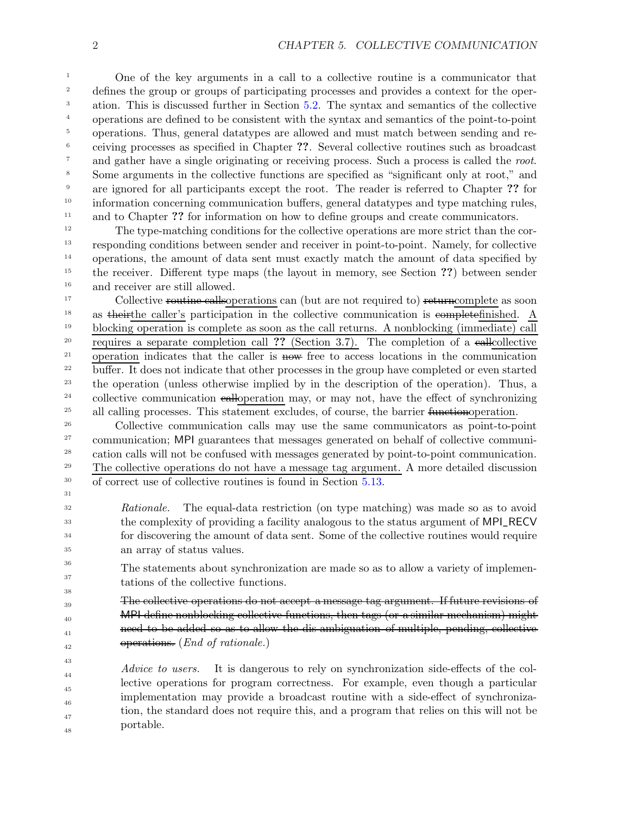One of the key arguments in a call to a collective routine is a communicator that defines the group or groups of participating processes and provides a context for the operation. This is discussed further in Section [5.2.](#page-7-0) The syntax and semantics of the collective operations are defined to be consistent with the syntax and semantics of the point-to-point operations. Thus, general datatypes are allowed and must match between sending and receiving processes as specified in Chapter ??. Several collective routines such as broadcast and gather have a single originating or receiving process. Such a process is called the root. Some arguments in the collective functions are specified as "significant only at root," and are ignored for all participants except the root. The reader is referred to Chapter ?? for information concerning communication buffers, general datatypes and type matching rules, and to Chapter ?? for information on how to define groups and create communicators. 1 2 3 4 5 6 7 8 9 10 11

The type-matching conditions for the collective operations are more strict than the corresponding conditions between sender and receiver in point-to-point. Namely, for collective operations, the amount of data sent must exactly match the amount of data specified by the receiver. Different type maps (the layout in memory, see Section ??) between sender and receiver are still allowed. 12 13 14 15 16

Collective routine callsoperations can (but are not required to) returnscomplete as soon as their the caller's participation in the collective communication is complete finished. blocking operation is complete as soon as the call returns. A nonblocking (immediate) call requires a separate completion call ?? (Section 3.7). The completion of a eallcollective operation indicates that the caller is now free to access locations in the communication buffer. It does not indicate that other processes in the group have completed or even started the operation (unless otherwise implied by in the description of the operation). Thus, a collective communication ealloperation may, or may not, have the effect of synchronizing all calling processes. This statement excludes, of course, the barrier <del>function</del>operation. 17 18 19 20 21 22 23 24 25

Collective communication calls may use the same communicators as point-to-point communication; MPI guarantees that messages generated on behalf of collective communication calls will not be confused with messages generated by point-to-point communication. The collective operations do not have a message tag argument. A more detailed discussion of correct use of collective routines is found in Section [5.13.](#page-67-1) 26 27 28 29 30

Rationale. The equal-data restriction (on type matching) was made so as to avoid the complexity of providing a facility analogous to the status argument of MPI\_RECV for discovering the amount of data sent. Some of the collective routines would require an array of status values.

The statements about synchronization are made so as to allow a variety of implementations of the collective functions.

The collective operations do not accept a message tag argument. If future revisions MPI define nonblocking collective functions, then tags (or a similar mechanism) might need to be added so as to allow the dis-ambiguation of multiple, pending, collective operations. (End of rationale.)

Advice to users. It is dangerous to rely on synchronization side-effects of the collective operations for program correctness. For example, even though a particular implementation may provide a broadcast routine with a side-effect of synchronization, the standard does not require this, and a program that relies on this will not be portable. 44 45 46 47 48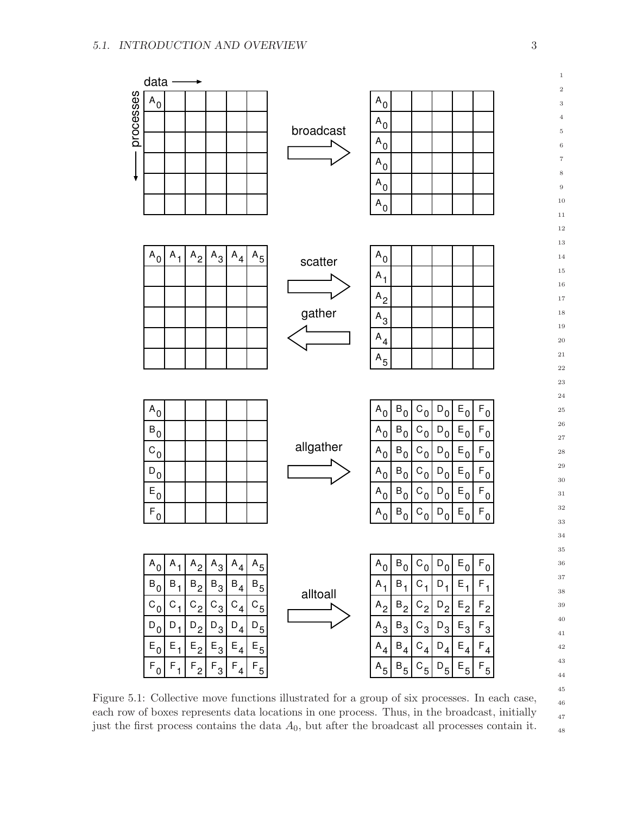

<span id="page-6-0"></span>Figure 5.1: Collective move functions illustrated for a group of six processes. In each case, each row of boxes represents data locations in one process. Thus, in the broadcast, initially just the first process contains the data  $A_0$ , but after the broadcast all processes contain it.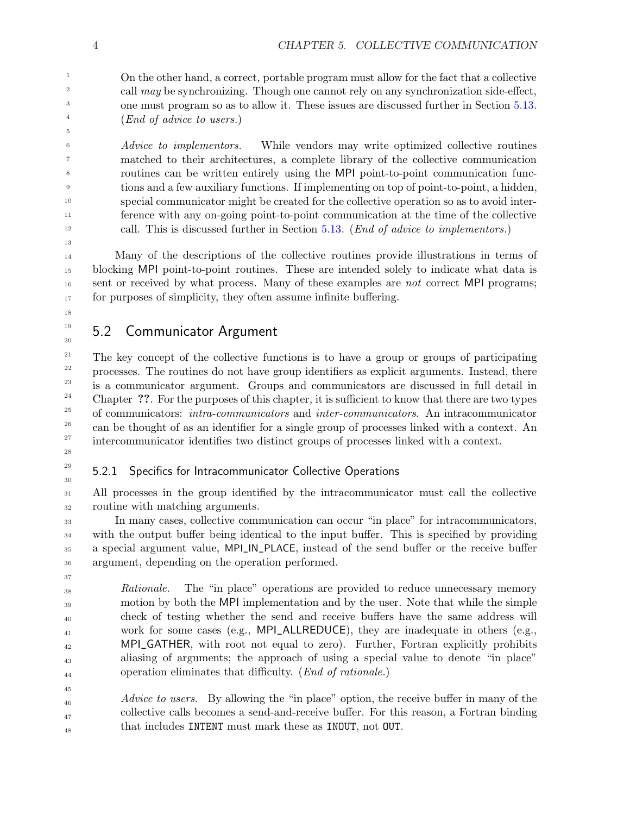On the other hand, a correct, portable program must allow for the fact that a collective call may be synchronizing. Though one cannot rely on any synchronization side-effect, one must program so as to allow it. These issues are discussed further in Section [5.13.](#page-67-1) (End of advice to users.)

Advice to implementors. While vendors may write optimized collective routines matched to their architectures, a complete library of the collective communication routines can be written entirely using the MPI point-to-point communication functions and a few auxiliary functions. If implementing on top of point-to-point, a hidden, special communicator might be created for the collective operation so as to avoid interference with any on-going point-to-point communication at the time of the collective call. This is discussed further in Section [5.13.](#page-67-1) (End of advice to implementors.)

Many of the descriptions of the collective routines provide illustrations in terms of blocking MPI point-to-point routines. These are intended solely to indicate what data is sent or received by what process. Many of these examples are *not* correct MPI programs; for purposes of simplicity, they often assume infinite buffering.

<span id="page-7-0"></span>18 19

20

# 5.2 Communicator Argument

The key concept of the collective functions is to have a group or groups of participating processes. The routines do not have group identifiers as explicit arguments. Instead, there is a communicator argument. Groups and communicators are discussed in full detail in Chapter ??. For the purposes of this chapter, it is sufficient to know that there are two types of communicators: intra-communicators and inter-communicators. An intracommunicator can be thought of as an identifier for a single group of processes linked with a context. An intercommunicator identifies two distinct groups of processes linked with a context. 21 22 23 24 25 26 27

<span id="page-7-1"></span>28 29

30

## 5.2.1 Specifics for Intracommunicator Collective Operations

All processes in the group identified by the intracommunicator must call the collective routine with matching arguments. 31 32

In many cases, collective communication can occur "in place" for intracommunicators, with the output buffer being identical to the input buffer. This is specified by providing a special argument value, MPI\_IN\_PLACE, instead of the send buffer or the receive buffer argument, depending on the operation performed. 33 34 35 36

Rationale. The "in place" operations are provided to reduce unnecessary memory motion by both the MPI implementation and by the user. Note that while the simple check of testing whether the send and receive buffers have the same address will work for some cases (e.g., MPI\_ALLREDUCE), they are inadequate in others (e.g., MPI\_GATHER, with root not equal to zero). Further, Fortran explicitly prohibits aliasing of arguments; the approach of using a special value to denote "in place" operation eliminates that difficulty. (End of rationale.)

Advice to users. By allowing the "in place" option, the receive buffer in many of the collective calls becomes a send-and-receive buffer. For this reason, a Fortran binding that includes INTENT must mark these as INOUT, not OUT. 46 47 48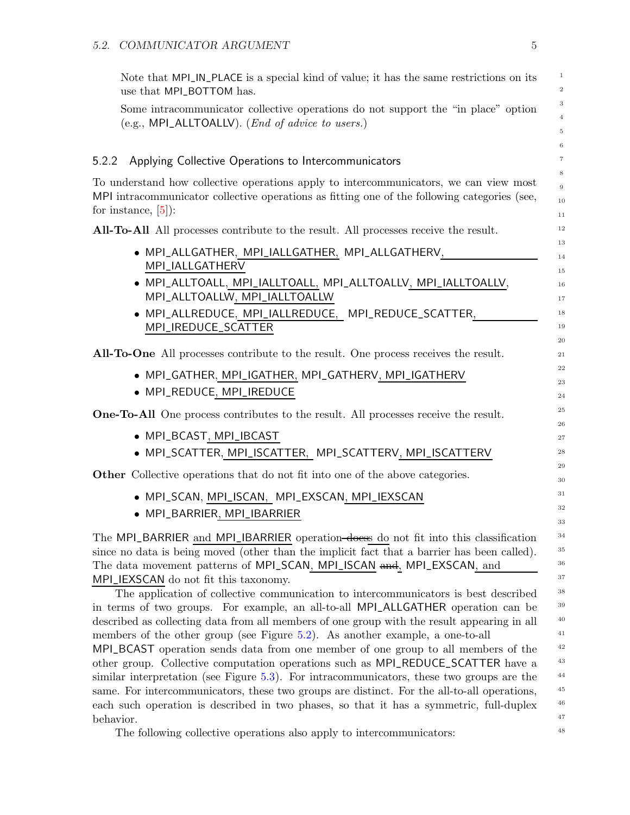Note that MPI\_IN\_PLACE is a special kind of value; it has the same restrictions on its use that MPI\_BOTTOM has.

Some intracommunicator collective operations do not support the "in place" option (e.g., MPI\_ALLTOALLV). (End of advice to users.)

#### <span id="page-8-0"></span>5.2.2 Applying Collective Operations to Intercommunicators

To understand how collective operations apply to intercommunicators, we can view most MPI intracommunicator collective operations as fitting one of the following categories (see, for instance, [\[5\]](#page-75-0)):

All-To-All All processes contribute to the result. All processes receive the result.

- MPI\_ALLGATHER, MPI\_IALLGATHER, MPI\_ALLGATHERV, MPI\_IALLGATHERV
- MPI\_ALLTOALL, MPI\_IALLTOALL, MPI\_ALLTOALLV, MPI\_IALLTOALLV, MPI\_ALLTOALLW, MPI\_IALLTOALLW
- MPI\_ALLREDUCE, MPI\_IALLREDUCE, MPI\_REDUCE\_SCATTER, MPI\_IREDUCE\_SCATTER

All-To-One All processes contribute to the result. One process receives the result.

- MPI\_GATHER, MPI\_IGATHER, MPI\_GATHERV, MPI\_IGATHERV
- MPI\_REDUCE, MPI\_IREDUCE

One-To-All One process contributes to the result. All processes receive the result.

- MPI\_BCAST, MPI\_IBCAST
- MPI\_SCATTER, MPI\_ISCATTER, MPI\_SCATTERV, MPI\_ISCATTERV

Other Collective operations that do not fit into one of the above categories.

- MPI\_SCAN, MPI\_ISCAN, MPI\_EXSCAN, MPI\_IEXSCAN
- MPI\_BARRIER, MPI\_IBARRIER

The MPI\_BARRIER and MPI\_IBARRIER operation<del>-doess</del> do not fit into this classification since no data is being moved (other than the implicit fact that a barrier has been called). The data movement patterns of MPI\_SCAN, MPI\_ISCAN and, MPI\_EXSCAN, and MPI\_IEXSCAN do not fit this taxonomy.

The application of collective communication to intercommunicators is best described in terms of two groups. For example, an all-to-all MPI\_ALLGATHER operation can be described as collecting data from all members of one group with the result appearing in all members of the other group (see Figure [5.2\)](#page-9-1). As another example, a one-to-all MPI\_BCAST operation sends data from one member of one group to all members of the other group. Collective computation operations such as MPI\_REDUCE\_SCATTER have a similar interpretation (see Figure [5.3\)](#page-10-1). For intracommunicators, these two groups are the same. For intercommunicators, these two groups are distinct. For the all-to-all operations, each such operation is described in two phases, so that it has a symmetric, full-duplex behavior.

The following collective operations also apply to intercommunicators: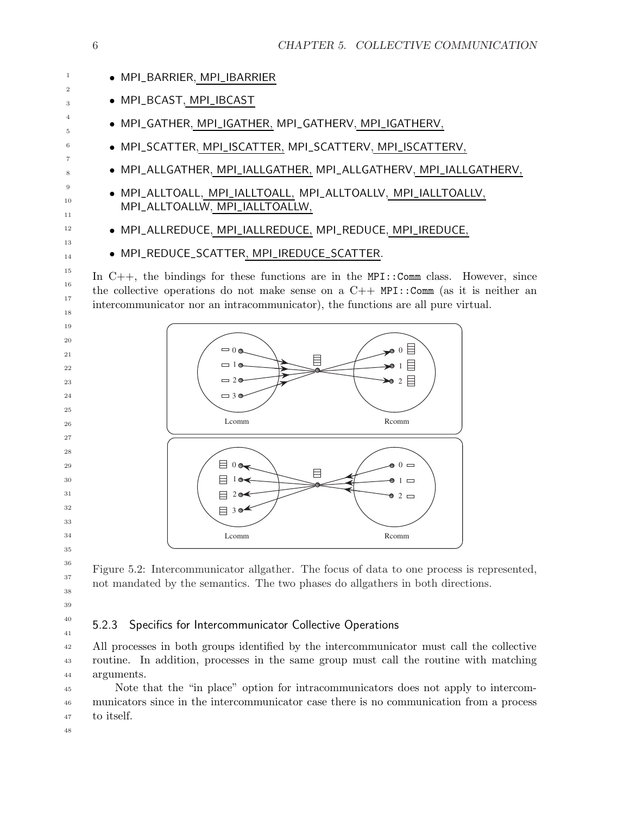

<span id="page-9-1"></span>Figure 5.2: Intercommunicator allgather. The focus of data to one process is represented, not mandated by the semantics. The two phases do allgathers in both directions.

<span id="page-9-0"></span> 

 

## 5.2.3 Specifics for Intercommunicator Collective Operations

All processes in both groups identified by the intercommunicator must call the collective routine. In addition, processes in the same group must call the routine with matching arguments. 

Note that the "in place" option for intracommunicators does not apply to intercommunicators since in the intercommunicator case there is no communication from a process to itself.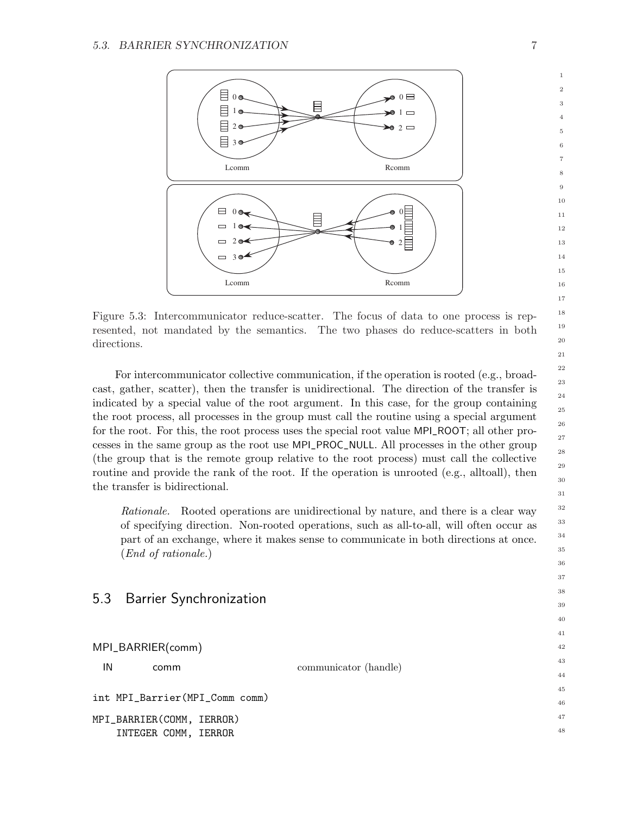

<span id="page-10-1"></span>Figure 5.3: Intercommunicator reduce-scatter. The focus of data to one process is represented, not mandated by the semantics. The two phases do reduce-scatters in both directions.

For intercommunicator collective communication, if the operation is rooted (e.g., broadcast, gather, scatter), then the transfer is unidirectional. The direction of the transfer is indicated by a special value of the root argument. In this case, for the group containing the root process, all processes in the group must call the routine using a special argument for the root. For this, the root process uses the special root value MPI\_ROOT; all other processes in the same group as the root use MPI\_PROC\_NULL. All processes in the other group (the group that is the remote group relative to the root process) must call the collective routine and provide the rank of the root. If the operation is unrooted (e.g., alltoall), then the transfer is bidirectional.

Rationale. Rooted operations are unidirectional by nature, and there is a clear way of specifying direction. Non-rooted operations, such as all-to-all, will often occur as part of an exchange, where it makes sense to communicate in both directions at once. (End of rationale.)

# MPI\_BARRIER(comm) IN communicator (handle) int MPI\_Barrier(MPI\_Comm comm) MPI\_BARRIER(COMM, IERROR) INTEGER COMM, IERROR

<span id="page-10-0"></span>5.3 Barrier Synchronization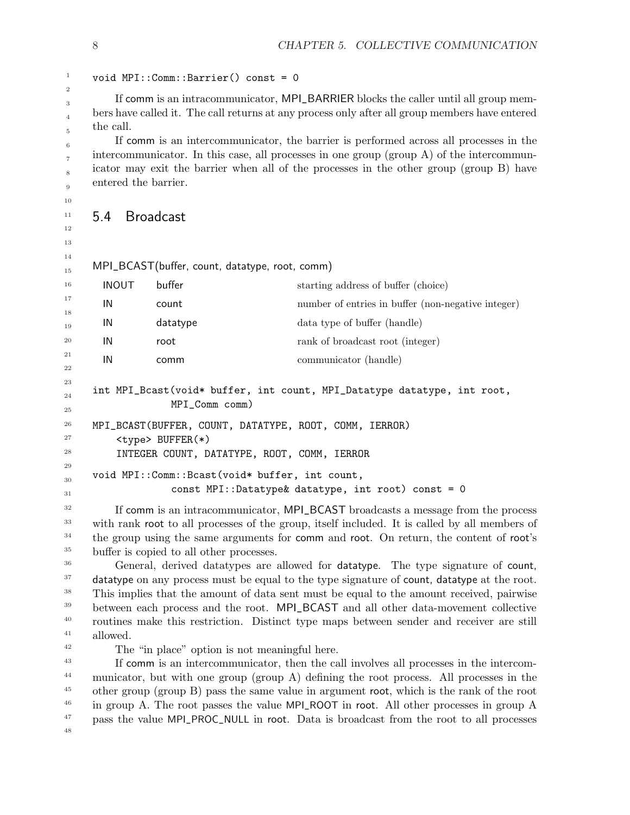#### void MPI::Comm::Barrier() const = 0

If comm is an intracommunicator, MPI\_BARRIER blocks the caller until all group members have called it. The call returns at any process only after all group members have entered the call.

If comm is an intercommunicator, the barrier is performed across all processes in the intercommunicator. In this case, all processes in one group (group  $A$ ) of the intercommunicator may exit the barrier when all of the processes in the other group (group B) have entered the barrier.

## <span id="page-11-0"></span>5.4 Broadcast

MPI\_BCAST(buffer, count, datatype, root, comm)

| 16       | <b>INOUT</b> | buffer                                              | starting address of buffer (choice)                                     |
|----------|--------------|-----------------------------------------------------|-------------------------------------------------------------------------|
| 17<br>18 | IN           | count                                               | number of entries in buffer (non-negative integer)                      |
| 19       | IN           | datatype                                            | data type of buffer (handle)                                            |
| 20       | IN           | root                                                | rank of broadcast root (integer)                                        |
| 21       | IN           | comm                                                | communicator (handle)                                                   |
| 22<br>23 |              |                                                     |                                                                         |
| 24       |              |                                                     | int MPI_Bcast(void* buffer, int count, MPI_Datatype datatype, int root, |
| 25       |              | MPI_Comm comm)                                      |                                                                         |
| 26       | MDT          | RCAST (RHEEFR<br>$C$ $T$ $N$ $T$<br><b>DATATVDF</b> | C <sub>OMM</sub><br>ו תחת מ־ם ד<br>⊤חחם                                 |

```
MPI_BCAST(BUFFER, COUNT, DATATYPE, ROOT, COMM, IERROR)
```
<type> BUFFER(\*)

INTEGER COUNT, DATATYPE, ROOT, COMM, IERROR

```
void MPI::Comm::Bcast(void* buffer, int count,
                   const MPI::Datatype& datatype, int root) const = 0
30
31
```
If comm is an intracommunicator, MPI\_BCAST broadcasts a message from the process with rank root to all processes of the group, itself included. It is called by all members of the group using the same arguments for comm and root. On return, the content of root's buffer is copied to all other processes. 32 33 34 35

General, derived datatypes are allowed for datatype. The type signature of count, datatype on any process must be equal to the type signature of count, datatype at the root. This implies that the amount of data sent must be equal to the amount received, pairwise between each process and the root. MPI\_BCAST and all other data-movement collective routines make this restriction. Distinct type maps between sender and receiver are still allowed. 36 37 38 39 40 41

```
42
```
The "in place" option is not meaningful here.

If comm is an intercommunicator, then the call involves all processes in the intercommunicator, but with one group (group A) defining the root process. All processes in the other group (group B) pass the same value in argument root, which is the rank of the root in group A. The root passes the value MPI\_ROOT in root. All other processes in group A pass the value MPI\_PROC\_NULL in root. Data is broadcast from the root to all processes 43 44 45 46 47 48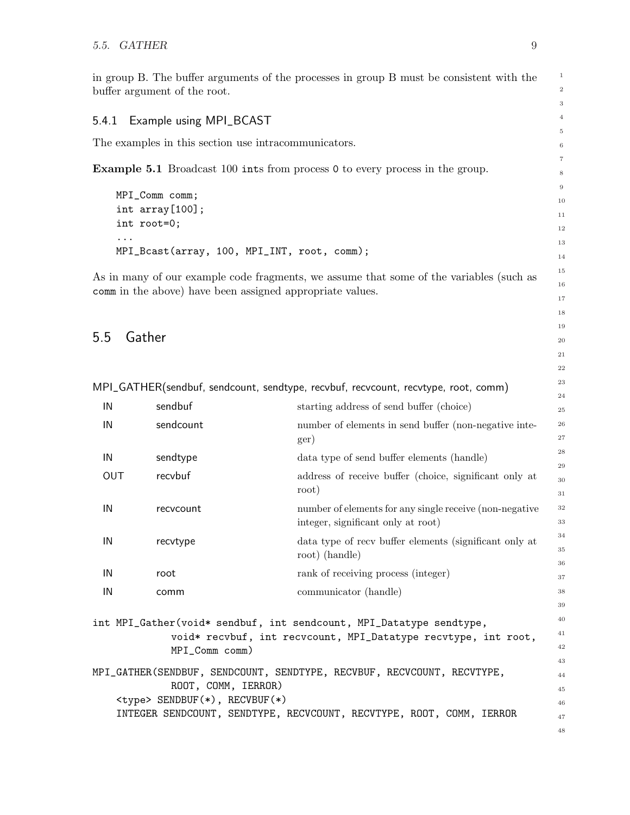in group B. The buffer arguments of the processes in group B must be consistent with the buffer argument of the root.

#### <span id="page-12-0"></span>5.4.1 Example using MPI\_BCAST

The examples in this section use intracommunicators.

Example 5.1 Broadcast 100 ints from process 0 to every process in the group.

```
MPI_Comm comm;
int array[100];
int root=0;
...
MPI_Bcast(array, 100, MPI_INT, root, comm);
```
As in many of our example code fragments, we assume that some of the variables (such as comm in the above) have been assigned appropriate values.

## <span id="page-12-1"></span>5.5 Gather

MPI\_GATHER(sendbuf, sendcount, sendtype, recvbuf, recvcount, recvtype, root, comm)

|     |           |                                                         | 24       |
|-----|-----------|---------------------------------------------------------|----------|
| IN  | sendbuf   | starting address of send buffer (choice)                | 25       |
| IN  | sendcount | number of elements in send buffer (non-negative inte-   | 26       |
|     |           | ger)                                                    | 27       |
| IN  | sendtype  | data type of send buffer elements (handle)              | 28       |
| OUT | recvbuf   | address of receive buffer (choice, significant only at  | 29       |
|     |           | root)                                                   | 30<br>31 |
| IN  | recvcount | number of elements for any single receive (non-negative | 32       |
|     |           | integer, significant only at root)                      | 33       |
| IN  | recvtype  | data type of recy buffer elements (significant only at  | 34       |
|     |           | root) (handle)                                          | 35       |
|     |           |                                                         | 36       |
| IN  | root      | rank of receiving process (integer)                     | 37       |
| IN  | comm      | communicator (handle)                                   | 38       |
|     |           |                                                         | 39       |
|     |           |                                                         |          |

int MPI\_Gather(void\* sendbuf, int sendcount, MPI\_Datatype sendtype, void\* recvbuf, int recvcount, MPI\_Datatype recvtype, int root, MPI\_Comm comm) MPI\_GATHER(SENDBUF, SENDCOUNT, SENDTYPE, RECVBUF, RECVCOUNT, RECVTYPE,

ROOT, COMM, IERROR) <type> SENDBUF(\*), RECVBUF(\*) INTEGER SENDCOUNT, SENDTYPE, RECVCOUNT, RECVTYPE, ROOT, COMM, IERROR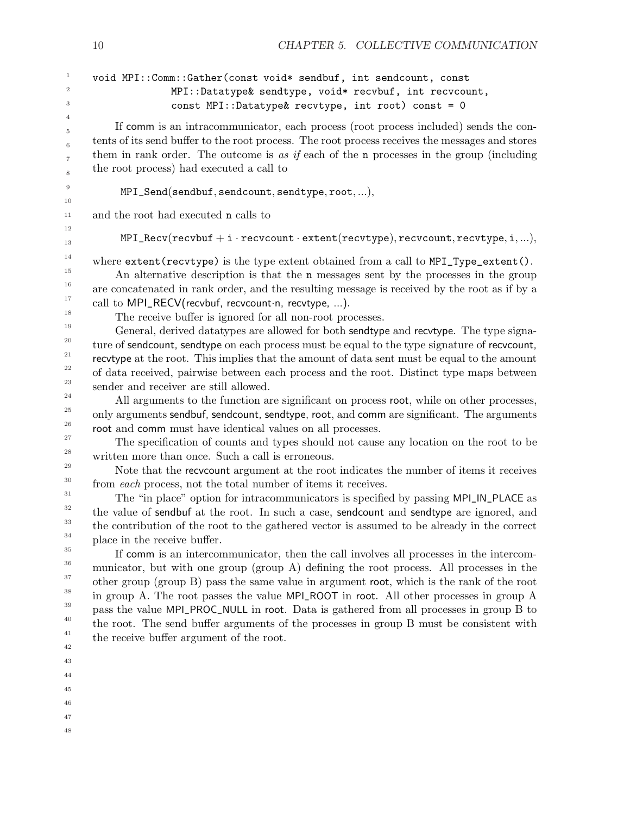| $\mathbf{1}$<br>$\,2$                                                                                                             | void MPI:: Comm:: Gather (const void* sendbuf, int sendcount, const<br>MPI::Datatype& sendtype, void* recvbuf, int recvcount,                                                                                                                                                                                                                                                                                                                                                                                                                                                                                                                                                                                                                                                                                                                                                                                                                                                                                                                                                                                                                                                                                                                                                                                                                                                                       |
|-----------------------------------------------------------------------------------------------------------------------------------|-----------------------------------------------------------------------------------------------------------------------------------------------------------------------------------------------------------------------------------------------------------------------------------------------------------------------------------------------------------------------------------------------------------------------------------------------------------------------------------------------------------------------------------------------------------------------------------------------------------------------------------------------------------------------------------------------------------------------------------------------------------------------------------------------------------------------------------------------------------------------------------------------------------------------------------------------------------------------------------------------------------------------------------------------------------------------------------------------------------------------------------------------------------------------------------------------------------------------------------------------------------------------------------------------------------------------------------------------------------------------------------------------------|
| 3                                                                                                                                 | const MPI::Datatype& recvtype, int root) const = 0                                                                                                                                                                                                                                                                                                                                                                                                                                                                                                                                                                                                                                                                                                                                                                                                                                                                                                                                                                                                                                                                                                                                                                                                                                                                                                                                                  |
| 4<br>5<br>$\,$ 6<br>$\scriptstyle{7}$<br>8                                                                                        | If comm is an intracommunicator, each process (root process included) sends the con-<br>tents of its send buffer to the root process. The root process receives the messages and stores<br>them in rank order. The outcome is as if each of the n processes in the group (including<br>the root process) had executed a call to                                                                                                                                                                                                                                                                                                                                                                                                                                                                                                                                                                                                                                                                                                                                                                                                                                                                                                                                                                                                                                                                     |
| $\overline{9}$<br>10                                                                                                              | MPI_Send(sendbuf, sendcount, sendtype, root,),                                                                                                                                                                                                                                                                                                                                                                                                                                                                                                                                                                                                                                                                                                                                                                                                                                                                                                                                                                                                                                                                                                                                                                                                                                                                                                                                                      |
| 11                                                                                                                                | and the root had executed n calls to                                                                                                                                                                                                                                                                                                                                                                                                                                                                                                                                                                                                                                                                                                                                                                                                                                                                                                                                                                                                                                                                                                                                                                                                                                                                                                                                                                |
| 12<br>13                                                                                                                          | $MPI\_Recv(recvbuf + i-recvcount \cdot extent(recvtype), recvcount,recvtype, i, ),$                                                                                                                                                                                                                                                                                                                                                                                                                                                                                                                                                                                                                                                                                                                                                                                                                                                                                                                                                                                                                                                                                                                                                                                                                                                                                                                 |
| 14<br>15<br>16<br>17<br>18<br>19<br>20<br>21<br>$\bf{^{22}}$<br>23<br>24<br>25<br>26<br>$\sqrt{27}$<br>$\bf 28$<br>29<br>30<br>31 | where extent (recvtype) is the type extent obtained from a call to MPI_Type_extent ().<br>An alternative description is that the n messages sent by the processes in the group<br>are concatenated in rank order, and the resulting message is received by the root as if by a<br>call to MPI_RECV(recvbuf, recvcount·n, recvtype, ).<br>The receive buffer is ignored for all non-root processes.<br>General, derived datatypes are allowed for both sendtype and recvtype. The type signa-<br>ture of sendcount, sendtype on each process must be equal to the type signature of recycount,<br>recvtype at the root. This implies that the amount of data sent must be equal to the amount<br>of data received, pairwise between each process and the root. Distinct type maps between<br>sender and receiver are still allowed.<br>All arguments to the function are significant on process root, while on other processes,<br>only arguments sendbuf, sendcount, sendtype, root, and comm are significant. The arguments<br>root and comm must have identical values on all processes.<br>The specification of counts and types should not cause any location on the root to be<br>written more than once. Such a call is erroneous.<br>Note that the recvocunt argument at the root indicates the number of items it receives<br>from each process, not the total number of items it receives. |
| 32<br>$33\,$<br>34<br>35<br>36<br>37<br>38<br>39<br>40<br>41<br>42<br>43                                                          | The "in place" option for intracommunicators is specified by passing MPI_IN_PLACE as<br>the value of sendbuf at the root. In such a case, sendcount and sendtype are ignored, and<br>the contribution of the root to the gathered vector is assumed to be already in the correct<br>place in the receive buffer.<br>If comm is an intercommunicator, then the call involves all processes in the intercom-<br>municator, but with one group (group A) defining the root process. All processes in the<br>other group (group B) pass the same value in argument root, which is the rank of the root<br>in group A. The root passes the value MPI_ROOT in root. All other processes in group A<br>pass the value MPI_PROC_NULL in root. Data is gathered from all processes in group B to<br>the root. The send buffer arguments of the processes in group B must be consistent with<br>the receive buffer argument of the root.                                                                                                                                                                                                                                                                                                                                                                                                                                                                      |
| 44<br>45                                                                                                                          |                                                                                                                                                                                                                                                                                                                                                                                                                                                                                                                                                                                                                                                                                                                                                                                                                                                                                                                                                                                                                                                                                                                                                                                                                                                                                                                                                                                                     |
|                                                                                                                                   |                                                                                                                                                                                                                                                                                                                                                                                                                                                                                                                                                                                                                                                                                                                                                                                                                                                                                                                                                                                                                                                                                                                                                                                                                                                                                                                                                                                                     |

10 CHAPTER 5. COLLECTIVE COMMUNICATION

- 
- 46
- 47
- 48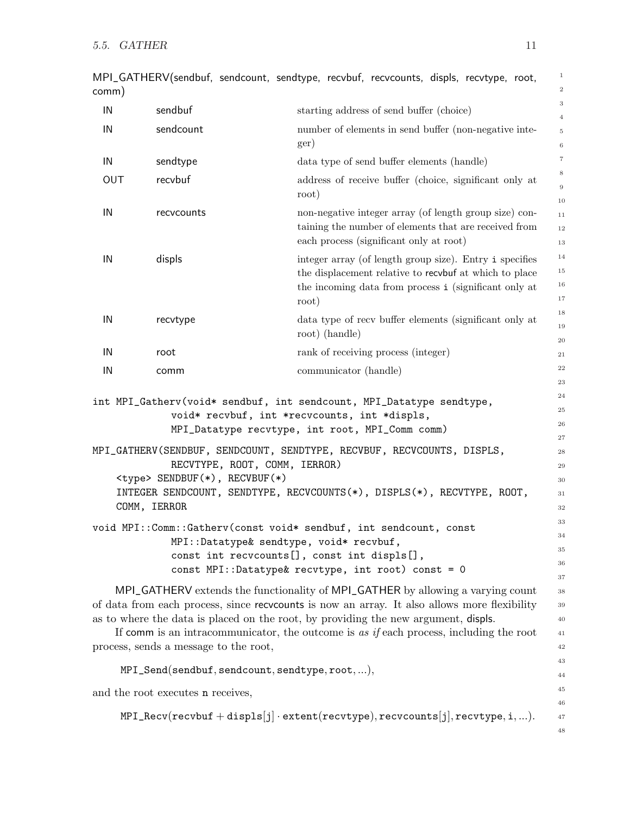| comm) |                                       | MPI_GATHERV(sendbuf, sendcount, sendtype, recvbuf, recvcounts, displs, recvtype, root,                                                                                              | $\mathbf{1}$<br>$\overline{2}$         |
|-------|---------------------------------------|-------------------------------------------------------------------------------------------------------------------------------------------------------------------------------------|----------------------------------------|
| IN    | sendbuf                               | starting address of send buffer (choice)                                                                                                                                            | 3                                      |
| IN    | sendcount                             | number of elements in send buffer (non-negative inte-<br>ger)                                                                                                                       | $\overline{4}$<br>$\,$ 5 $\,$<br>$\,6$ |
| IN    | sendtype                              | data type of send buffer elements (handle)                                                                                                                                          | $\scriptstyle{7}$                      |
| OUT   | recvbuf                               | address of receive buffer (choice, significant only at<br>root)                                                                                                                     | 8<br>9<br>$10\,$                       |
| IN    | recvcounts                            | non-negative integer array (of length group size) con-<br>taining the number of elements that are received from<br>each process (significant only at root)                          | 11<br>$12\,$<br>13                     |
| IN    | displs                                | integer array (of length group size). Entry i specifies<br>the displacement relative to recvbuf at which to place<br>the incoming data from process i (significant only at<br>root) | $14\,$<br>$15\,$<br>16<br>$17\,$       |
| IN    | recvtype                              | data type of recy buffer elements (significant only at<br>root) (handle)                                                                                                            | $18\,$<br>19<br>$20\,$                 |
| IN    | root                                  | rank of receiving process (integer)                                                                                                                                                 | 21                                     |
| IN    | comm                                  | communicator (handle)                                                                                                                                                               | $\bf{22}$                              |
|       |                                       |                                                                                                                                                                                     | $\bf 23$                               |
|       |                                       | int MPI_Gatherv(void* sendbuf, int sendcount, MPI_Datatype sendtype,                                                                                                                | 24<br>25                               |
|       |                                       | void* recvbuf, int *recvcounts, int *displs,                                                                                                                                        | ${\bf 26}$                             |
|       |                                       | MPI_Datatype recvtype, int root, MPI_Comm comm)                                                                                                                                     | $\sqrt{27}$                            |
|       |                                       | MPI_GATHERV(SENDBUF, SENDCOUNT, SENDTYPE, RECVBUF, RECVCOUNTS, DISPLS,                                                                                                              | $\bf 28$                               |
|       |                                       | RECVTYPE, ROOT, COMM, IERROR)                                                                                                                                                       | $\bf 29$                               |
|       | <type> SENDBUF(*), RECVBUF(*)</type>  |                                                                                                                                                                                     | $30\,$                                 |
|       |                                       | INTEGER SENDCOUNT, SENDTYPE, RECVCOUNTS(*), DISPLS(*), RECVTYPE, ROOT,                                                                                                              | $31\,$                                 |
|       | COMM, IERROR                          |                                                                                                                                                                                     | $32\,$                                 |
|       |                                       | void MPI::Comm::Gatherv(const void* sendbuf, int sendcount, const                                                                                                                   | 33                                     |
|       |                                       | MPI::Datatype& sendtype, void* recvbuf,                                                                                                                                             | 34                                     |
|       |                                       | const int recvcounts[], const int displs[],                                                                                                                                         | 35                                     |
|       |                                       | const MPI::Datatype& recvtype, int root) const = 0                                                                                                                                  | 36<br>$37\,$                           |
|       |                                       | MPI_GATHERV extends the functionality of MPI_GATHER by allowing a varying count                                                                                                     | 38                                     |
|       |                                       | of data from each process, since recvoounts is now an array. It also allows more flexibility                                                                                        | $39\,$                                 |
|       |                                       | as to where the data is placed on the root, by providing the new argument, displs.                                                                                                  | $40\,$                                 |
|       |                                       | If comm is an intracommunicator, the outcome is as if each process, including the root                                                                                              | 41                                     |
|       | process, sends a message to the root, |                                                                                                                                                                                     | 42                                     |

MPI\_Send(sendbuf, sendcount, sendtype, root,...), and the root executes n receives,

 $\verb+MPI\_Recv(recvbuf+displs[j]\cdot extent(recvtype), recvcounts[j], recvtype,i,...).$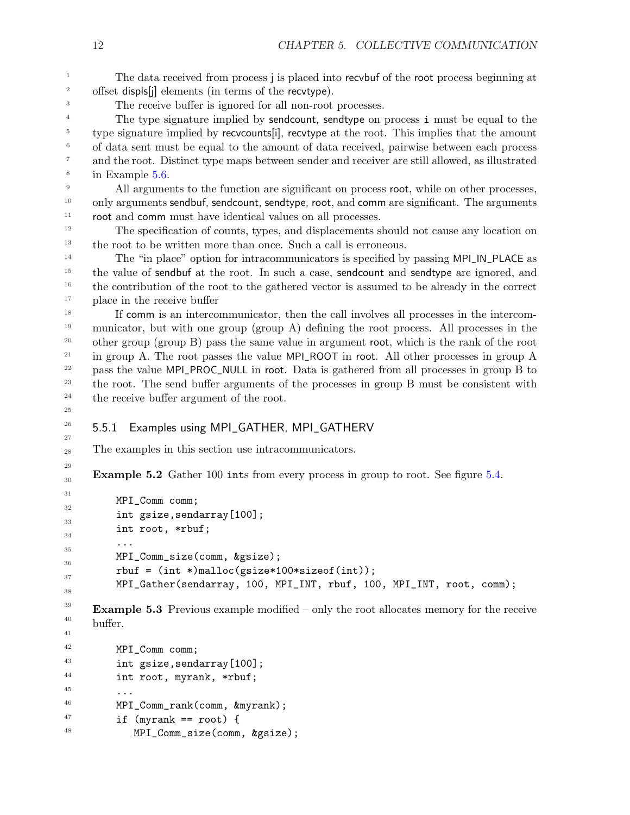The data received from process j is placed into recvbuf of the root process beginning at offset displs[j] elements (in terms of the recvtype). 2 3

The receive buffer is ignored for all non-root processes.

The type signature implied by sendcount, sendtype on process i must be equal to the type signature implied by recvcounts[i], recvtype at the root. This implies that the amount of data sent must be equal to the amount of data received, pairwise between each process and the root. Distinct type maps between sender and receiver are still allowed, as illustrated in Example [5.6.](#page-17-0) 4 5 6 7 8

All arguments to the function are significant on process root, while on other processes, only arguments sendbuf, sendcount, sendtype, root, and comm are significant. The arguments root and comm must have identical values on all processes. 9 10 11

The specification of counts, types, and displacements should not cause any location on the root to be written more than once. Such a call is erroneous. 12 13

The "in place" option for intracommunicators is specified by passing MPI\_IN\_PLACE as the value of sendbuf at the root. In such a case, sendcount and sendtype are ignored, and the contribution of the root to the gathered vector is assumed to be already in the correct place in the receive buffer 14 15 16 17

If comm is an intercommunicator, then the call involves all processes in the intercommunicator, but with one group (group A) defining the root process. All processes in the other group (group B) pass the same value in argument root, which is the rank of the root in group A. The root passes the value MPI\_ROOT in root. All other processes in group A pass the value MPI\_PROC\_NULL in root. Data is gathered from all processes in group B to the root. The send buffer arguments of the processes in group B must be consistent with the receive buffer argument of the root. 18 19 20 21 22 23 24

<span id="page-15-0"></span>25 26

27

29

#### 5.5.1 Examples using MPI\_GATHER, MPI\_GATHERV

<span id="page-15-1"></span>The examples in this section use intracommunicators. 28

**Example 5.2** Gather 100 ints from every process in group to root. See figure [5.4.](#page-16-0) 30

```
MPI_Comm comm;
         int gsize,sendarray[100];
         int root, *rbuf;
         ...
         MPI_Comm_size(comm, &gsize);
         rbuf = (int *)malloc(gsize*100*sizeof(int));
         MPI_Gather(sendarray, 100, MPI_INT, rbuf, 100, MPI_INT, root, comm);
31
32
33
34
35
36
37
38
```
**Example 5.3** Previous example modified – only the root allocates memory for the receive buffer. 39 40 41

```
MPI_Comm comm;
         int gsize,sendarray[100];
         int root, myrank, *rbuf;
         ...
         MPI_Comm_rank(comm, &myrank);
         if (myrank == root) {
             MPI_Comm_size(comm, &gsize);
42
43
44
45
46
47
48
```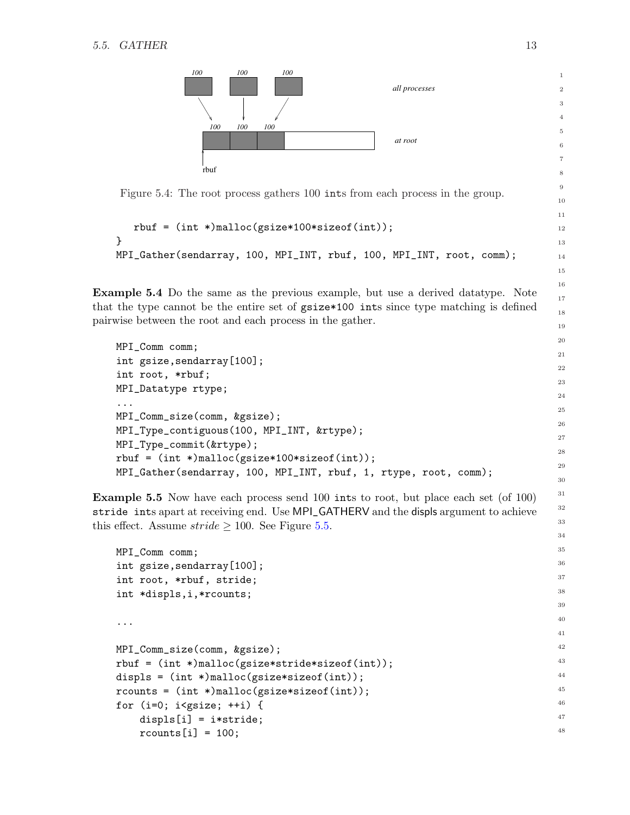

```
rbuf = (int *)malloc(gsize*100*sizeof(int));
}
MPI_Gather(sendarray, 100, MPI_INT, rbuf, 100, MPI_INT, root, comm);
```
Example 5.4 Do the same as the previous example, but use a derived datatype. Note that the type cannot be the entire set of gsize\*100 ints since type matching is defined pairwise between the root and each process in the gather.

```
MPI_Comm comm;
int gsize,sendarray[100];
int root, *rbuf;
MPI_Datatype rtype;
...
MPI_Comm_size(comm, &gsize);
MPI_Type_contiguous(100, MPI_INT, &rtype);
MPI_Type_commit(&rtype);
rbuf = (int *)malloc(gsize*100*sizeof(int));
MPI_Gather(sendarray, 100, MPI_INT, rbuf, 1, rtype, root, comm);
```
<span id="page-16-1"></span>Example 5.5 Now have each process send 100 ints to root, but place each set (of 100) stride ints apart at receiving end. Use MPI\_GATHERV and the displs argument to achieve this effect. Assume  $\text{stride} \geq 100$ . See Figure [5.5.](#page-17-1)

```
MPI_Comm comm;
int gsize,sendarray[100];
int root, *rbuf, stride;
int *displs,i,*rcounts;
...
MPI_Comm_size(comm, &gsize);
rbuf = (int *)malloc(gsize*stride*sizeof(int));
displs = (int *)malloc(gsize*sizeof(int));
rcounts = (int *)malloc(gsize*sizeof(int));
for (i=0; i<gsize; ++i) {
    displs[i] = i*stride;
    r \text{counts}[i] = 100;
                                                                                   35
                                                                                   36
                                                                                   37
                                                                                   38
                                                                                   39
                                                                                   40
                                                                                   41
                                                                                   42
                                                                                   43
                                                                                   44
                                                                                   45
                                                                                   46
                                                                                   47
                                                                                   48
```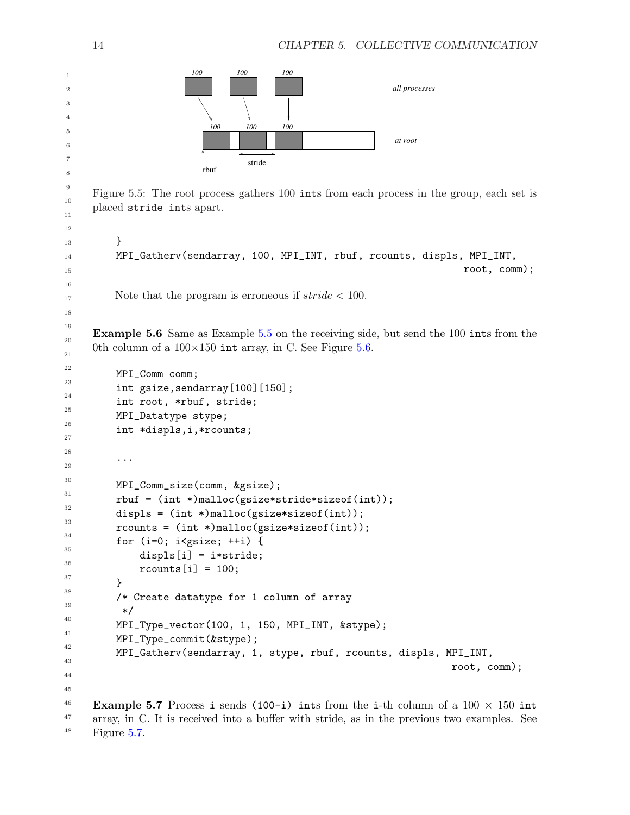<span id="page-17-2"></span><span id="page-17-1"></span><span id="page-17-0"></span>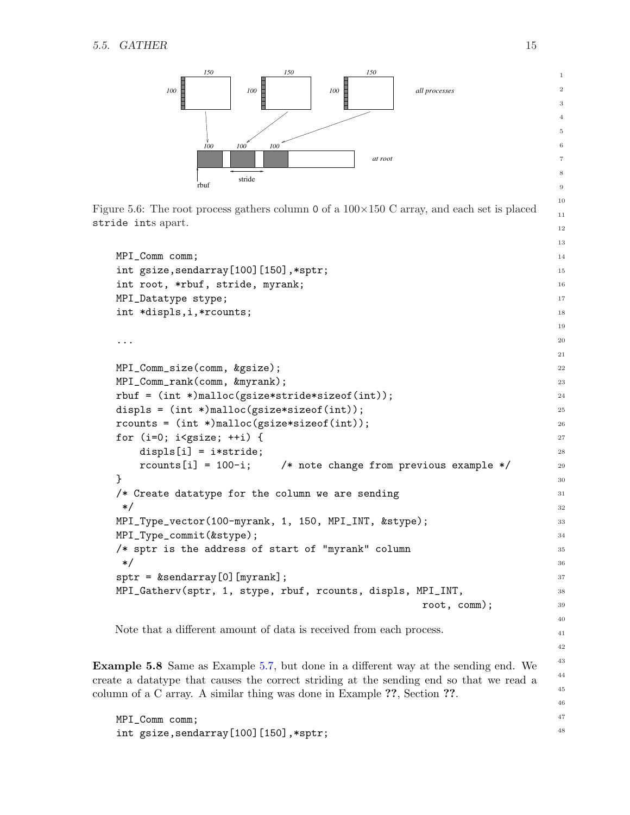

<span id="page-18-0"></span>Figure 5.6: The root process gathers column 0 of a  $100\times150$  C array, and each set is placed stride ints apart.

```
MPI_Comm comm;
int gsize, sendarray [100] [150], *sptr;
int root, *rbuf, stride, myrank;
MPI_Datatype stype;
int *displs,i,*rcounts;
...
MPI_Comm_size(comm, &gsize);
MPI_Comm_rank(comm, &myrank);
rbuf = (int *)malloc(gsize*stride*sizeof(int));
displs = (int *)malloc(gsize*sizeof(int));
rcounts = (int *)malloc(gsize*sizeof(int));
for (i=0; i<gsize; ++i) {
    displs[i] = i*stride;
    rcounts[i] = 100-i; /* note change from previous example */
}
/* Create datatype for the column we are sending
 */
MPI_Type_vector(100-myrank, 1, 150, MPI_INT, &stype);
MPI_Type_commit(&stype);
/* sptr is the address of start of "myrank" column
 */
sptr = %sendarray[0][myrank];MPI_Gatherv(sptr, 1, stype, rbuf, rcounts, displs, MPI_INT,
                                                        root, comm);
                                                                                 14
                                                                                 15
                                                                                 16
                                                                                 17
                                                                                 18
                                                                                 19
                                                                                 20
                                                                                21
                                                                                 22
                                                                                 23
                                                                                 24
                                                                                 25
                                                                                 26
                                                                                 27
                                                                                 28
                                                                                29
                                                                                30
                                                                                 31
                                                                                 32
                                                                                 33
                                                                                34
                                                                                35
                                                                                36
                                                                                37
                                                                                 38
                                                                                 39
                                                                                 40
```
Note that a different amount of data is received from each process.

Example 5.8 Same as Example [5.7,](#page-17-2) but done in a different way at the sending end. We create a datatype that causes the correct striding at the sending end so that we read a column of a C array. A similar thing was done in Example ??, Section ??.

MPI\_Comm comm; int gsize,sendarray[100][150],\*sptr;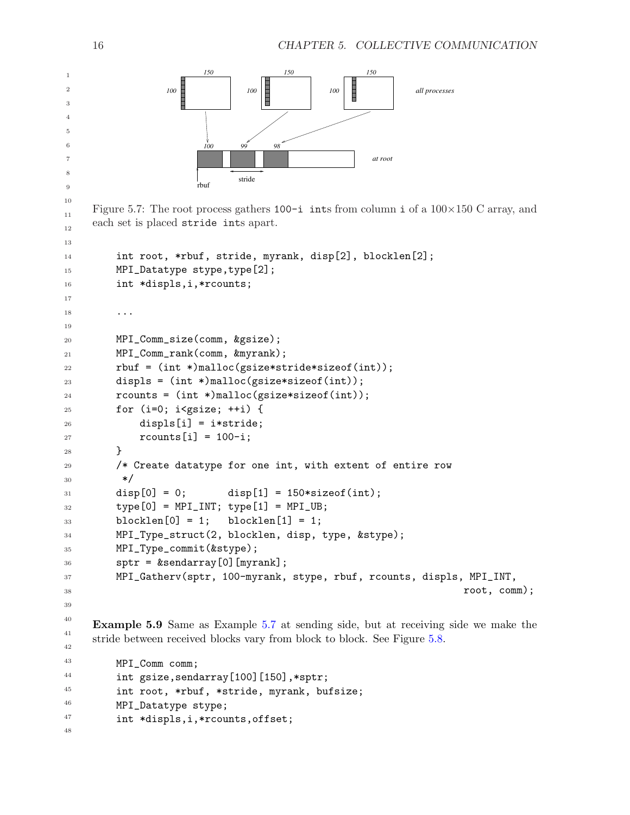

<span id="page-19-0"></span>Figure 5.7: The root process gathers  $100-i$  ints from column i of a  $100\times150$  C array, and each set is placed stride ints apart.

```
int root, *rbuf, stride, myrank, disp[2], blocklen[2];
         MPI_Datatype stype,type[2];
         int *displs,i,*rcounts;
          ...
         MPI_Comm_size(comm, &gsize);
         MPI_Comm_rank(comm, &myrank);
         rbuf = (int *)malloc(gsize*stride*sizeof(int));
         displs = (int *)malloc(gsize*sizeof(int));
         r \text{counts} = (\text{int}*)\text{malloc}(\text{gsize}* \text{size}(\text{int}));for (i=0; i<gsize; ++i) {
              displs[i] = i*stride;
              rcounts[i] = 100-i;}
         /* Create datatype for one int, with extent of entire row
           */
         disp[0] = 0; disp[1] = 150*sizeof(int);
         type[0] = MPI_INT; type[1] = MPI_UB;blocklen[0] = 1; blocklen[1] = 1;MPI_Type_struct(2, blocklen, disp, type, &stype);
         MPI_Type_commit(&stype);
         sptr = %sendarray[0][myrank];MPI_Gatherv(sptr, 100-myrank, stype, rbuf, rcounts, displs, MPI_INT,
                                                                           root, comm);
13
14
15
16
17
18
19
20
21
22
23
24
25
26
27
28
29
30
31
32
33
34
35
36
37
38
39
40
```
<span id="page-19-1"></span>Example 5.9 Same as Example [5.7](#page-17-2) at sending side, but at receiving side we make the stride between received blocks vary from block to block. See Figure [5.8.](#page-20-0)

MPI\_Comm comm; int gsize,sendarray[100][150],\*sptr; int root, \*rbuf, \*stride, myrank, bufsize; MPI\_Datatype stype; int \*displs,i,\*rcounts,offset;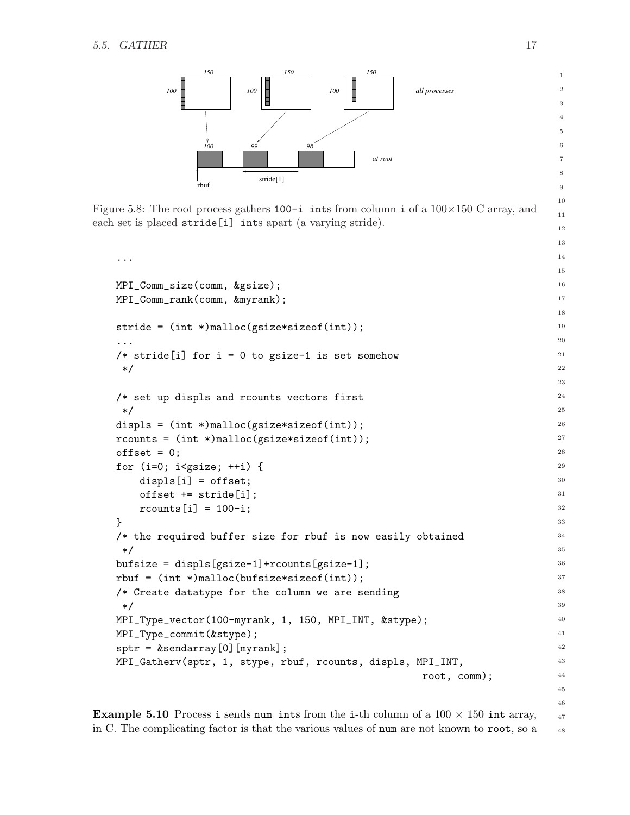

<span id="page-20-0"></span>Figure 5.8: The root process gathers  $100-i$  ints from column i of a  $100\times150$  C array, and each set is placed stride [i] ints apart (a varying stride).

```
...
MPI_Comm_size(comm, &gsize);
MPI_Comm_rank(comm, &myrank);
stride = (int *)malloc(gsize*sizeof(int));
...
/* stride[i] for i = 0 to gsize-1 is set somehow
 */
/* set up displs and rcounts vectors first
 */
displs = (int *)malloc(gsize*sizeof(int));
rcounts = (int *)malloc(gsize*sizeof(int));
offset = 0;for (i=0; i < gsize; ++i) {
    displs[i] = offset;
    offset += stride[i];
    r \text{counts}[i] = 100-i;}
/* the required buffer size for rbuf is now easily obtained
 */
bufsize = displs[gsize-1]+rcounts[gsize-1];
rbuf = (int *)malloc(bufsize*sizeof(int));
/* Create datatype for the column we are sending
 */
MPI_Type_vector(100-myrank, 1, 150, MPI_INT, &stype);
MPI_Type_commit(&stype);
sptr = %sendarray[0][myrank];MPI_Gatherv(sptr, 1, stype, rbuf, rcounts, displs, MPI_INT,
                                                        root, comm);
                                                                                  15
                                                                                  16
                                                                                  17
                                                                                  18
                                                                                  19
                                                                                  20
                                                                                  21
                                                                                  22
                                                                                  23
                                                                                  24
                                                                                  25
                                                                                  26
                                                                                  27
                                                                                  28
                                                                                  29
                                                                                  30
                                                                                  31
                                                                                  32
                                                                                  33
                                                                                  34
                                                                                  35
                                                                                  36
                                                                                  37
                                                                                  38
                                                                                  39
                                                                                  40
                                                                                  41
                                                                                  42
                                                                                  43
                                                                                  44
                                                                                  45
```
**Example 5.10** Process i sends num ints from the i-th column of a  $100 \times 150$  int array, in C. The complicating factor is that the various values of num are not known to root, so a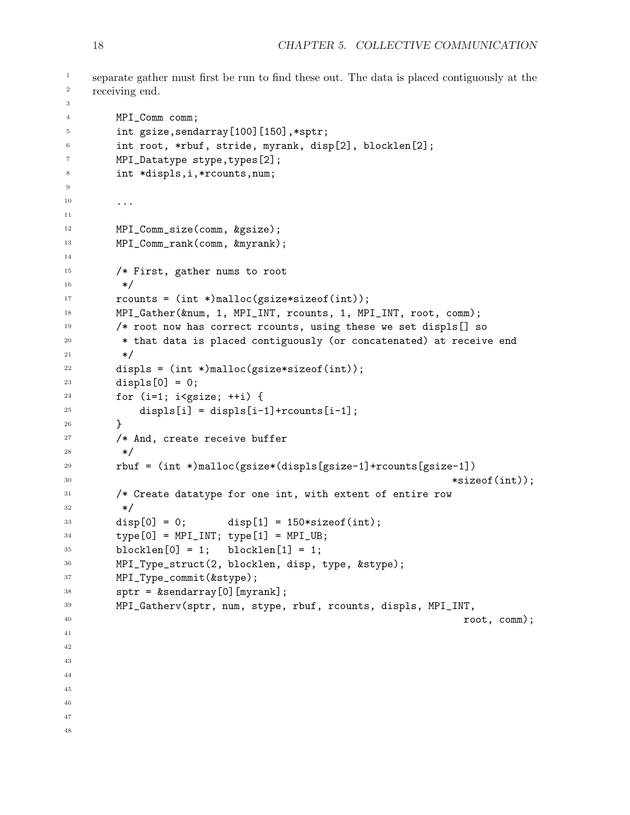```
separate gather must first be run to find these out. The data is placed contiguously at the
     receiving end.
         MPI_Comm comm;
         int gsize,sendarray[100][150],*sptr;
         int root, *rbuf, stride, myrank, disp[2], blocklen[2];
         MPI_Datatype stype,types[2];
         int *displs,i,*rcounts,num;
         ...
         MPI_Comm_size(comm, &gsize);
         MPI_Comm_rank(comm, &myrank);
         /* First, gather nums to root
          */
         rcounts = (int *)malloc(gsize*sizeof(int));
         MPI_Gather(&num, 1, MPI_INT, rcounts, 1, MPI_INT, root, comm);
         /* root now has correct rcounts, using these we set displs[] so
           * that data is placed contiguously (or concatenated) at receive end
          */
         displs = (int *)malloc(gsize*sizeof(int));
         displs[0] = 0;
         for (i=1; i < gsize; ++i) {
              displs[i] = \text{display}[i-1] + \text{r} \text{counts}[i-1];}
         /* And, create receive buffer
          */
         rbuf = (int *)malloc(gsize*(displs[gsize-1]+rcounts[gsize-1])
                                                                        *sizeof(int));
         /* Create datatype for one int, with extent of entire row
           */
         disp[0] = 0; disp[1] = 150*sizeof(int);
         type[0] = MPI_INT; type[1] = MPI_UB;blocklen[0] = 1; blocklen[1] = 1;MPI_Type_struct(2, blocklen, disp, type, &stype);
         MPI_Type_commit(&stype);
         sptr = %sendarray[0][myrank];MPI_Gatherv(sptr, num, stype, rbuf, rcounts, displs, MPI_INT,
                                                                          root, comm);
1
2
3
4
5
6
7
8
9
10
11
12
13
14
15
16
17
18
19
20
21
22
23
24
25
26
27
28
29
30
31
32
33
34
35
36
37
38
39
40
41
42
43
44
45
46
47
48
```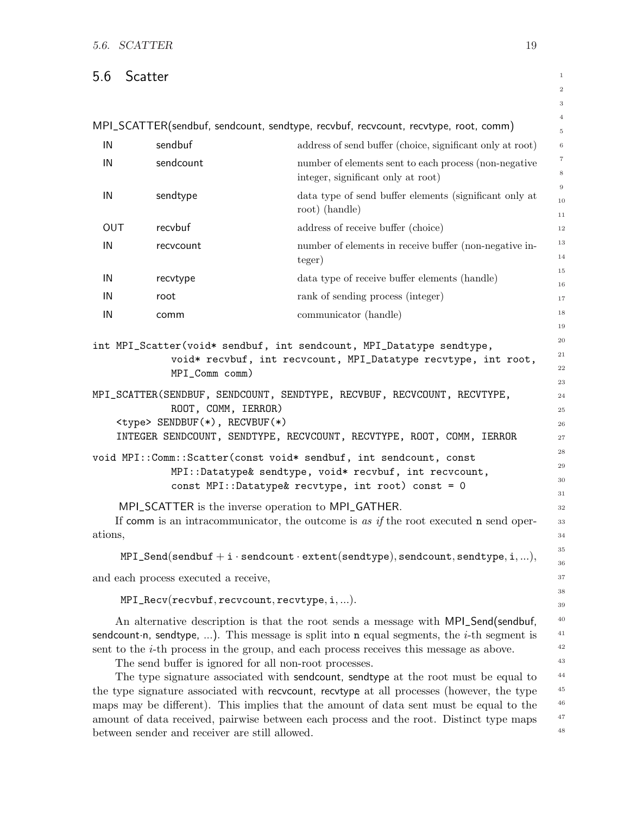## <span id="page-22-0"></span>5.6 Scatter

MPI\_SCATTER(sendbuf, sendcount, sendtype, recvbuf, recvcount, recvtype, root, comm)

| IN  | sendbuf   | address of send buffer (choice, significant only at root) | $\,6\,$        |
|-----|-----------|-----------------------------------------------------------|----------------|
| IN  | sendcount | number of elements sent to each process (non-negative     | $\overline{7}$ |
|     |           | integer, significant only at root)                        | 8              |
| IN  | sendtype  | data type of send buffer elements (significant only at    | 9              |
|     |           | root) (handle)                                            | 10             |
| OUT | recvbuf   | address of receive buffer (choice)                        | 11<br>12       |
|     |           |                                                           |                |
| IN  | recvcount | number of elements in receive buffer (non-negative in-    | 13             |
|     |           | teger)                                                    | 14             |
|     |           |                                                           | 15             |
| IN  | recvtype  | data type of receive buffer elements (handle)             | 16             |
| IN  | root      | rank of sending process (integer)                         | 17             |
| IN  | comm      | communicator (handle)                                     | 18             |
|     |           |                                                           | 1 <sub>0</sub> |

int MPI\_Scatter(void\* sendbuf, int sendcount, MPI\_Datatype sendtype, void\* recvbuf, int recvcount, MPI\_Datatype recvtype, int root, MPI\_Comm comm)

MPI\_SCATTER(SENDBUF, SENDCOUNT, SENDTYPE, RECVBUF, RECVCOUNT, RECVTYPE, ROOT, COMM, IERROR) <type> SENDBUF(\*), RECVBUF(\*) INTEGER SENDCOUNT, SENDTYPE, RECVCOUNT, RECVTYPE, ROOT, COMM, IERROR

void MPI::Comm::Scatter(const void\* sendbuf, int sendcount, const MPI::Datatype& sendtype, void\* recvbuf, int recvcount,

MPI\_SCATTER is the inverse operation to MPI\_GATHER.

If comm is an intracommunicator, the outcome is as if the root executed n send operations,

const MPI::Datatype& recvtype, int root) const = 0

```
MPI\_Send(sendbuf + i\cdot sendcount\cdot extent(sendtype), sendcount,sendtype,i,...),
```
and each process executed a receive,

MPI\_Recv(recvbuf, recvcount, recvtype, i,...).

An alternative description is that the root sends a message with MPI\_Send(sendbuf, sendcount n, sendtype, ...). This message is split into **n** equal segments, the *i*-th segment is sent to the i-th process in the group, and each process receives this message as above.

The send buffer is ignored for all non-root processes.

The type signature associated with sendcount, sendtype at the root must be equal to the type signature associated with recvcount, recvtype at all processes (however, the type maps may be different). This implies that the amount of data sent must be equal to the amount of data received, pairwise between each process and the root. Distinct type maps between sender and receiver are still allowed. 44 45 46 47 48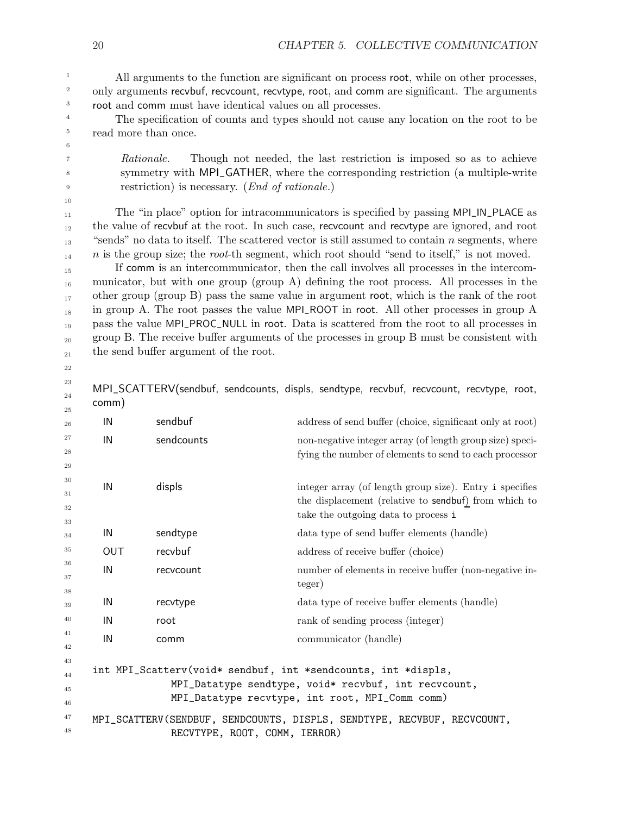All arguments to the function are significant on process root, while on other processes, only arguments recvbuf, recvcount, recvtype, root, and comm are significant. The arguments root and comm must have identical values on all processes.

The specification of counts and types should not cause any location on the root to be read more than once.

Rationale. Though not needed, the last restriction is imposed so as to achieve symmetry with MPI\_GATHER, where the corresponding restriction (a multiple-write restriction) is necessary. (End of rationale.)

The "in place" option for intracommunicators is specified by passing MPI\_IN\_PLACE as the value of recvbuf at the root. In such case, recvcount and recvtype are ignored, and root "sends" no data to itself. The scattered vector is still assumed to contain  $n$  segments, where  $n$  is the group size; the root-th segment, which root should "send to itself," is not moved.

If comm is an intercommunicator, then the call involves all processes in the intercommunicator, but with one group (group A) defining the root process. All processes in the other group (group B) pass the same value in argument root, which is the rank of the root in group A. The root passes the value MPI\_ROOT in root. All other processes in group A pass the value MPI\_PROC\_NULL in root. Data is scattered from the root to all processes in group B. The receive buffer arguments of the processes in group B must be consistent with the send buffer argument of the root. 15 16 17 18 19 20 21

22 23

24

MPI\_SCATTERV(sendbuf, sendcounts, displs, sendtype, recvbuf, recvcount, recvtype, root, comm)

| 25           | --         |                               |                                                                         |
|--------------|------------|-------------------------------|-------------------------------------------------------------------------|
| 26           | IN         | sendbuf                       | address of send buffer (choice, significant only at root)               |
| 27           | IN         | sendcounts                    | non-negative integer array (of length group size) speci-                |
| 28           |            |                               | fying the number of elements to send to each processor                  |
| 29<br>30     |            |                               |                                                                         |
| 31           | IN         | displs                        | integer array (of length group size). Entry i specifies                 |
| 32           |            |                               | the displacement (relative to sendbuf) from which to                    |
| 33           |            |                               | take the outgoing data to process i                                     |
| 34           | IN         | sendtype                      | data type of send buffer elements (handle)                              |
| 35           | <b>OUT</b> | recvbuf                       | address of receive buffer (choice)                                      |
| 36           | IN         | recvcount                     | number of elements in receive buffer (non-negative in-                  |
| 37<br>$38\,$ |            |                               | teger)                                                                  |
| 39           | IN         | recvtype                      | data type of receive buffer elements (handle)                           |
| 40           | IN         | root                          | rank of sending process (integer)                                       |
| 41           | IN         | comm                          | communicator (handle)                                                   |
| 42           |            |                               |                                                                         |
| 43<br>44     |            |                               | int MPI_Scatterv(void* sendbuf, int *sendcounts, int *displs,           |
| 45           |            |                               | MPI_Datatype sendtype, void* recvbuf, int recvcount,                    |
| 46           |            |                               | MPI_Datatype recvtype, int root, MPI_Comm comm)                         |
| 47           |            |                               | MPI_SCATTERV(SENDBUF, SENDCOUNTS, DISPLS, SENDTYPE, RECVBUF, RECVCOUNT, |
| 48           |            | RECVTYPE, ROOT, COMM, IERROR) |                                                                         |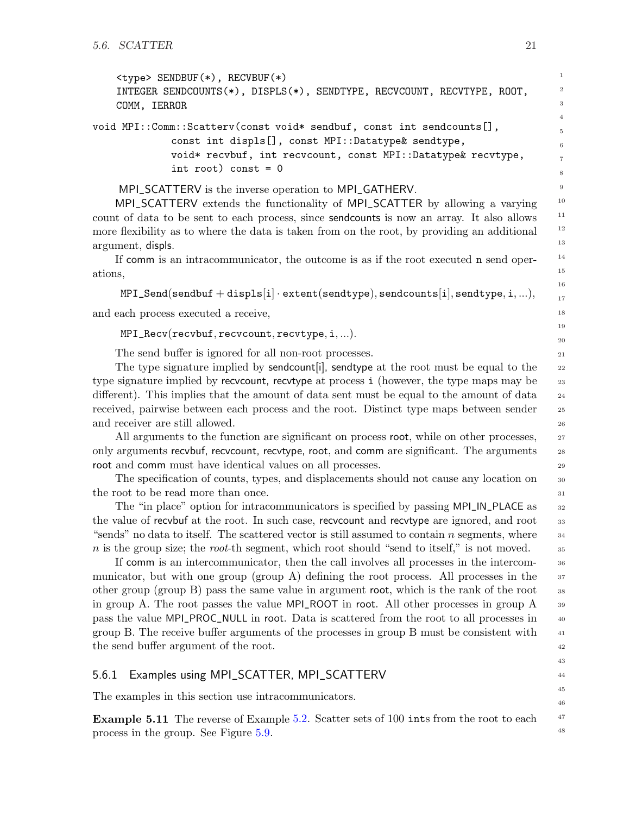```
<type> SENDBUF(*), RECVBUF(*)
   INTEGER SENDCOUNTS(*), DISPLS(*), SENDTYPE, RECVCOUNT, RECVTYPE, ROOT,
   COMM, IERROR
void MPI::Comm::Scatterv(const void* sendbuf, const int sendcounts[],
```
const int displs[], const MPI::Datatype& sendtype, void\* recvbuf, int recvcount, const MPI::Datatype& recvtype, int root) const =  $0$ 

MPI\_SCATTERV is the inverse operation to MPI\_GATHERV.

MPI\_SCATTERV extends the functionality of MPI\_SCATTER by allowing a varying count of data to be sent to each process, since sendcounts is now an array. It also allows more flexibility as to where the data is taken from on the root, by providing an additional argument, displs.

If comm is an intracommunicator, the outcome is as if the root executed n send operations,

```
MPI\_Send(sendbuf + display[spls[i] \cdot extent(sendtype), sendcounts[i], sendtype,i,...),
```
and each process executed a receive,

MPI\_Recv(recvbuf, recvcount, recvtype, i,...).

The send buffer is ignored for all non-root processes.

The type signature implied by sendcount i, send type at the root must be equal to the type signature implied by recvcount, recvtype at process i (however, the type maps may be different). This implies that the amount of data sent must be equal to the amount of data received, pairwise between each process and the root. Distinct type maps between sender and receiver are still allowed.

All arguments to the function are significant on process root, while on other processes, only arguments recvbuf, recvcount, recvtype, root, and comm are significant. The arguments root and comm must have identical values on all processes.

The specification of counts, types, and displacements should not cause any location on the root to be read more than once.

The "in place" option for intracommunicators is specified by passing MPI\_IN\_PLACE as the value of recvbuf at the root. In such case, recvcount and recvtype are ignored, and root "sends" no data to itself. The scattered vector is still assumed to contain  $n$  segments, where  $n$  is the group size; the root-th segment, which root should "send to itself," is not moved.

If comm is an intercommunicator, then the call involves all processes in the intercommunicator, but with one group (group A) defining the root process. All processes in the other group (group B) pass the same value in argument root, which is the rank of the root in group A. The root passes the value MPI\_ROOT in root. All other processes in group A pass the value MPI\_PROC\_NULL in root. Data is scattered from the root to all processes in

# <span id="page-24-0"></span>group B. The receive buffer arguments of the processes in group B must be consistent with the send buffer argument of the root. 5.6.1 Examples using MPI\_SCATTER, MPI\_SCATTERV The examples in this section use intracommunicators.

Example 5.11 The reverse of Example [5.2.](#page-15-1) Scatter sets of 100 ints from the root to each process in the group. See Figure [5.9.](#page-25-0)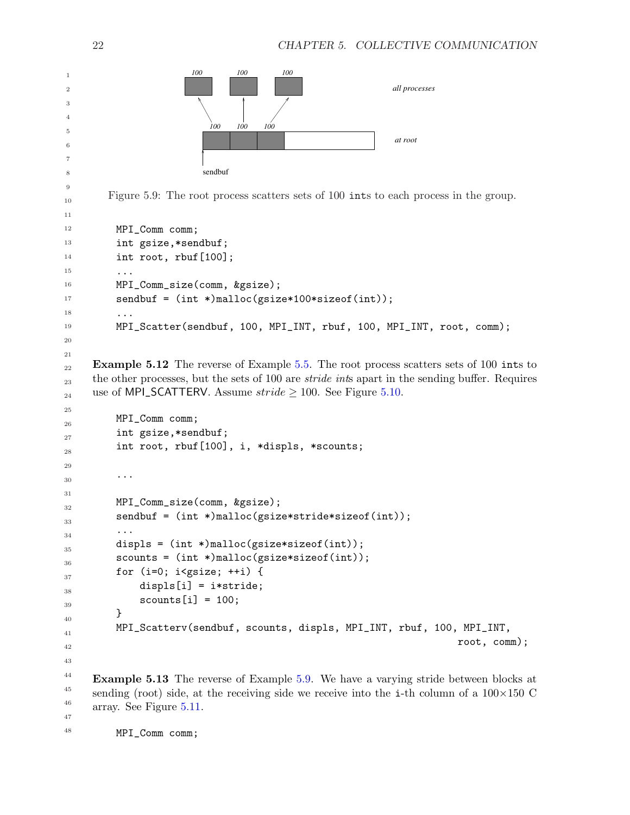```
100 100 100
                            100 100
                           sendbuf
                                       100
                                                                at root
                                                                all processes
        Figure 5.9: The root process scatters sets of 100 ints to each process in the group.
          MPI_Comm comm;
          int gsize,*sendbuf;
          int root, rbuf[100];
          ...
          MPI_Comm_size(comm, &gsize);
          sendbuf = (int *)malloc(gsize*100*sizeof(int));
          ...
          MPI_Scatter(sendbuf, 100, MPI_INT, rbuf, 100, MPI_INT, root, comm);
     Example 5.12 The reverse of Example 5.5. The root process scatters sets of 100 ints to
     the other processes, but the sets of 100 are stride ints apart in the sending buffer. Requires
     use of MPI_SCATTERV. Assume \text{stride} \geq 1005.10.
          MPI_Comm comm;
          int gsize,*sendbuf;
          int root, rbuf[100], i, *displs, *scounts;
          ...
          MPI_Comm_size(comm, &gsize);
          sendbuf = (int *)malloc(gsize*stride*sizeof(int));
          ...
          displs = (int *)malloc(gsize*sizeof(int));
          scounts = (int *)malloc(gsize*sizeof(int));
          for (i=0; i< gsize; ++i) {
              displs[i] = i*stride;
              scounts[i] = 100;}
          MPI_Scatterv(sendbuf, scounts, displs, MPI_INT, rbuf, 100, MPI_INT,
                                                                             root, comm);
     Example 5.13 The reverse of Example 5.9. We have a varying stride between blocks at
     sending (root) side, at the receiving side we receive into the i-th column of a 100\times150 C
     array. See Figure 5.11.
          MPI_Comm comm;
1
2
3
4
5
6
7
8
9
10
11
12
13
14
15
16
17
18
19
20
21
22
23
24
25
26
27
28
29
30
31
32
33
34
35
36
37
38
39
40
41
42
43
44
45
46
47
48
```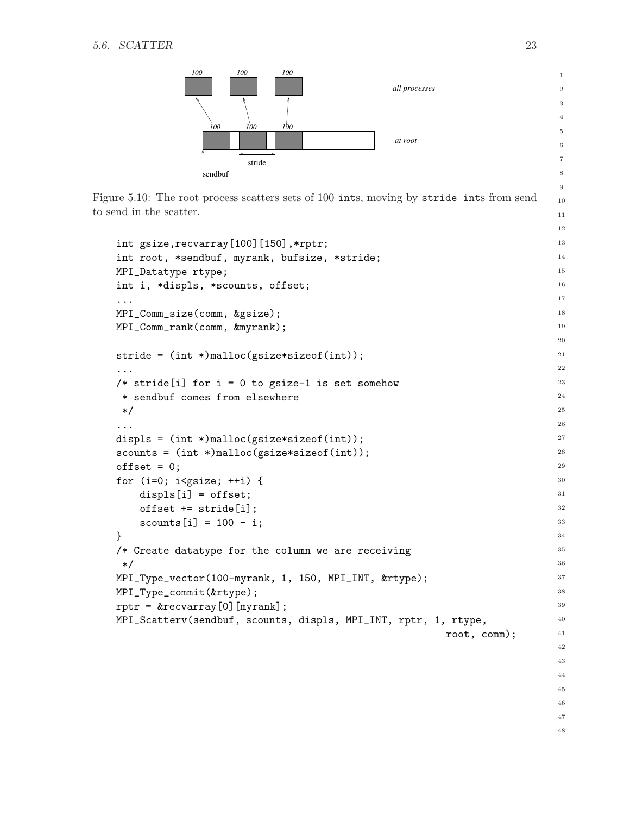

<span id="page-26-0"></span>Figure 5.10: The root process scatters sets of 100 ints, moving by stride ints from send to send in the scatter.

```
int gsize, recvarray[100][150],*rptr;
int root, *sendbuf, myrank, bufsize, *stride;
MPI_Datatype rtype;
int i, *displs, *scounts, offset;
...
MPI_Comm_size(comm, &gsize);
MPI_Comm_rank(comm, &myrank);
stride = (int *)malloc(gsize*sizeof(int));
...
/* stride[i] for i = 0 to gsize-1 is set somehow
 * sendbuf comes from elsewhere
 */
...
displs = (int *)malloc(gsize*sizeof(int));
scounts = (int *)malloc(gsize*sizeof(int));
offset = 0;
for (i=0; i< gsize; ++i) {
    displs[i] = offset;
    offset += stride[i];
    scounts[i] = 100 - i;}
/* Create datatype for the column we are receiving
 */
MPI_Type_vector(100-myrank, 1, 150, MPI_INT, &rtype);
MPI_Type_commit(&rtype);
rptr = \&recvarray[0][myrank];MPI_Scatterv(sendbuf, scounts, displs, MPI_INT, rptr, 1, rtype,
                                                         root, comm);
```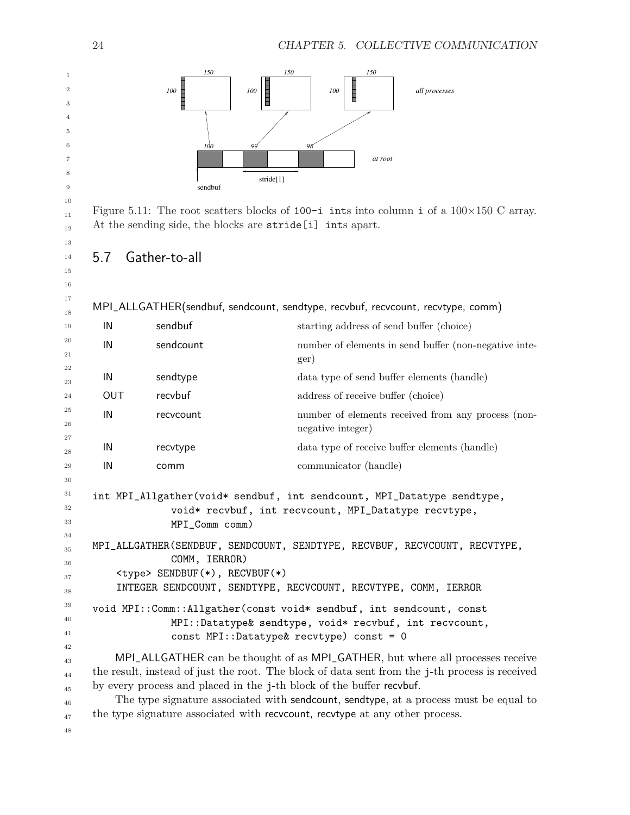

<span id="page-27-1"></span>Figure 5.11: The root scatters blocks of 100-i ints into column i of a  $100\times150$  C array. At the sending side, the blocks are stride[i] ints apart.

# <span id="page-27-0"></span>5.7 Gather-to-all

MPI\_ALLGATHER(sendbuf, sendcount, sendtype, recvbuf, recvcount, recvtype, comm)

| 19                         | IN         | sendbuf                                                              | starting address of send buffer (choice)                                                                                                                                                                                                                                                                                                                  |
|----------------------------|------------|----------------------------------------------------------------------|-----------------------------------------------------------------------------------------------------------------------------------------------------------------------------------------------------------------------------------------------------------------------------------------------------------------------------------------------------------|
| 20<br>21                   | IN         | sendcount                                                            | number of elements in send buffer (non-negative inte-<br>ger)                                                                                                                                                                                                                                                                                             |
| 22<br>23                   | IN         | sendtype                                                             | data type of send buffer elements (handle)                                                                                                                                                                                                                                                                                                                |
| 24                         | <b>OUT</b> | recvbuf                                                              | address of receive buffer (choice)                                                                                                                                                                                                                                                                                                                        |
| 25<br>26                   | IN         | recvcount                                                            | number of elements received from any process (non-<br>negative integer)                                                                                                                                                                                                                                                                                   |
| 27<br>28                   | IN         | recvtype                                                             | data type of receive buffer elements (handle)                                                                                                                                                                                                                                                                                                             |
| 29                         | IN         | comm                                                                 | communicator (handle)                                                                                                                                                                                                                                                                                                                                     |
| 31<br>32<br>33             |            | MPI_Comm comm)                                                       | int MPI_Allgather(void* sendbuf, int sendcount, MPI_Datatype sendtype,<br>void* recvbuf, int recvcount, MPI_Datatype recvtype,                                                                                                                                                                                                                            |
| 34<br>35<br>36<br>37       |            | COMM, IERROR)<br><type> SENDBUF(*), RECVBUF(*)</type>                | MPI_ALLGATHER(SENDBUF, SENDCOUNT, SENDTYPE, RECVBUF, RECVCOUNT, RECVTYPE,<br>INTEGER SENDCOUNT, SENDTYPE, RECVCOUNT, RECVTYPE, COMM, IERROR                                                                                                                                                                                                               |
| 38<br>39<br>40<br>41       |            | const MPI::Datatype& recvtype) const = 0                             | void MPI::Comm::Allgather(const void* sendbuf, int sendcount, const<br>MPI::Datatype& sendtype, void* recvbuf, int recvcount,                                                                                                                                                                                                                             |
| 42<br>43<br>44<br>45<br>46 |            | by every process and placed in the j-th block of the buffer recvbuf. | MPI_ALLGATHER can be thought of as MPI_GATHER, but where all processes receive<br>the result, instead of just the root. The block of data sent from the j-th process is received<br>The type signature associated with sendcount, sendtype, at a process must be equal to<br>the type signature associated with recvocunt, recvtype at any other process. |
| 47                         |            |                                                                      |                                                                                                                                                                                                                                                                                                                                                           |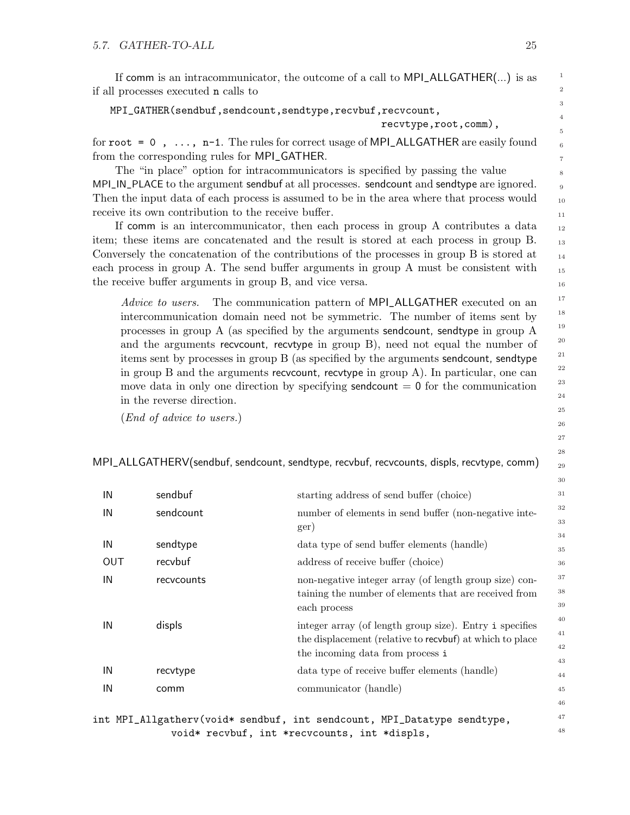If comm is an intracommunicator, the outcome of a call to MPI\_ALLGATHER(...) is as if all processes executed n calls to

```
MPI_GATHER(sendbuf,sendcount,sendtype,recvbuf,recvcount,
```

```
recvtype,root,comm),
```
for  $root = 0$ ,  $\dots$ ,  $n-1$ . The rules for correct usage of MPI\_ALLGATHER are easily found from the corresponding rules for MPI\_GATHER.

The "in place" option for intracommunicators is specified by passing the value MPI\_IN\_PLACE to the argument sendbuf at all processes. sendcount and sendtype are ignored. Then the input data of each process is assumed to be in the area where that process would receive its own contribution to the receive buffer.

If comm is an intercommunicator, then each process in group A contributes a data item; these items are concatenated and the result is stored at each process in group B. Conversely the concatenation of the contributions of the processes in group B is stored at each process in group A. The send buffer arguments in group A must be consistent with the receive buffer arguments in group B, and vice versa.

Advice to users. The communication pattern of MPI\_ALLGATHER executed on an intercommunication domain need not be symmetric. The number of items sent by processes in group A (as specified by the arguments sendcount, sendtype in group A and the arguments recvcount, recvtype in group B), need not equal the number of items sent by processes in group B (as specified by the arguments sendcount, sendtype in group B and the arguments recvcount, recvtype in group A). In particular, one can move data in only one direction by specifying sendcount  $= 0$  for the communication in the reverse direction.

(End of advice to users.)

MPI\_ALLGATHERV(sendbuf, sendcount, sendtype, recvbuf, recvcounts, displs, recvtype, comm)

| IN         | sendbuf    | starting address of send buffer (choice)                 | 31       |
|------------|------------|----------------------------------------------------------|----------|
| IN         | sendcount  | number of elements in send buffer (non-negative inte-    | 32<br>33 |
|            |            | ger)                                                     | 34       |
| IN         | sendtype   | data type of send buffer elements (handle)               | 35       |
| <b>OUT</b> | recybuf    | address of receive buffer (choice)                       | 36       |
| IN         | recycounts | non-negative integer array (of length group size) con-   | 37       |
|            |            | taining the number of elements that are received from    | 38       |
|            |            | each process                                             | 39       |
| IN         | displs     | integer array (of length group size). Entry i specifies  | 40       |
|            |            | the displacement (relative to recvbuf) at which to place | 41       |
|            |            | the incoming data from process i                         | 42       |
|            |            |                                                          | 43       |
| IN         | recvtype   | data type of receive buffer elements (handle)            | 44       |
| IN         | comm       | communicator (handle)                                    | 45       |
|            |            |                                                          | 46       |

int MPI\_Allgatherv(void\* sendbuf, int sendcount, MPI\_Datatype sendtype, void\* recvbuf, int \*recvcounts, int \*displs,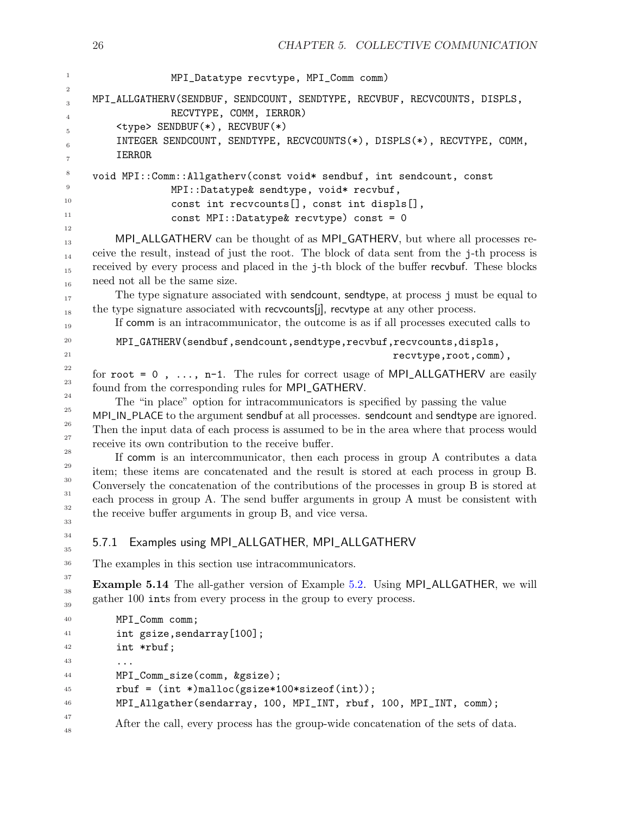```
MPI_Datatype recvtype, MPI_Comm comm)
     MPI_ALLGATHERV(SENDBUF, SENDCOUNT, SENDTYPE, RECVBUF, RECVCOUNTS, DISPLS,
                    RECVTYPE, COMM, IERROR)
          <type> SENDBUF(*), RECVBUF(*)
          INTEGER SENDCOUNT, SENDTYPE, RECVCOUNTS(*), DISPLS(*), RECVTYPE, COMM,
          IERROR
     void MPI::Comm::Allgatherv(const void* sendbuf, int sendcount, const
                    MPI::Datatype& sendtype, void* recvbuf,
                    const int recvcounts[], const int displs[],
                    const MPI::Datatype& recvtype) const = 0
          MPI_ALLGATHERV can be thought of as MPI_GATHERV, but where all processes re-
     ceive the result, instead of just the root. The block of data sent from the j-th process is
     received by every process and placed in the j-th block of the buffer recvbuf. These blocks
     need not all be the same size.
          The type signature associated with sendcount, sendtype, at process j must be equal to
     the type signature associated with recvcounts[j], recvtype at any other process.
          If comm is an intracommunicator, the outcome is as if all processes executed calls to
          MPI_GATHERV(sendbuf,sendcount,sendtype,recvbuf,recvcounts,displs,
                                                               recvtype,root,comm),
     for root = 0, \dots, n-1. The rules for correct usage of MPI_ALLGATHERV are easily
     found from the corresponding rules for MPI_GATHERV.
          The "in place" option for intracommunicators is specified by passing the value
     MPI_IN_PLACE to the argument sendbuf at all processes. sendcount and sendtype are ignored.
     Then the input data of each process is assumed to be in the area where that process would
     receive its own contribution to the receive buffer.
          If comm is an intercommunicator, then each process in group A contributes a data
     item; these items are concatenated and the result is stored at each process in group B.
     Conversely the concatenation of the contributions of the processes in group B is stored at
     each process in group A. The send buffer arguments in group A must be consistent with
     the receive buffer arguments in group B, and vice versa.
     5.7.1 Examples using MPI_ALLGATHER, MPI_ALLGATHERV
     The examples in this section use intracommunicators.
     Example 5.14 The all-gather version of Example 5.2. Using MPI_ALLGATHER, we will
     gather 100 ints from every process in the group to every process.
          MPI_Comm comm;
          int gsize,sendarray[100];
          int *rbuf;
          ...
          MPI_Comm_size(comm, &gsize);
          rbuf = (int *)malloc(gsize*100*sizeof(int));
          MPI_Allgather(sendarray, 100, MPI_INT, rbuf, 100, MPI_INT, comm);
          After the call, every process has the group-wide concatenation of the sets of data.
1
2
3
4
5
6
7
8
9
10
11
12
13
14
15
16
17
18
19
20
21
22
23
24
25
26
27
28
29
30
31
32
33
34
35
36
37
38
39
40
41
42
43
44
45
46
47
48
```
26 CHAPTER 5. COLLECTIVE COMMUNICATION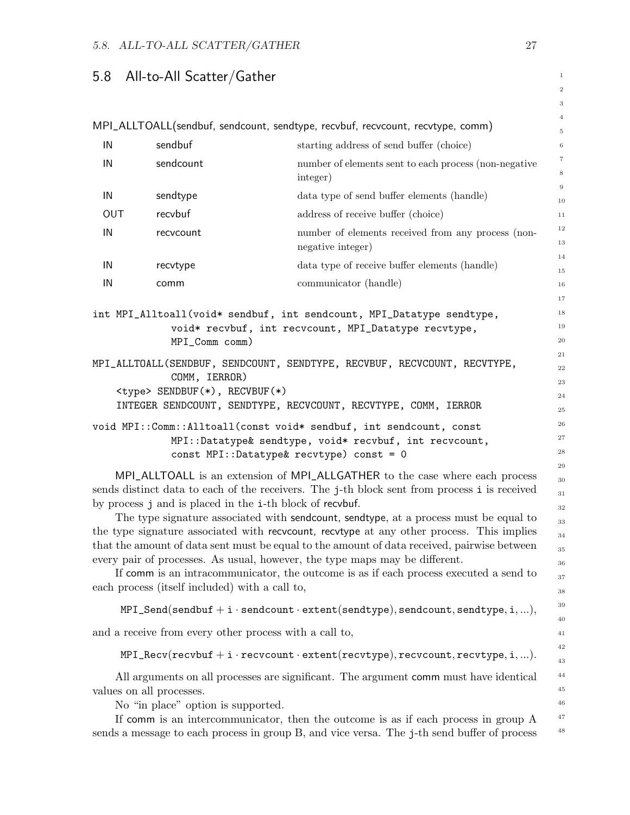# <span id="page-30-0"></span>5.8 All-to-All Scatter/Gather

|     |                                                                |                                                                                                                                                                                                                                                                                                                                                                                                                                                                                                                                                                                                                                                                                                       | $\,2$                                                    |
|-----|----------------------------------------------------------------|-------------------------------------------------------------------------------------------------------------------------------------------------------------------------------------------------------------------------------------------------------------------------------------------------------------------------------------------------------------------------------------------------------------------------------------------------------------------------------------------------------------------------------------------------------------------------------------------------------------------------------------------------------------------------------------------------------|----------------------------------------------------------|
|     |                                                                |                                                                                                                                                                                                                                                                                                                                                                                                                                                                                                                                                                                                                                                                                                       | 3                                                        |
|     |                                                                | MPI_ALLTOALL(sendbuf, sendcount, sendtype, recvbuf, recvcount, recvtype, comm)                                                                                                                                                                                                                                                                                                                                                                                                                                                                                                                                                                                                                        | $\overline{4}$<br>$\,$ 5                                 |
| IN  | sendbuf                                                        | starting address of send buffer (choice)                                                                                                                                                                                                                                                                                                                                                                                                                                                                                                                                                                                                                                                              | $\,$ 6 $\,$                                              |
| IN  | sendcount                                                      | number of elements sent to each process (non-negative<br>integer)                                                                                                                                                                                                                                                                                                                                                                                                                                                                                                                                                                                                                                     | $\,7$<br>$\,$ 8 $\,$                                     |
| IN  | sendtype                                                       | data type of send buffer elements (handle)                                                                                                                                                                                                                                                                                                                                                                                                                                                                                                                                                                                                                                                            | $\,9$<br>10                                              |
| OUT | recvbuf                                                        | address of receive buffer (choice)                                                                                                                                                                                                                                                                                                                                                                                                                                                                                                                                                                                                                                                                    | 11                                                       |
| IN  | recvcount                                                      | number of elements received from any process (non-<br>negative integer)                                                                                                                                                                                                                                                                                                                                                                                                                                                                                                                                                                                                                               | 12<br>13                                                 |
| IN  | recvtype                                                       | data type of receive buffer elements (handle)                                                                                                                                                                                                                                                                                                                                                                                                                                                                                                                                                                                                                                                         | 14<br>15                                                 |
| IN  | comm                                                           | communicator (handle)                                                                                                                                                                                                                                                                                                                                                                                                                                                                                                                                                                                                                                                                                 | 16                                                       |
|     | MPI_Comm comm)                                                 | int MPI_Alltoall(void* sendbuf, int sendcount, MPI_Datatype sendtype,<br>void* recvbuf, int recvcount, MPI_Datatype recvtype,                                                                                                                                                                                                                                                                                                                                                                                                                                                                                                                                                                         | 17<br>18<br>19<br>$20\,$<br>$\sqrt{21}$                  |
|     | COMM, IERROR)<br><type> SENDBUF(*), RECVBUF(*)</type>          | MPI_ALLTOALL(SENDBUF, SENDCOUNT, SENDTYPE, RECVBUF, RECVCOUNT, RECVTYPE,<br>INTEGER SENDCOUNT, SENDTYPE, RECVCOUNT, RECVTYPE, COMM, IERROR<br>void MPI::Comm::Alltoall(const void* sendbuf, int sendcount, const                                                                                                                                                                                                                                                                                                                                                                                                                                                                                      | 22<br>23<br>24<br>25<br>26                               |
|     |                                                                | MPI::Datatype& sendtype, void* recvbuf, int recvcount,<br>const MPI::Datatype& recvtype) const = 0                                                                                                                                                                                                                                                                                                                                                                                                                                                                                                                                                                                                    | 27<br>28                                                 |
|     | each process (itself included) with a call to,                 | MPI_ALLTOALL is an extension of MPI_ALLGATHER to the case where each process<br>sends distinct data to each of the receivers. The j-th block sent from process i is received<br>by process j and is placed in the i-th block of recvbuf.<br>The type signature associated with sendcount, sendtype, at a process must be equal to<br>the type signature associated with recvoount, recvtype at any other process. This implies<br>that the amount of data sent must be equal to the amount of data received, pairwise between<br>every pair of processes. As usual, however, the type maps may be different.<br>If comm is an intracommunicator, the outcome is as if each process executed a send to | 29<br>30<br>31<br>32<br>33<br>34<br>35<br>36<br>37<br>38 |
|     |                                                                | $MPI\_Send(sendbuf + i\cdot sendcount\cdot extent(sendtype), sendcount, sendtype, i, ),$                                                                                                                                                                                                                                                                                                                                                                                                                                                                                                                                                                                                              | 39<br>40                                                 |
|     | and a receive from every other process with a call to,         |                                                                                                                                                                                                                                                                                                                                                                                                                                                                                                                                                                                                                                                                                                       | 41                                                       |
|     |                                                                | $\verb+MPI\_Recv (recvbut + i \cdot recvcount \cdot extent (recvtype), recvcount, recvtype, i, ).$                                                                                                                                                                                                                                                                                                                                                                                                                                                                                                                                                                                                    | 42<br>43                                                 |
|     | values on all processes.<br>No "in place" option is supported. | All arguments on all processes are significant. The argument comm must have identical<br>If comm is an intercommunicator, then the outcome is as if each process in group A<br>sends a message to each process in group B, and vice versa. The j-th send buffer of process                                                                                                                                                                                                                                                                                                                                                                                                                            | 44<br>$\rm 45$<br>46<br>47<br>48                         |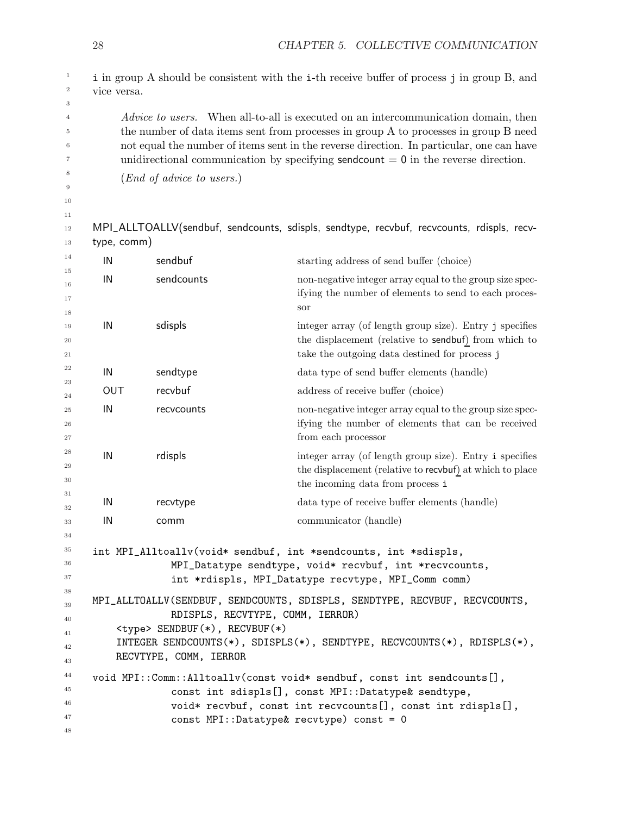|             |                                      | i in group A should be consistent with the i-th receive buffer of process j in group B, and                                                                                                                                                                                   |
|-------------|--------------------------------------|-------------------------------------------------------------------------------------------------------------------------------------------------------------------------------------------------------------------------------------------------------------------------------|
| vice versa. |                                      |                                                                                                                                                                                                                                                                               |
|             |                                      | <i>Advice to users.</i> When all-to-all is executed on an intercommunication domain, then<br>the number of data items sent from processes in group A to processes in group B need<br>not equal the number of items sent in the reverse direction. In particular, one can have |
|             |                                      | unidirectional communication by specifying sendcount $= 0$ in the reverse direction.                                                                                                                                                                                          |
|             | $(End\ of\ advice\ to\ users.)$      |                                                                                                                                                                                                                                                                               |
|             |                                      |                                                                                                                                                                                                                                                                               |
|             |                                      |                                                                                                                                                                                                                                                                               |
|             |                                      | MPI_ALLTOALLV(sendbuf, sendcounts, sdispls, sendtype, recvbuf, recvcounts, rdispls, recv-                                                                                                                                                                                     |
| type, comm) |                                      |                                                                                                                                                                                                                                                                               |
| IN          | sendbuf                              | starting address of send buffer (choice)                                                                                                                                                                                                                                      |
| IN          | sendcounts                           | non-negative integer array equal to the group size spec-<br>ifying the number of elements to send to each proces-<br>sor                                                                                                                                                      |
| IN          | sdispls                              | integer array (of length group size). Entry j specifies<br>the displacement (relative to sendbuf) from which to<br>take the outgoing data destined for process j                                                                                                              |
| IN          | sendtype                             | data type of send buffer elements (handle)                                                                                                                                                                                                                                    |
| OUT         | recvbuf                              | address of receive buffer (choice)                                                                                                                                                                                                                                            |
| IN          | recvcounts                           | non-negative integer array equal to the group size spec-<br>ifying the number of elements that can be received<br>from each processor                                                                                                                                         |
| IN          | rdispls                              | integer array (of length group size). Entry i specifies<br>the displacement (relative to recvbuf) at which to place<br>the incoming data from process i                                                                                                                       |
| IN          | recvtype                             | data type of receive buffer elements (handle)                                                                                                                                                                                                                                 |
| IN          | comm                                 | communicator (handle)                                                                                                                                                                                                                                                         |
|             |                                      | int MPI_Alltoallv(void* sendbuf, int *sendcounts, int *sdispls,<br>MPI_Datatype sendtype, void* recvbuf, int *recvcounts,<br>int *rdispls, MPI_Datatype recvtype, MPI_Comm comm)                                                                                              |
|             | <type> SENDBUF(*), RECVBUF(*)</type> | MPI_ALLTOALLV(SENDBUF, SENDCOUNTS, SDISPLS, SENDTYPE, RECVBUF, RECVCOUNTS,<br>RDISPLS, RECVTYPE, COMM, IERROR)                                                                                                                                                                |
|             |                                      |                                                                                                                                                                                                                                                                               |
|             | RECVTYPE, COMM, IERROR               | INTEGER SENDCOUNTS $(*)$ , SDISPLS $(*)$ , SENDTYPE, RECVCOUNTS $(*)$ , RDISPLS $(*)$ ,                                                                                                                                                                                       |

28 CHAPTER 5. COLLECTIVE COMMUNICATION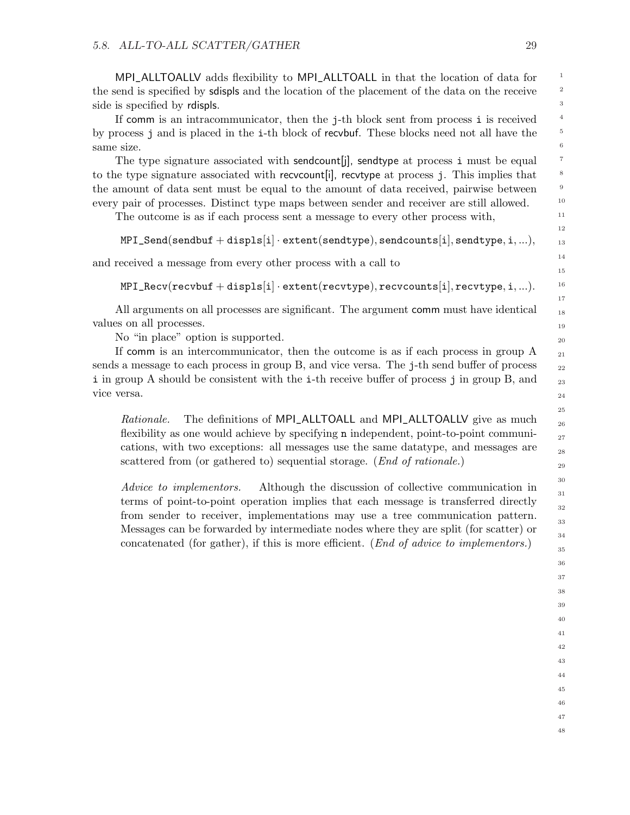MPI\_ALLTOALLV adds flexibility to MPI\_ALLTOALL in that the location of data for the send is specified by sdispls and the location of the placement of the data on the receive side is specified by rdispls.

If comm is an intracommunicator, then the j-th block sent from process i is received by process j and is placed in the i-th block of recvbuf. These blocks need not all have the same size.

The type signature associated with sendcount is send type at process i must be equal to the type signature associated with recvcount[i], recvtype at process j. This implies that the amount of data sent must be equal to the amount of data received, pairwise between every pair of processes. Distinct type maps between sender and receiver are still allowed.

The outcome is as if each process sent a message to every other process with,

```
MPI\_Send(sendbuf + display[spls[i] \cdot extent(sendtype), sendcounts[i], sendtype,i,...),
```
and received a message from every other process with a call to

 $MPI\_Recv(recvbut + display[s] \cdot extent(recvtype), recvcounts[i], recvtype, i, ...).$ 

All arguments on all processes are significant. The argument comm must have identical values on all processes.

No "in place" option is supported.

If comm is an intercommunicator, then the outcome is as if each process in group A sends a message to each process in group B, and vice versa. The j-th send buffer of process i in group A should be consistent with the i-th receive buffer of process j in group B, and vice versa.

Rationale. The definitions of MPI\_ALLTOALL and MPI\_ALLTOALLV give as much flexibility as one would achieve by specifying n independent, point-to-point communications, with two exceptions: all messages use the same datatype, and messages are scattered from (or gathered to) sequential storage. (End of rationale.)

Advice to implementors. Although the discussion of collective communication in terms of point-to-point operation implies that each message is transferred directly from sender to receiver, implementations may use a tree communication pattern. Messages can be forwarded by intermediate nodes where they are split (for scatter) or concatenated (for gather), if this is more efficient. (End of advice to implementors.)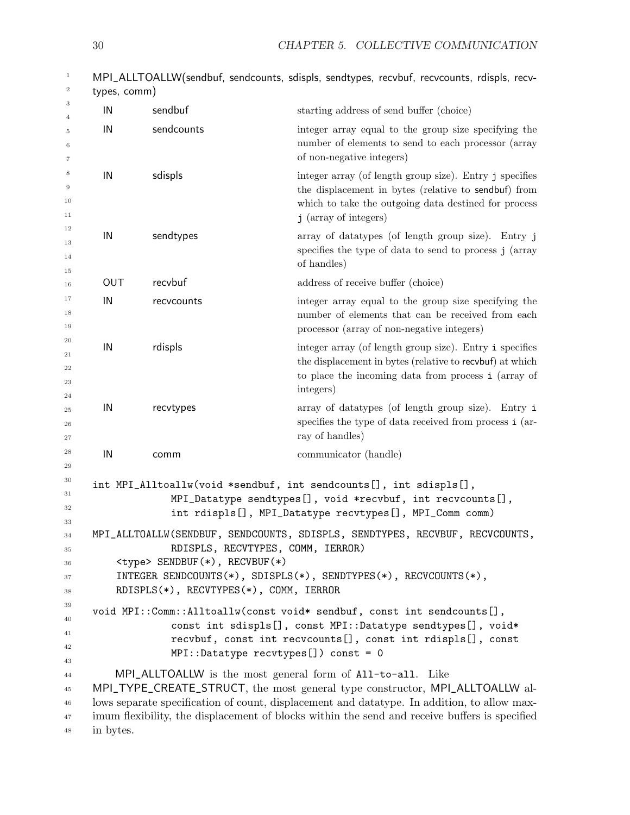| $\mathbf{1}$<br>$\,2$            | types, comm)                                                                                                                                                                                                                                                                                                                                             |            | MPI_ALLTOALLW(sendbuf, sendcounts, sdispls, sendtypes, recvbuf, recvcounts, rdispls, recv-                                                                                                       |
|----------------------------------|----------------------------------------------------------------------------------------------------------------------------------------------------------------------------------------------------------------------------------------------------------------------------------------------------------------------------------------------------------|------------|--------------------------------------------------------------------------------------------------------------------------------------------------------------------------------------------------|
| 3                                | IN                                                                                                                                                                                                                                                                                                                                                       | sendbuf    | starting address of send buffer (choice)                                                                                                                                                         |
| $\overline{4}$<br>5<br>6<br>7    | IN                                                                                                                                                                                                                                                                                                                                                       | sendcounts | integer array equal to the group size specifying the<br>number of elements to send to each processor (array<br>of non-negative integers)                                                         |
| 8<br>9<br>10<br>11               | IN                                                                                                                                                                                                                                                                                                                                                       | sdispls    | integer array (of length group size). Entry j specifies<br>the displacement in bytes (relative to sendbuf) from<br>which to take the outgoing data destined for process<br>j (array of integers) |
| 12<br>13<br>14<br>15             | IN                                                                                                                                                                                                                                                                                                                                                       | sendtypes  | array of datatypes (of length group size). Entry j<br>specifies the type of data to send to process j (array<br>of handles)                                                                      |
| 16                               | OUT                                                                                                                                                                                                                                                                                                                                                      | recvbuf    | address of receive buffer (choice)                                                                                                                                                               |
| 17<br>18<br>19                   | IN                                                                                                                                                                                                                                                                                                                                                       | recvcounts | integer array equal to the group size specifying the<br>number of elements that can be received from each<br>processor (array of non-negative integers)                                          |
| 20<br>21<br>22<br>23<br>24       | IN                                                                                                                                                                                                                                                                                                                                                       | rdispls    | integer array (of length group size). Entry i specifies<br>the displacement in bytes (relative to recvbuf) at which<br>to place the incoming data from process i (array of<br>integers)          |
| 25<br>26<br>27                   | IN                                                                                                                                                                                                                                                                                                                                                       | recvtypes  | array of datatypes (of length group size). Entry i<br>specifies the type of data received from process i (ar-<br>ray of handles)                                                                 |
| 28<br>29                         | IN                                                                                                                                                                                                                                                                                                                                                       | comm       | communicator (handle)                                                                                                                                                                            |
| 30<br>31<br>32                   |                                                                                                                                                                                                                                                                                                                                                          |            | int MPI_Alltoallw(void *sendbuf, int sendcounts[], int sdispls[],<br>MPI_Datatype sendtypes[], void *recvbuf, int recvcounts[],<br>int rdispls[], MPI_Datatype recvtypes[], MPI_Comm comm)       |
| 33<br>34<br>35<br>36<br>37<br>38 | MPI_ALLTOALLW(SENDBUF, SENDCOUNTS, SDISPLS, SENDTYPES, RECVBUF, RECVCOUNTS,<br>RDISPLS, RECVTYPES, COMM, IERROR)<br><type> SENDBUF(*), RECVBUF(*)<br/>INTEGER SENDCOUNTS<math>(*)</math>, SDISPLS<math>(*)</math>, SENDTYPES<math>(*)</math>, RECVCOUNTS<math>(*)</math>,<br/>RDISPLS(*), RECVTYPES(*), COMM, IERROR</type>                              |            |                                                                                                                                                                                                  |
| 39<br>40<br>41<br>42<br>43       | void MPI::Comm::Alltoallw(const void* sendbuf, const int sendcounts[],<br>const int sdispls[], const MPI::Datatype sendtypes[], void*<br>recvbuf, const int recvcounts[], const int rdispls[], const<br>$MPI::Datatype$ recvtypes $[]$ ) const = 0                                                                                                       |            |                                                                                                                                                                                                  |
| 44<br>45<br>46<br>47<br>48       | MPI_ALLTOALLW is the most general form of All-to-all. Like<br>MPI_TYPE_CREATE_STRUCT, the most general type constructor, MPI_ALLTOALLW al-<br>lows separate specification of count, displacement and data type. In addition, to allow max-<br>imum flexibility, the displacement of blocks within the send and receive buffers is specified<br>in bytes. |            |                                                                                                                                                                                                  |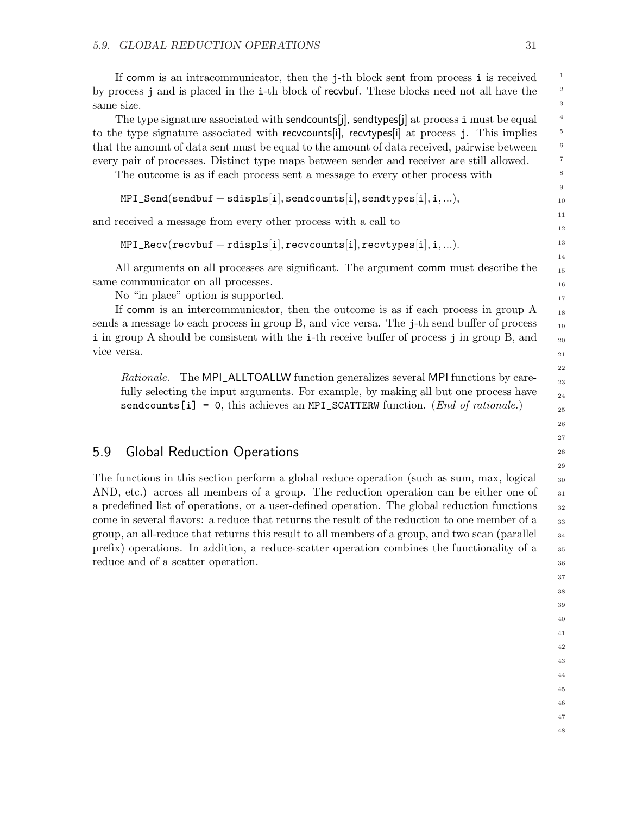If comm is an intracommunicator, then the j-th block sent from process i is received by process j and is placed in the i-th block of recvbuf. These blocks need not all have the same size.

The type signature associated with sendcounts[j], sendtypes[j] at process i must be equal to the type signature associated with recvcounts[i], recvtypes[i] at process j. This implies that the amount of data sent must be equal to the amount of data received, pairwise between every pair of processes. Distinct type maps between sender and receiver are still allowed.

The outcome is as if each process sent a message to every other process with

```
MPI\_Send(sendbuf + \text{sdispls}[i], \text{sendcounts}[i], \text{sendtypes}[i], i,...),
```
and received a message from every other process with a call to

```
MPI\_Recv(recvbuf + rdispls[i], recvcounts[i], recvtypes[i], i,...).
```
All arguments on all processes are significant. The argument comm must describe the same communicator on all processes.

No "in place" option is supported.

If comm is an intercommunicator, then the outcome is as if each process in group A sends a message to each process in group B, and vice versa. The j-th send buffer of process i in group A should be consistent with the i-th receive buffer of process j in group B, and vice versa.

Rationale. The MPI\_ALLTOALLW function generalizes several MPI functions by carefully selecting the input arguments. For example, by making all but one process have sendcounts [i] = 0, this achieves an MPI\_SCATTERW function. (*End of rationale*.)

## <span id="page-34-0"></span>5.9 Global Reduction Operations

The functions in this section perform a global reduce operation (such as sum, max, logical AND, etc.) across all members of a group. The reduction operation can be either one of a predefined list of operations, or a user-defined operation. The global reduction functions come in several flavors: a reduce that returns the result of the reduction to one member of a group, an all-reduce that returns this result to all members of a group, and two scan (parallel prefix) operations. In addition, a reduce-scatter operation combines the functionality of a reduce and of a scatter operation.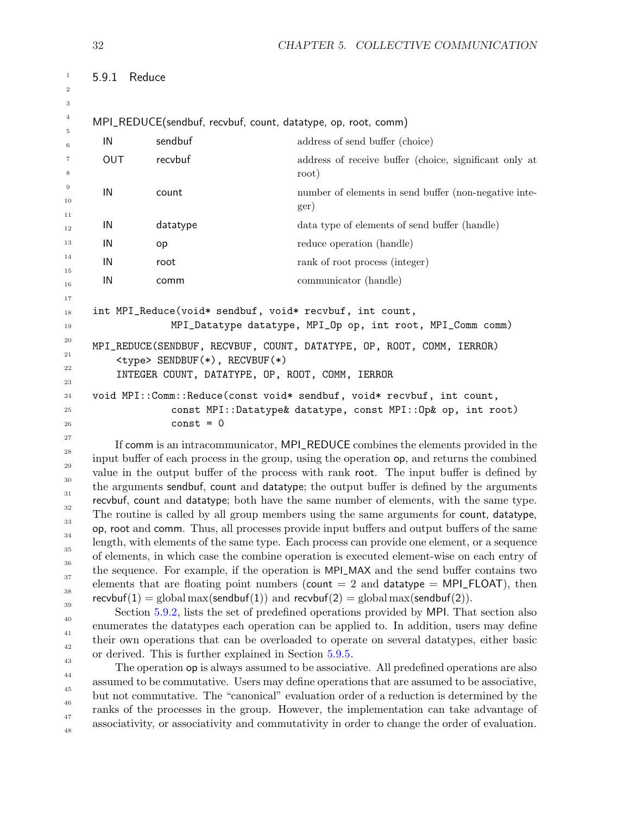```
32 CHAPTER 5. COLLECTIVE COMMUNICATION
    5.9.1 Reduce
    MPI_REDUCE(sendbuf, recvbuf, count, datatype, op, root, comm)
      IN sendbuf address of send buffer (choice)
      OUT recvbuf address of receive buffer (choice, significant only at
                                     root)
      IN count number of elements in send buffer (non-negative inte-
                                     ger)
      IN datatype data type of elements of send buffer (handle)
      IN op reduce operation (handle)
      IN root rank of root process (integer)
      IN communicator (handle)
    int MPI_Reduce(void* sendbuf, void* recvbuf, int count,
                 MPI_Datatype datatype, MPI_Op op, int root, MPI_Comm comm)
    MPI_REDUCE(SENDBUF, RECVBUF, COUNT, DATATYPE, OP, ROOT, COMM, IERROR)
        <type> SENDBUF(*), RECVBUF(*)
        INTEGER COUNT, DATATYPE, OP, ROOT, COMM, IERROR
    void MPI::Comm::Reduce(const void* sendbuf, void* recvbuf, int count,
                 const MPI::Datatype& datatype, const MPI::Op& op, int root)
                 const = 0If comm is an intracommunicator, MPI_REDUCE combines the elements provided in the
    input buffer of each process in the group, using the operation op, and returns the combined
1
2
3
4
5
6
7
8
9
10
11
12
13
14
15
16
17
18
19
20
21
22
23
24
25
26
27
28
29
```
value in the output buffer of the process with rank root. The input buffer is defined by the arguments sendbuf, count and datatype; the output buffer is defined by the arguments recvbuf, count and datatype; both have the same number of elements, with the same type. The routine is called by all group members using the same arguments for count, datatype, op, root and comm. Thus, all processes provide input buffers and output buffers of the same length, with elements of the same type. Each process can provide one element, or a sequence of elements, in which case the combine operation is executed element-wise on each entry of the sequence. For example, if the operation is MPI\_MAX and the send buffer contains two elements that are floating point numbers (count  $= 2$  and datatype  $= MPI$  FLOAT), then recvbuf(1) = global max(sendbuf(1)) and recvbuf(2) = global max(sendbuf(2)). 30 31 32 33 34 35 36 37 38 39

Section [5.9.2,](#page-36-0) lists the set of predefined operations provided by MPI. That section also enumerates the datatypes each operation can be applied to. In addition, users may define their own operations that can be overloaded to operate on several datatypes, either basic or derived. This is further explained in Section [5.9.5.](#page-43-0) 40 41 42 43

The operation op is always assumed to be associative. All predefined operations are also assumed to be commutative. Users may define operations that are assumed to be associative, but not commutative. The "canonical" evaluation order of a reduction is determined by the ranks of the processes in the group. However, the implementation can take advantage of associativity, or associativity and commutativity in order to change the order of evaluation. 44 45 46 47 48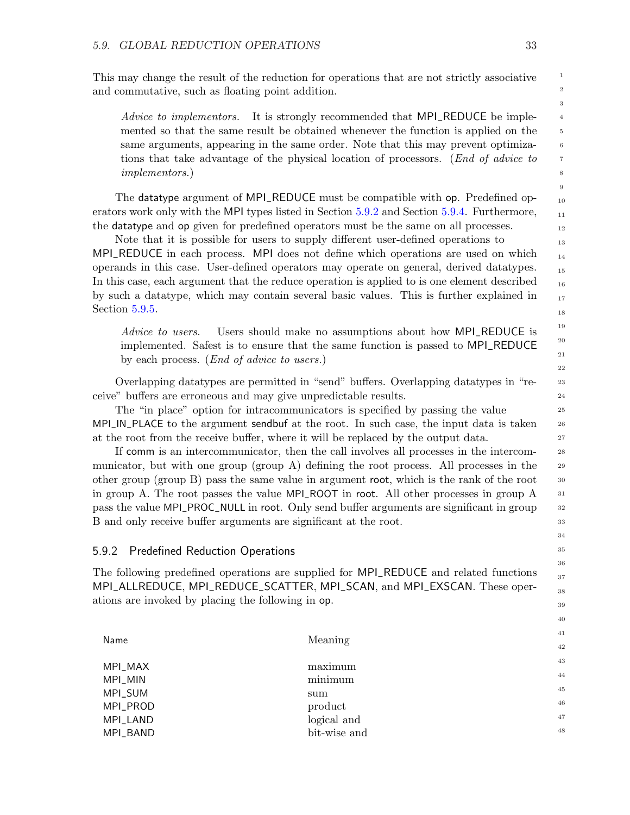This may change the result of the reduction for operations that are not strictly associative and commutative, such as floating point addition.

Advice to implementors. It is strongly recommended that MPI\_REDUCE be implemented so that the same result be obtained whenever the function is applied on the same arguments, appearing in the same order. Note that this may prevent optimizations that take advantage of the physical location of processors. (End of advice to implementors.)

The datatype argument of MPI\_REDUCE must be compatible with op. Predefined operators work only with the MPI types listed in Section [5.9.2](#page-36-0) and Section [5.9.4.](#page-39-0) Furthermore, the datatype and op given for predefined operators must be the same on all processes.

Note that it is possible for users to supply different user-defined operations to MPI\_REDUCE in each process. MPI does not define which operations are used on which operands in this case. User-defined operators may operate on general, derived datatypes. In this case, each argument that the reduce operation is applied to is one element described by such a datatype, which may contain several basic values. This is further explained in Section [5.9.5.](#page-43-0)

Advice to users. Users should make no assumptions about how MPI\_REDUCE is implemented. Safest is to ensure that the same function is passed to MPI\_REDUCE by each process. (End of advice to users.)

Overlapping datatypes are permitted in "send" buffers. Overlapping datatypes in "receive" buffers are erroneous and may give unpredictable results.

The "in place" option for intracommunicators is specified by passing the value MPI\_IN\_PLACE to the argument sendbuf at the root. In such case, the input data is taken at the root from the receive buffer, where it will be replaced by the output data.

If comm is an intercommunicator, then the call involves all processes in the intercommunicator, but with one group  $(\text{group A})$  defining the root process. All processes in the other group (group B) pass the same value in argument root, which is the rank of the root in group A. The root passes the value MPI\_ROOT in root. All other processes in group A pass the value MPI\_PROC\_NULL in root. Only send buffer arguments are significant in group B and only receive buffer arguments are significant at the root.

#### <span id="page-36-0"></span>5.9.2 Predefined Reduction Operations

The following predefined operations are supplied for MPI\_REDUCE and related functions MPI\_ALLREDUCE, MPI\_REDUCE\_SCATTER, MPI\_SCAN, and MPI\_EXSCAN. These operations are invoked by placing the following in op.

| Name     | Meaning      |
|----------|--------------|
| MPI_MAX  | maximum      |
| MPI_MIN  | minimum      |
| MPI_SUM  | sum          |
| MPI_PROD | product      |
| MPI_LAND | logical and  |
| MPI_BAND | bit-wise and |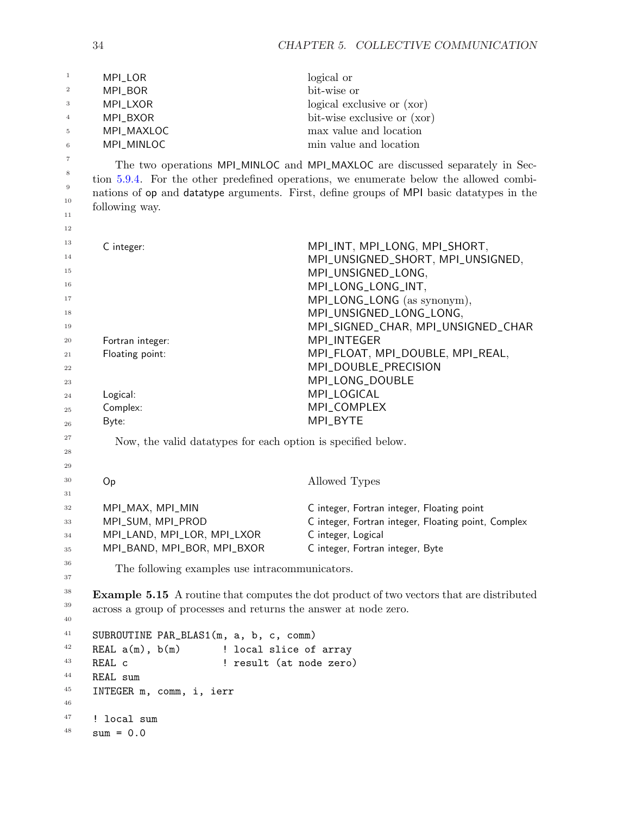| $\mathbf{1}$ | MPI_LOR                                                          | logical or                                                                                      |
|--------------|------------------------------------------------------------------|-------------------------------------------------------------------------------------------------|
| 2            | MPI_BOR                                                          | bit-wise or                                                                                     |
| 3            | MPI_LXOR                                                         | logical exclusive or (xor)                                                                      |
| 4            | MPI_BXOR                                                         | bit-wise exclusive or (xor)                                                                     |
| 5            | MPI_MAXLOC                                                       | max value and location                                                                          |
| 6            | MPI_MINLOC                                                       | min value and location                                                                          |
| 7            |                                                                  | The two operations MPI_MINLOC and MPI_MAXLOC are discussed separately in Sec-                   |
| 8            |                                                                  | tion 5.9.4. For the other predefined operations, we enumerate below the allowed combi-          |
| $9\,$        |                                                                  | nations of op and datatype arguments. First, define groups of MPI basic datatypes in the        |
| 10           | following way.                                                   |                                                                                                 |
| 11           |                                                                  |                                                                                                 |
| 12           |                                                                  |                                                                                                 |
| 13           | C integer:                                                       | MPI_INT, MPI_LONG, MPI_SHORT,                                                                   |
| 14           |                                                                  | MPI_UNSIGNED_SHORT, MPI_UNSIGNED,                                                               |
| 15           |                                                                  | MPI_UNSIGNED_LONG,                                                                              |
| 16           |                                                                  | MPI_LONG_LONG_INT,                                                                              |
| 17           |                                                                  | MPI_LONG_LONG (as synonym),                                                                     |
| 18           |                                                                  | MPI_UNSIGNED_LONG_LONG,                                                                         |
| 19           |                                                                  | MPI_SIGNED_CHAR, MPI_UNSIGNED_CHAR                                                              |
| 20           | Fortran integer:                                                 | MPI_INTEGER                                                                                     |
| 21           | Floating point:                                                  | MPI_FLOAT, MPI_DOUBLE, MPI_REAL,                                                                |
| 22           |                                                                  | MPI_DOUBLE_PRECISION                                                                            |
| 23           |                                                                  | MPI_LONG_DOUBLE                                                                                 |
| 24           | Logical:                                                         | MPI_LOGICAL                                                                                     |
| 25           | Complex:                                                         | MPI_COMPLEX                                                                                     |
| 26           | Byte:                                                            | MPI_BYTE                                                                                        |
| 27           | Now, the valid data types for each option is specified below.    |                                                                                                 |
| 28           |                                                                  |                                                                                                 |
| 29           |                                                                  |                                                                                                 |
| 30           | Op                                                               | Allowed Types                                                                                   |
| 31           |                                                                  |                                                                                                 |
| 32           | MPI_MAX, MPI_MIN                                                 | C integer, Fortran integer, Floating point                                                      |
| 33           | MPI_SUM, MPI_PROD                                                | C integer, Fortran integer, Floating point, Complex                                             |
| 34           | MPI_LAND, MPI_LOR, MPI_LXOR                                      | C integer, Logical                                                                              |
| 35           | MPI_BAND, MPI_BOR, MPI_BXOR                                      | C integer, Fortran integer, Byte                                                                |
| 36           | The following examples use intracommunicators.                   |                                                                                                 |
| 37           |                                                                  |                                                                                                 |
| 38           |                                                                  | <b>Example 5.15</b> A routine that computes the dot product of two vectors that are distributed |
| 39           | across a group of processes and returns the answer at node zero. |                                                                                                 |
| 40           |                                                                  |                                                                                                 |
| 41           | SUBROUTINE PAR_BLAS1(m, a, b, c, comm)                           |                                                                                                 |
| 42           | REAL $a(m)$ , $b(m)$ ! local slice of array                      |                                                                                                 |
| 43           | ! result (at node zero)<br>REAL c                                |                                                                                                 |
| 44           | REAL sum                                                         |                                                                                                 |
| 45           | INTEGER m, comm, i, ierr                                         |                                                                                                 |
| 46           |                                                                  |                                                                                                 |
| 47           | ! local sum                                                      |                                                                                                 |
| 48           | $sum = 0.0$                                                      |                                                                                                 |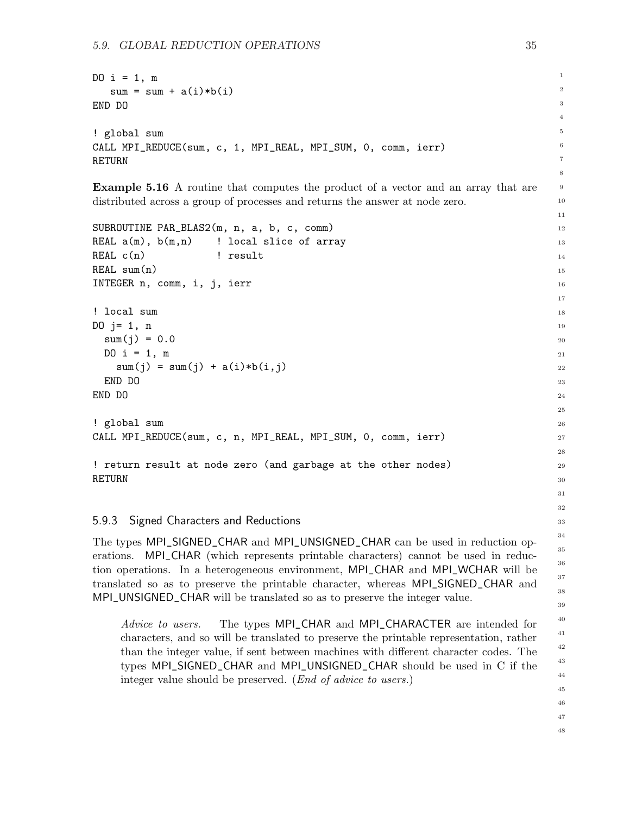```
DO i = 1, m
   sum = sum + a(i)*b(i)END DO
! global sum
CALL MPI_REDUCE(sum, c, 1, MPI_REAL, MPI_SUM, 0, comm, ierr)
RETURN
```
<span id="page-38-0"></span>Example 5.16 A routine that computes the product of a vector and an array that are distributed across a group of processes and returns the answer at node zero.

```
SUBROUTINE PAR_BLAS2(m, n, a, b, c, comm)
REAL a(m), b(m,n) ! local slice of array
REAL c(n) ! result
REAL sum(n)
INTEGER n, comm, i, j, ierr
! local sum
DO i = 1, nsum(j) = 0.0DO i = 1, msum(j) = sum(j) + a(i)*b(i,j)END DO
END DO
! global sum
CALL MPI_REDUCE(sum, c, n, MPI_REAL, MPI_SUM, 0, comm, ierr)
! return result at node zero (and garbage at the other nodes)
```
### 5.9.3 Signed Characters and Reductions

RETURN

The types MPI\_SIGNED\_CHAR and MPI\_UNSIGNED\_CHAR can be used in reduction operations. MPI\_CHAR (which represents printable characters) cannot be used in reduction operations. In a heterogeneous environment, MPI\_CHAR and MPI\_WCHAR will be translated so as to preserve the printable character, whereas MPI\_SIGNED\_CHAR and MPI\_UNSIGNED\_CHAR will be translated so as to preserve the integer value.

Advice to users. The types MPI\_CHAR and MPI\_CHARACTER are intended for characters, and so will be translated to preserve the printable representation, rather than the integer value, if sent between machines with different character codes. The types MPI\_SIGNED\_CHAR and MPI\_UNSIGNED\_CHAR should be used in C if the integer value should be preserved. (End of advice to users.)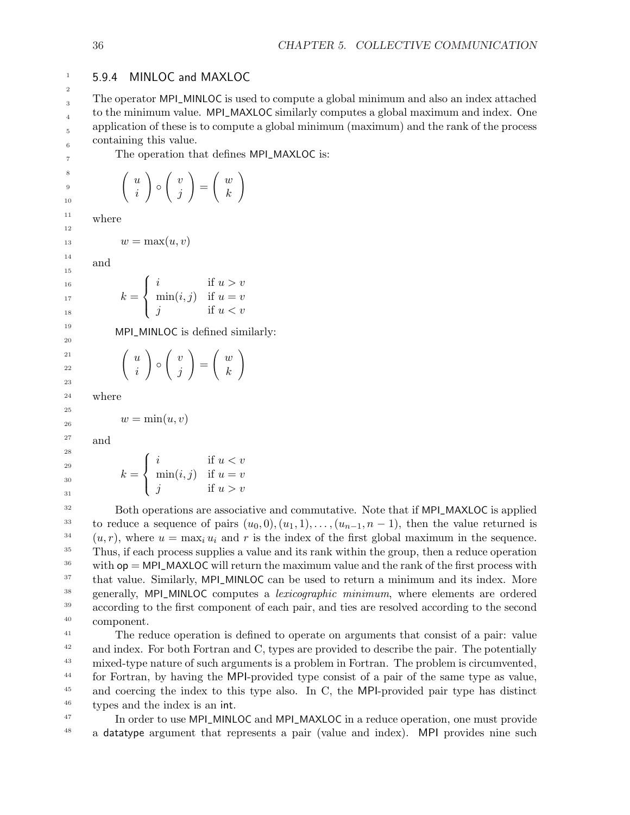### <span id="page-39-0"></span>1 2

## 5.9.4 MINLOC and MAXLOC

The operator MPI\_MINLOC is used to compute a global minimum and also an index attached to the minimum value. MPI\_MAXLOC similarly computes a global maximum and index. One application of these is to compute a global minimum (maximum) and the rank of the process containing this value.

7 8

> 9 10

The operation that defines MPI\_MAXLOC is:

$$
\left(\begin{array}{c} u \\ i \end{array}\right) \circ \left(\begin{array}{c} v \\ j \end{array}\right) = \left(\begin{array}{c} w \\ k \end{array}\right)
$$

where 11 12

 $w = \max(u, v)$ 

and

$$
k = \begin{cases} i & \text{if } u > v \\ \min(i, j) & \text{if } u = v \\ j & \text{if } u < v \end{cases}
$$

MPI\_MINLOC is defined similarly:

$$
\left(\begin{array}{c} u \\ i \end{array}\right) \circ \left(\begin{array}{c} v \\ j \end{array}\right) = \left(\begin{array}{c} w \\ k \end{array}\right)
$$

where

$$
w=\min(u,v)
$$

and

$$
k = \begin{cases} i & \text{if } u < v \\ \min(i, j) & \text{if } u = v \\ j & \text{if } u > v \end{cases}
$$

Both operations are associative and commutative. Note that if MPI\_MAXLOC is applied to reduce a sequence of pairs  $(u_0, 0), (u_1, 1), \ldots, (u_{n-1}, n-1)$ , then the value returned is  $(u, r)$ , where  $u = \max_i u_i$  and r is the index of the first global maximum in the sequence. Thus, if each process supplies a value and its rank within the group, then a reduce operation with  $op = MPI_MAXLOC$  will return the maximum value and the rank of the first process with that value. Similarly, MPI\_MINLOC can be used to return a minimum and its index. More generally, MPI\_MINLOC computes a lexicographic minimum, where elements are ordered according to the first component of each pair, and ties are resolved according to the second component. 32 33 34 35 36 37 38 39 40

The reduce operation is defined to operate on arguments that consist of a pair: value and index. For both Fortran and C, types are provided to describe the pair. The potentially mixed-type nature of such arguments is a problem in Fortran. The problem is circumvented, for Fortran, by having the MPI-provided type consist of a pair of the same type as value, and coercing the index to this type also. In C, the MPI-provided pair type has distinct types and the index is an int. 41 42 43 44 45 46

In order to use MPI\_MINLOC and MPI\_MAXLOC in a reduce operation, one must provide a datatype argument that represents a pair (value and index). MPI provides nine such 47 48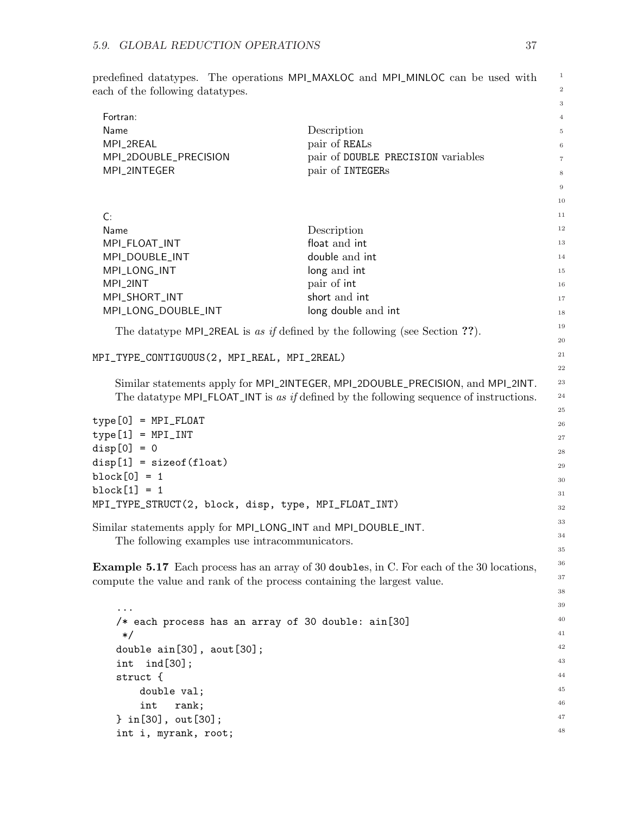predefined datatypes. The operations MPI\_MAXLOC and MPI\_MINLOC can be used with each of the following datatypes.

| Fortran:                                                                |                                                                                                   | $\overline{4}$ |  |  |
|-------------------------------------------------------------------------|---------------------------------------------------------------------------------------------------|----------------|--|--|
| Name                                                                    | Description                                                                                       | 5              |  |  |
| MPI_2REAL                                                               | pair of REALs                                                                                     | $\,6\,$        |  |  |
| MPI_2DOUBLE_PRECISION                                                   | pair of DOUBLE PRECISION variables                                                                | $\,7$          |  |  |
| MPI_2INTEGER                                                            | pair of INTEGERs                                                                                  | 8              |  |  |
|                                                                         |                                                                                                   | $\,9$          |  |  |
|                                                                         |                                                                                                   | 10             |  |  |
| C:                                                                      |                                                                                                   | 11             |  |  |
| Name                                                                    | Description                                                                                       | 12             |  |  |
| MPI_FLOAT_INT                                                           | float and int                                                                                     | 13             |  |  |
| MPI_DOUBLE_INT                                                          | double and int                                                                                    | 14             |  |  |
| MPI_LONG_INT                                                            | long and int                                                                                      | 15             |  |  |
| MPI_2INT                                                                | pair of int                                                                                       | 16             |  |  |
| MPI_SHORT_INT                                                           | short and int                                                                                     | $17\,$         |  |  |
| MPI_LONG_DOUBLE_INT                                                     | long double and int                                                                               | 18             |  |  |
|                                                                         | The data type MPI_2REAL is as if defined by the following (see Section ??).                       | 19             |  |  |
|                                                                         |                                                                                                   | $\rm 20$       |  |  |
|                                                                         | 21<br>MPI_TYPE_CONTIGUOUS(2, MPI_REAL, MPI_2REAL)                                                 |                |  |  |
|                                                                         |                                                                                                   | $\bf{^{22}}$   |  |  |
|                                                                         | Similar statements apply for MPI_2INTEGER, MPI_2DOUBLE_PRECISION, and MPI_2INT.                   | $\bf 23$       |  |  |
|                                                                         | The data type $MPI$ - $FLOAT$ - $INT$ is as if defined by the following sequence of instructions. | $\bf{^{24}}$   |  |  |
| $type[0] = MPI_FLOAT$                                                   |                                                                                                   | $\bf 25$       |  |  |
| $type[1] = MPI_INT$                                                     |                                                                                                   | $\sqrt{26}$    |  |  |
| $disp[0] = 0$                                                           |                                                                                                   | 27             |  |  |
| $disp[1] = sizeof(float)$                                               |                                                                                                   | 28             |  |  |
| $block[0] = 1$                                                          |                                                                                                   | $\bf 29$       |  |  |
| $block[1] = 1$                                                          |                                                                                                   | 30             |  |  |
| MPI_TYPE_STRUCT(2, block, disp, type, MPI_FLOAT_INT)                    |                                                                                                   | 31<br>$32\,$   |  |  |
|                                                                         |                                                                                                   | 33             |  |  |
| Similar statements apply for MPI_LONG_INT and MPI_DOUBLE_INT.           |                                                                                                   | 34             |  |  |
| The following examples use intracommunicators.                          |                                                                                                   | 35             |  |  |
|                                                                         |                                                                                                   | 36             |  |  |
|                                                                         | <b>Example 5.17</b> Each process has an array of 30 doubles, in C. For each of the 30 locations,  | 37             |  |  |
| compute the value and rank of the process containing the largest value. |                                                                                                   | 38             |  |  |
|                                                                         |                                                                                                   | 39             |  |  |
|                                                                         |                                                                                                   | 40             |  |  |
| /* each process has an array of 30 double: ain[30]                      |                                                                                                   | 41             |  |  |
| $\ast/$<br>double ain[30], aout[30];                                    |                                                                                                   | 42             |  |  |
| $ind[30]$ ;<br>int                                                      |                                                                                                   | 43             |  |  |
| struct {                                                                |                                                                                                   | 44             |  |  |
| double val;                                                             |                                                                                                   | 45             |  |  |
| int<br>rank;                                                            |                                                                                                   | 46             |  |  |
| $\}$ in[30], out[30];                                                   |                                                                                                   | 47             |  |  |
| int i, myrank, root;                                                    |                                                                                                   | 48             |  |  |
|                                                                         |                                                                                                   |                |  |  |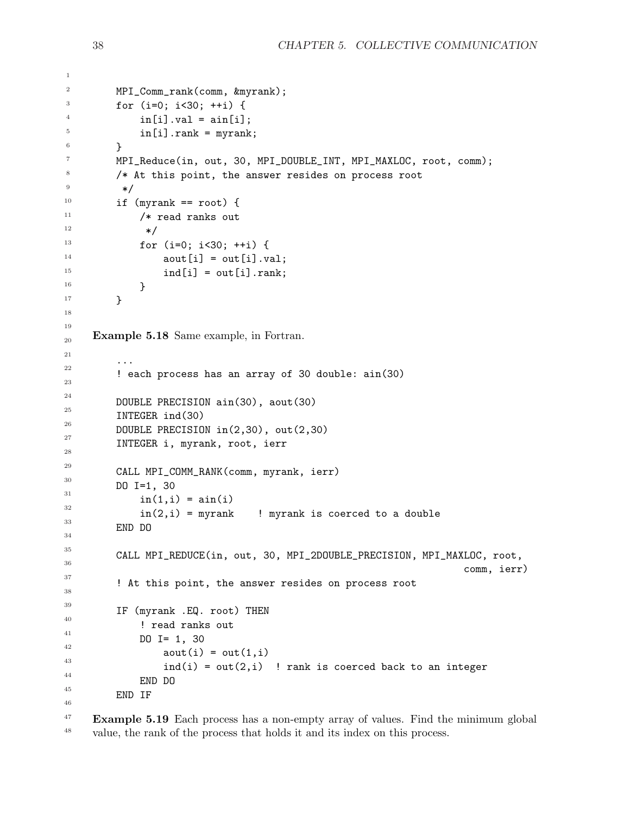```
MPI_Comm_rank(comm, &myrank);
         for (i=0; i<30; ++i) {
             in[i].val = ain[i];in[i].rank = myrank;}
         MPI_Reduce(in, out, 30, MPI_DOUBLE_INT, MPI_MAXLOC, root, comm);
         /* At this point, the answer resides on process root
          */
         if (myrank == root) {
             /* read ranks out
               */
             for (i=0; i<30; ++i) {
                  aout[i] = out[i].val;ind[i] = out[i].rank;}
         }
     Example 5.18 Same example, in Fortran.
         ...
         ! each process has an array of 30 double: ain(30)
         DOUBLE PRECISION ain(30), aout(30)
         INTEGER ind(30)
         DOUBLE PRECISION in(2,30), out(2,30)
         INTEGER i, myrank, root, ierr
         CALL MPI_COMM_RANK(comm, myrank, ierr)
         DO I=1, 30
             in(1,i) = ain(i)in(2,i) = myrank ! myrank is coerced to a double
         END DO
         CALL MPI_REDUCE(in, out, 30, MPI_2DOUBLE_PRECISION, MPI_MAXLOC, root,
                                                                         comm, ierr)
         ! At this point, the answer resides on process root
         IF (myrank .EQ. root) THEN
              ! read ranks out
             DO I= 1, 30
                  aout(i) = out(1,i)ind(i) = out(2,i) ! rank is coerced back to an integer
             END DO
         END IF
1
2
3
4
5
6
7
8
9
10
11
12
13
14
15
16
17
18
19
20
21
22
23
24
25
26
27
28
29
30
31
32
33
34
35
36
37
38
39
40
41
42
43
44
45
46
```
Example 5.19 Each process has a non-empty array of values. Find the minimum global value, the rank of the process that holds it and its index on this process. 47 48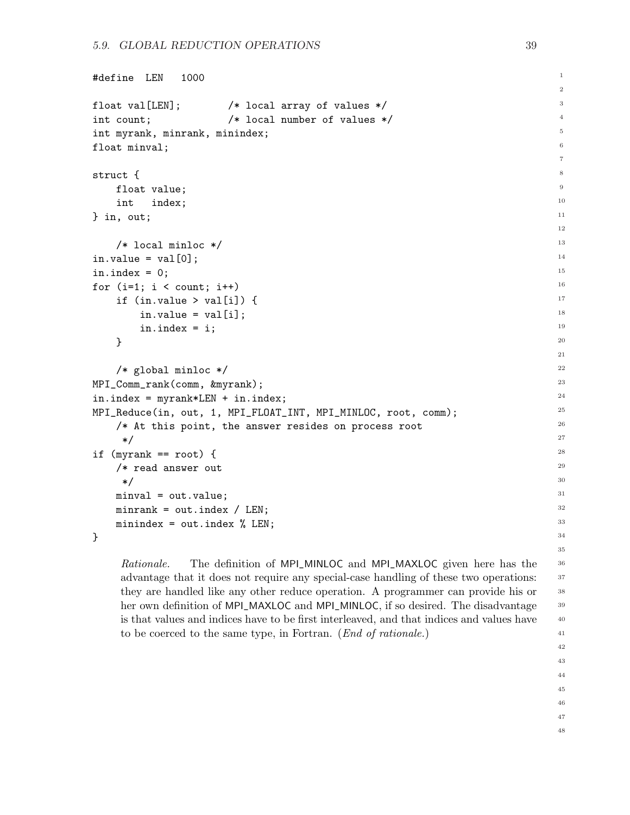```
#define LEN 1000
float val[LEN]; /* local array of values */
int count; /* local number of values */
int myrank, minrank, minindex;
float minval;
struct {
   float value;
   int index;
} in, out;
   /* local minloc */
in.value = val[0];
in.index = 0;for (i=1; i < count; i++)if (in.value > val[i]) {
        in.value = val[i];in.index = i;
   }
   /* global minloc */
MPI_Comm_rank(comm, &myrank);
in.index = myrank*LEN + in.index;
MPI_Reduce(in, out, 1, MPI_FLOAT_INT, MPI_MINLOC, root, comm);
   /* At this point, the answer resides on process root
     */
if (myrank == root) {
   /* read answer out
    */
   minval = out.value;
   minrank = out.index / LEN;
   minindex = out.index % LEN;
}
```
Rationale. The definition of MPI\_MINLOC and MPI\_MAXLOC given here has the advantage that it does not require any special-case handling of these two operations: they are handled like any other reduce operation. A programmer can provide his or her own definition of MPI\_MAXLOC and MPI\_MINLOC, if so desired. The disadvantage is that values and indices have to be first interleaved, and that indices and values have to be coerced to the same type, in Fortran. (End of rationale.)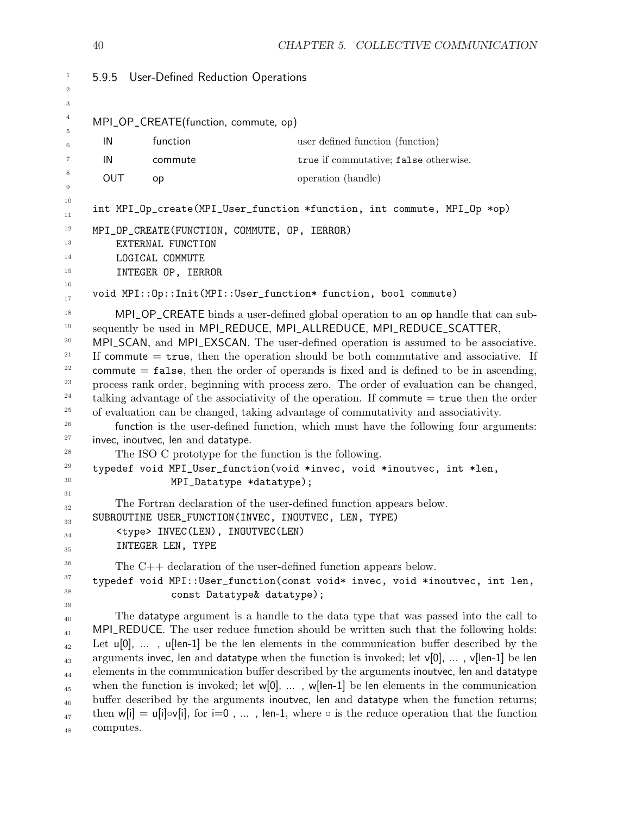<span id="page-43-0"></span>

| $\mathbf{1}$                                                                                                 |            | 5.9.5 User-Defined Reduction Operations                                                                                                                                                                                                           |                                                                                                                                                                                                                                                                                                                                                                                                                                                                                                                                                                                                                                                                                                                                                                                                                                                                                                                                                                |
|--------------------------------------------------------------------------------------------------------------|------------|---------------------------------------------------------------------------------------------------------------------------------------------------------------------------------------------------------------------------------------------------|----------------------------------------------------------------------------------------------------------------------------------------------------------------------------------------------------------------------------------------------------------------------------------------------------------------------------------------------------------------------------------------------------------------------------------------------------------------------------------------------------------------------------------------------------------------------------------------------------------------------------------------------------------------------------------------------------------------------------------------------------------------------------------------------------------------------------------------------------------------------------------------------------------------------------------------------------------------|
| $\overline{2}$<br>3                                                                                          |            |                                                                                                                                                                                                                                                   |                                                                                                                                                                                                                                                                                                                                                                                                                                                                                                                                                                                                                                                                                                                                                                                                                                                                                                                                                                |
| $\overline{4}$                                                                                               |            | MPI_OP_CREATE(function, commute, op)                                                                                                                                                                                                              |                                                                                                                                                                                                                                                                                                                                                                                                                                                                                                                                                                                                                                                                                                                                                                                                                                                                                                                                                                |
| 5<br>$\,6$                                                                                                   | IN         | function                                                                                                                                                                                                                                          | user defined function (function)                                                                                                                                                                                                                                                                                                                                                                                                                                                                                                                                                                                                                                                                                                                                                                                                                                                                                                                               |
| 7                                                                                                            | IN         | commute                                                                                                                                                                                                                                           | true if commutative; false otherwise.                                                                                                                                                                                                                                                                                                                                                                                                                                                                                                                                                                                                                                                                                                                                                                                                                                                                                                                          |
| 8                                                                                                            | <b>OUT</b> | op                                                                                                                                                                                                                                                | operation (handle)                                                                                                                                                                                                                                                                                                                                                                                                                                                                                                                                                                                                                                                                                                                                                                                                                                                                                                                                             |
| 9                                                                                                            |            |                                                                                                                                                                                                                                                   |                                                                                                                                                                                                                                                                                                                                                                                                                                                                                                                                                                                                                                                                                                                                                                                                                                                                                                                                                                |
| 10<br>11                                                                                                     |            |                                                                                                                                                                                                                                                   | int MPI_Op_create(MPI_User_function *function, int commute, MPI_Op *op)                                                                                                                                                                                                                                                                                                                                                                                                                                                                                                                                                                                                                                                                                                                                                                                                                                                                                        |
| 12<br>13<br>14                                                                                               |            | MPI_OP_CREATE(FUNCTION, COMMUTE, OP, IERROR)<br>EXTERNAL FUNCTION<br>LOGICAL COMMUTE                                                                                                                                                              |                                                                                                                                                                                                                                                                                                                                                                                                                                                                                                                                                                                                                                                                                                                                                                                                                                                                                                                                                                |
| 15<br>16                                                                                                     |            | INTEGER OP, IERROR                                                                                                                                                                                                                                |                                                                                                                                                                                                                                                                                                                                                                                                                                                                                                                                                                                                                                                                                                                                                                                                                                                                                                                                                                |
| 17                                                                                                           |            |                                                                                                                                                                                                                                                   | void MPI:: Op:: Init(MPI:: User_function* function, bool commute)                                                                                                                                                                                                                                                                                                                                                                                                                                                                                                                                                                                                                                                                                                                                                                                                                                                                                              |
| 18<br>19<br>20<br>21<br>22<br>23<br>24<br>25<br>26<br>27<br>28<br>29<br>$30\,$<br>31<br>32<br>33<br>34<br>35 |            | invec, inoutvec, len and datatype.<br>The ISO C prototype for the function is the following.<br>MPI_Datatype *datatype);<br>SUBROUTINE USER_FUNCTION(INVEC, INOUTVEC, LEN, TYPE)<br><type> INVEC(LEN), INOUTVEC(LEN)<br/>INTEGER LEN, TYPE</type> | MPI_OP_CREATE binds a user-defined global operation to an op handle that can sub-<br>sequently be used in MPI_REDUCE, MPI_ALLREDUCE, MPI_REDUCE_SCATTER,<br>MPI_SCAN, and MPI_EXSCAN. The user-defined operation is assumed to be associative.<br>If commute $=$ true, then the operation should be both commutative and associative. If<br>commute $=$ false, then the order of operands is fixed and is defined to be in ascending,<br>process rank order, beginning with process zero. The order of evaluation can be changed,<br>talking advantage of the associativity of the operation. If commute $=$ true then the order<br>of evaluation can be changed, taking advantage of commutativity and associativity.<br>function is the user-defined function, which must have the following four arguments:<br>typedef void MPI_User_function(void *invec, void *inoutvec, int *len,<br>The Fortran declaration of the user-defined function appears below. |
| 36<br>37<br>38                                                                                               |            | The $C++$ declaration of the user-defined function appears below.<br>const Datatype& datatype);                                                                                                                                                   | typedef void MPI:: User_function(const void* invec, void *inoutvec, int len,                                                                                                                                                                                                                                                                                                                                                                                                                                                                                                                                                                                                                                                                                                                                                                                                                                                                                   |
| 39<br>40<br>41<br>42<br>43<br>44<br>45<br>46<br>47<br>48                                                     | computes.  |                                                                                                                                                                                                                                                   | The data type argument is a handle to the data type that was passed into the call to<br>MPI_REDUCE. The user reduce function should be written such that the following holds:<br>Let $u[0], \ldots$ , $u[len-1]$ be the len elements in the communication buffer described by the<br>arguments invec, len and datatype when the function is invoked; let v[0], , v[len-1] be len<br>elements in the communication buffer described by the arguments inoutvec, len and datatype<br>when the function is invoked; let $w[0]$ , , $w[len-1]$ be len elements in the communication<br>buffer described by the arguments inoutvec, len and datatype when the function returns;<br>then $w[i] = u[i] \circ v[i]$ , for $i=0$ , , len-1, where $\circ$ is the reduce operation that the function                                                                                                                                                                      |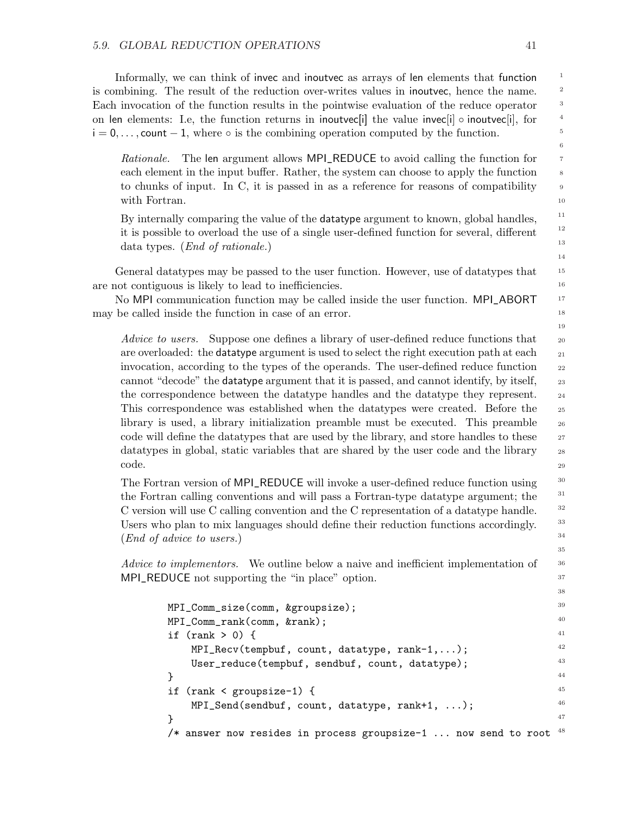Informally, we can think of invec and inoutvec as arrays of len elements that function is combining. The result of the reduction over-writes values in inoutvec, hence the name. Each invocation of the function results in the pointwise evaluation of the reduce operator on len elements: I.e, the function returns in inoutvec[i] the value invec[i]  $\circ$  inoutvec[i], for  $i = 0, \ldots$ , count  $-1$ , where  $\circ$  is the combining operation computed by the function.

Rationale. The len argument allows MPI\_REDUCE to avoid calling the function for each element in the input buffer. Rather, the system can choose to apply the function to chunks of input. In C, it is passed in as a reference for reasons of compatibility with Fortran.

By internally comparing the value of the datatype argument to known, global handles, it is possible to overload the use of a single user-defined function for several, different data types. (End of rationale.)

General datatypes may be passed to the user function. However, use of datatypes that are not contiguous is likely to lead to inefficiencies.

No MPI communication function may be called inside the user function. MPI\_ABORT may be called inside the function in case of an error.

Advice to users. Suppose one defines a library of user-defined reduce functions that are overloaded: the datatype argument is used to select the right execution path at each invocation, according to the types of the operands. The user-defined reduce function cannot "decode" the datatype argument that it is passed, and cannot identify, by itself, the correspondence between the datatype handles and the datatype they represent. This correspondence was established when the datatypes were created. Before the library is used, a library initialization preamble must be executed. This preamble code will define the datatypes that are used by the library, and store handles to these datatypes in global, static variables that are shared by the user code and the library code.

The Fortran version of MPI\_REDUCE will invoke a user-defined reduce function using the Fortran calling conventions and will pass a Fortran-type datatype argument; the C version will use C calling convention and the C representation of a datatype handle. Users who plan to mix languages should define their reduction functions accordingly. (End of advice to users.)

Advice to implementors. We outline below a naive and inefficient implementation of MPI\_REDUCE not supporting the "in place" option.

```
MPI_Comm_size(comm, &groupsize);
MPI_Comm_rank(comm, &rank);
if (rank > 0) {
    MPI_Recv(tempbuf, count, datatype, rank-1,...);
    User_reduce(tempbuf, sendbuf, count, datatype);
}
if (rank < groupsize-1) {
    MPI_Send(sendbuf, count, datatype, rank+1, ...);
}
/* answer now resides in process groupsize-1 ... now send to root ^{48}39
                                                                       40
                                                                       41
                                                                       42
                                                                       43
                                                                       44
                                                                       45
                                                                       46
                                                                       47
```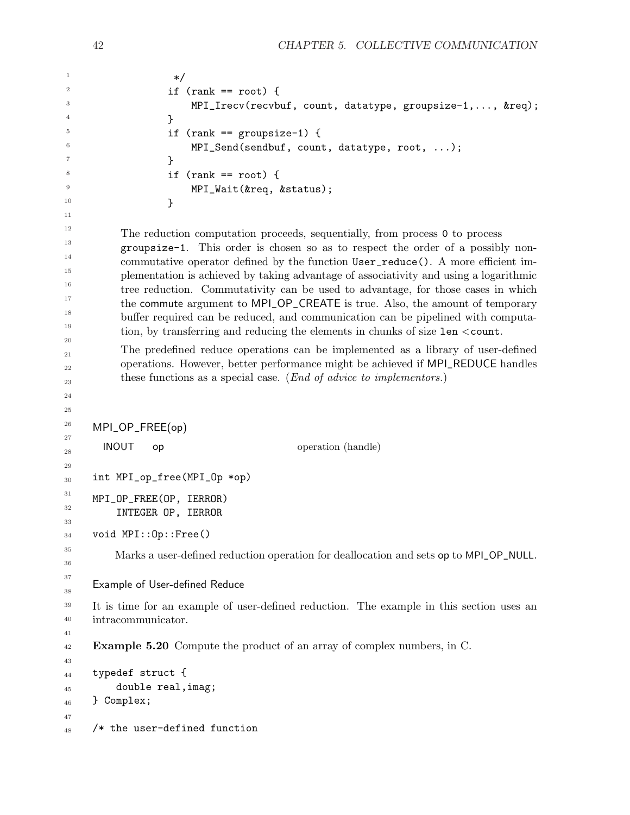```
*/
                    if (rank == root) {
                        MPI_Irecv(recvbuf, count, datatype, groupsize-1,..., &req);
                    }
                    if (rank == groupsize-1) {
                        MPI_Send(sendbuf, count, datatype, root, ...);
                    }
                    if (rank == root) {
                        MPI_Wait(&req, &status);
                    }
           The reduction computation proceeds, sequentially, from process 0 to process
           groupsize-1. This order is chosen so as to respect the order of a possibly non-
           commutative operator defined by the function User_reduce(). A more efficient im-
           plementation is achieved by taking advantage of associativity and using a logarithmic
           tree reduction. Commutativity can be used to advantage, for those cases in which
           the commute argument to MPI_OP_CREATE is true. Also, the amount of temporary
           buffer required can be reduced, and communication can be pipelined with computa-
           tion, by transferring and reducing the elements in chunks of size len <count.
           The predefined reduce operations can be implemented as a library of user-defined
           operations. However, better performance might be achieved if MPI_REDUCE handles
           these functions as a special case. (End of advice to implementors.)
     MPI_OP_FREE(op)
       INOUT op operation (handle)
     int MPI_op_free(MPI_Op *op)
     MPI_OP_FREE(OP, IERROR)
          INTEGER OP, IERROR
     void MPI::Op::Free()
          Marks a user-defined reduction operation for deallocation and sets op to MPI_OP_NULL.
     Example of User-defined Reduce
     It is time for an example of user-defined reduction. The example in this section uses an
     intracommunicator.
     Example 5.20 Compute the product of an array of complex numbers, in C.
     typedef struct {
          double real,imag;
     } Complex;
     /* the user-defined function
1
2
3
4
5
6
7
8
9
10
11
12
13
14
15
16
17
18
19
20
21
22
23
24
25
26
27
28
29
30
31
32
33
34
35
36
37
38
39
40
41
42
43
44
45
46
47
48
```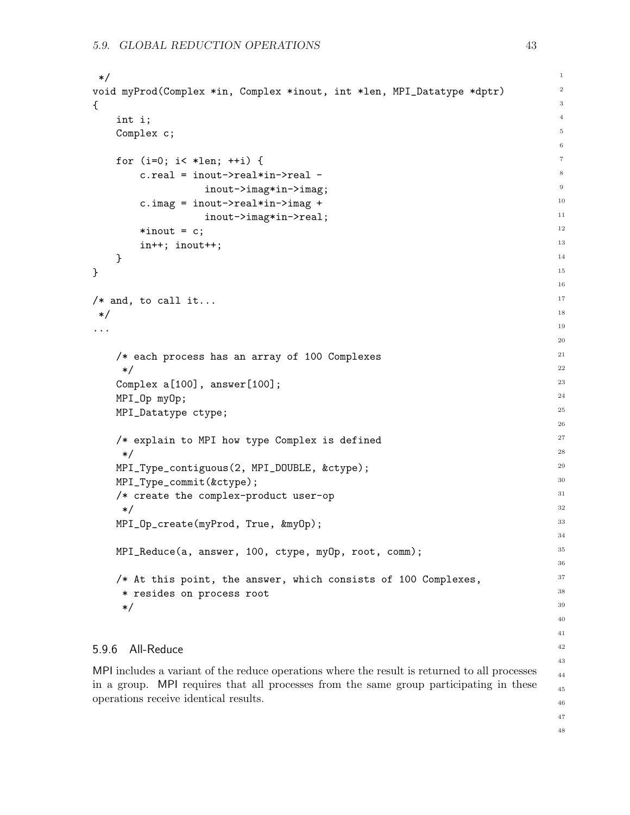```
*/
void myProd(Complex *in, Complex *inout, int *len, MPI_Datatype *dptr)
{
    int i;
    Complex c;
    for (i=0; i< *len; ++i) {
        c.real = inout->real*in->real -
                    inout->imag*in->imag;
        c.imag = inout->real*in->imag +
                    inout->imag*in->real;
        *inout = c;in++; inout++;
    }
}
/* and, to call it...
 */
...
    /* each process has an array of 100 Complexes
     */
    Complex a[100], answer[100];
    MPI_Op myOp;
    MPI_Datatype ctype;
    /* explain to MPI how type Complex is defined
     */
    MPI_Type_contiguous(2, MPI_DOUBLE, &ctype);
    MPI_Type_commit(&ctype);
    /* create the complex-product user-op
     */
    MPI_Op_create(myProd, True, &myOp);
    MPI_Reduce(a, answer, 100, ctype, myOp, root, comm);
    /* At this point, the answer, which consists of 100 Complexes,
     * resides on process root
     */
5.9.6 All-Reduce
                                                                                       1
                                                                                       2
                                                                                       3
                                                                                       4
                                                                                       5
                                                                                       6
                                                                                       7
                                                                                       8
                                                                                       9
                                                                                       10
                                                                                       11
                                                                                       12
                                                                                       13
                                                                                       14
                                                                                       15
                                                                                       16
                                                                                       17
                                                                                       18
                                                                                       19
                                                                                       20
                                                                                      21
                                                                                      22
                                                                                      23
                                                                                       24
                                                                                       25
                                                                                       26
                                                                                       27
                                                                                       28
                                                                                       29
                                                                                      30
                                                                                       31
                                                                                      32
                                                                                      33
                                                                                      34
                                                                                      35
                                                                                      36
                                                                                      37
                                                                                      38
                                                                                       39
                                                                                       40
                                                                                       41
                                                                                       42
                                                                                      43
```
<span id="page-46-0"></span>MPI includes a variant of the reduce operations where the result is returned to all processes in a group. MPI requires that all processes from the same group participating in these operations receive identical results.

47 48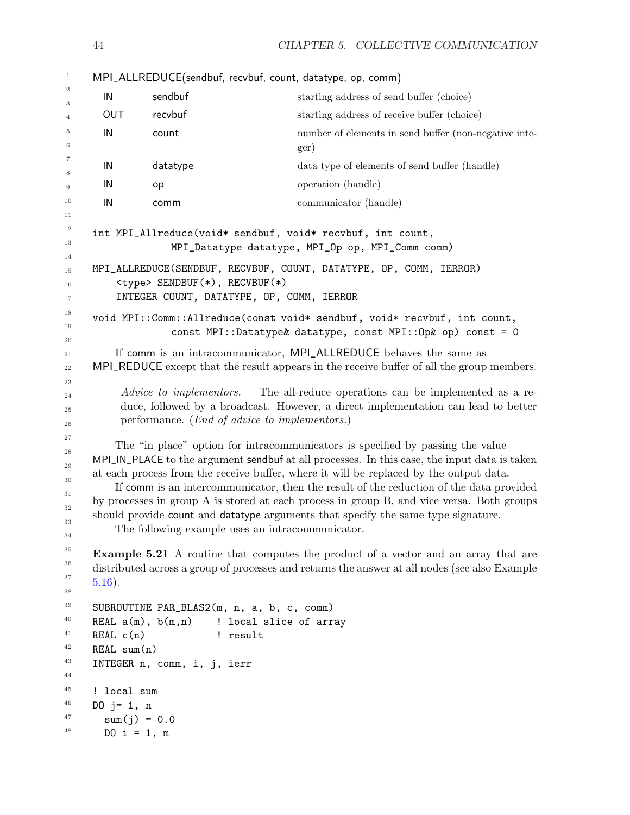MPI\_ALLREDUCE(sendbuf, recvbuf, count, datatype, op, comm) IN sendbuf starting address of send buffer (choice) OUT recvbuf starting address of receive buffer (choice) IN count number of elements in send buffer (non-negative integer) IN datatype data type of elements of send buffer (handle) IN op operation (handle) IN communicator (handle) int MPI\_Allreduce(void\* sendbuf, void\* recvbuf, int count, MPI\_Datatype datatype, MPI\_Op op, MPI\_Comm comm) MPI\_ALLREDUCE(SENDBUF, RECVBUF, COUNT, DATATYPE, OP, COMM, IERROR) <type> SENDBUF(\*), RECVBUF(\*) INTEGER COUNT, DATATYPE, OP, COMM, IERROR void MPI::Comm::Allreduce(const void\* sendbuf, void\* recvbuf, int count, const MPI::Datatype& datatype, const MPI::Op& op) const = 0 If comm is an intracommunicator, MPI\_ALLREDUCE behaves the same as MPI\_REDUCE except that the result appears in the receive buffer of all the group members. Advice to implementors. The all-reduce operations can be implemented as a reduce, followed by a broadcast. However, a direct implementation can lead to better performance. (End of advice to implementors.) The "in place" option for intracommunicators is specified by passing the value MPI\_IN\_PLACE to the argument sendbuf at all processes. In this case, the input data is taken at each process from the receive buffer, where it will be replaced by the output data. If comm is an intercommunicator, then the result of the reduction of the data provided by processes in group A is stored at each process in group B, and vice versa. Both groups should provide count and datatype arguments that specify the same type signature. The following example uses an intracommunicator. Example 5.21 A routine that computes the product of a vector and an array that are distributed across a group of processes and returns the answer at all nodes (see also Example [5.16\)](#page-38-0). SUBROUTINE PAR\_BLAS2(m, n, a, b, c, comm) REAL  $a(m)$ ,  $b(m,n)$  ! local slice of array REAL c(n)  $!$  result REAL sum(n) INTEGER n, comm, i, j, ierr ! local sum DO  $j = 1, n$  $sum(j) = 0.0$ DO  $i = 1, m$ 1 2 3 4 5 6 7 8 9 10 11 12 13 14 15 16 17 18 19 20 21 22 23 24 25 26 27 28 29 30 31 32 33 34 35 36 37 38 39 40 41 42 43 44 45 46 47 48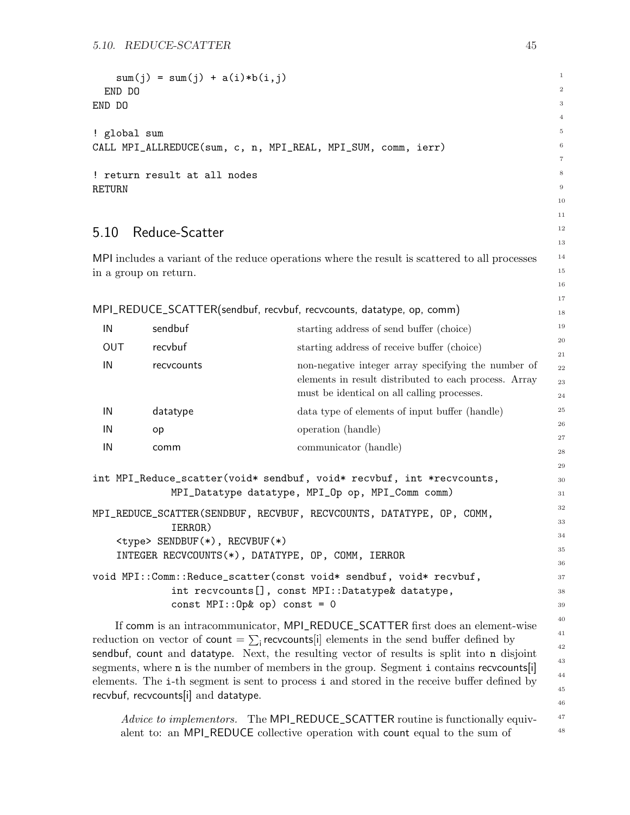```
sum(j) = sum(j) + a(i)*b(i,j)END DO
END DO
! global sum
CALL MPI_ALLREDUCE(sum, c, n, MPI_REAL, MPI_SUM, comm, ierr)
! return result at all nodes
RETURN
5.10 Reduce-Scatter
MPI includes a variant of the reduce operations where the result is scattered to all processes
in a group on return.
MPI_REDUCE_SCATTER(sendbuf, recvbuf, recvcounts, datatype, op, comm)
 IN sendbuf starting address of send buffer (choice)
 OUT recvbuf recview starting address of receive buffer (choice)
 IN recvcounts non-negative integer array specifying the number of
                                    elements in result distributed to each process. Array
                                    must be identical on all calling processes.
 IN datatype data type of elements of input buffer (handle)
 IN op operation (handle)
 IN communicator (handle)
int MPI_Reduce_scatter(void* sendbuf, void* recvbuf, int *recvcounts,
             MPI_Datatype datatype, MPI_Op op, MPI_Comm comm)
MPI_REDUCE_SCATTER(SENDBUF, RECVBUF, RECVCOUNTS, DATATYPE, OP, COMM,
             IERROR)
    <type> SENDBUF(*), RECVBUF(*)
    INTEGER RECVCOUNTS(*), DATATYPE, OP, COMM, IERROR
void MPI::Comm::Reduce_scatter(const void* sendbuf, void* recvbuf,
              int recvcounts[], const MPI::Datatype& datatype,
             const MPI::Op& op) const = 0
    If comm is an intracommunicator, MPI_REDUCE_SCATTER first does an element-wise
                                                                                  1
                                                                                  2
                                                                                  3
                                                                                  4
                                                                                  5
                                                                                  6
                                                                                  7
                                                                                  8
                                                                                  9
                                                                                  10
                                                                                  11
                                                                                  12
                                                                                  13
                                                                                  14
                                                                                  15
                                                                                  16
                                                                                  17
                                                                                  18
                                                                                  19
                                                                                  20
                                                                                  21
                                                                                  22
                                                                                  23
                                                                                  24
                                                                                  25
                                                                                  26
                                                                                  27
                                                                                  28
                                                                                  29
                                                                                  30
                                                                                  31
                                                                                  32
                                                                                  33
                                                                                  34
                                                                                  35
                                                                                  36
                                                                                  37
                                                                                  38
                                                                                  39
                                                                                  40
                                                                                  41
```
reduction on vector of count  $= \sum_i$  recvcounts in the send buffer defined by sendbuf, count and datatype. Next, the resulting vector of results is split into n disjoint segments, where **n** is the number of members in the group. Segment **i** contains recvounts[i] elements. The i-th segment is sent to process i and stored in the receive buffer defined by recvbuf, recvcounts[i] and datatype.

Advice to implementors. The MPI\_REDUCE\_SCATTER routine is functionally equivalent to: an MPI\_REDUCE collective operation with count equal to the sum of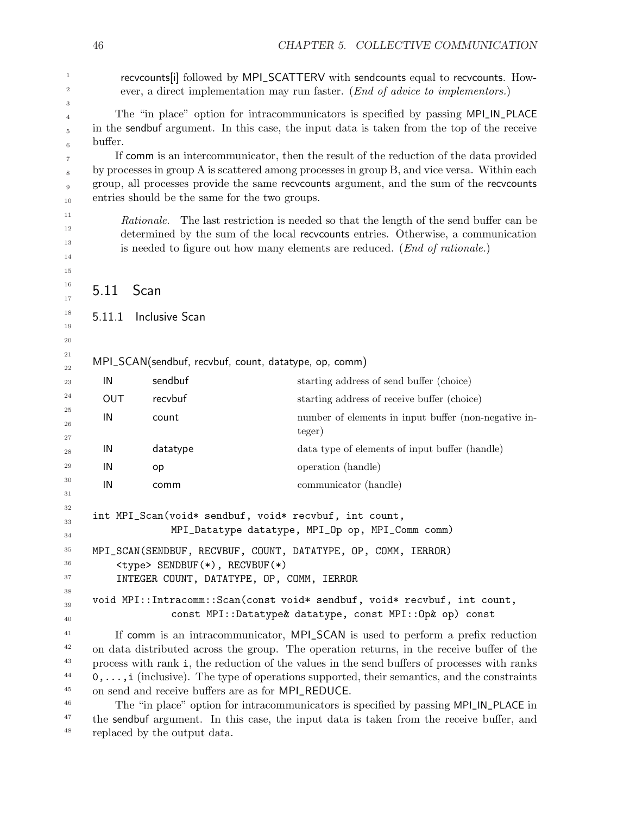<span id="page-49-0"></span>

|                                        | 46                                                                                                                                                                                                                                                                                                                                   |                       | CHAPTER 5. COLLECTIVE COMMUNICATION                                                                                                                                                                                                                                                                                                                                                                                                                                                                                                                                                                                         |  |  |  |  |
|----------------------------------------|--------------------------------------------------------------------------------------------------------------------------------------------------------------------------------------------------------------------------------------------------------------------------------------------------------------------------------------|-----------------------|-----------------------------------------------------------------------------------------------------------------------------------------------------------------------------------------------------------------------------------------------------------------------------------------------------------------------------------------------------------------------------------------------------------------------------------------------------------------------------------------------------------------------------------------------------------------------------------------------------------------------------|--|--|--|--|
| $\mathbf{1}$<br>$\boldsymbol{2}$<br>3  | recvcounts[i] followed by MPI_SCATTERV with sendcounts equal to recvcounts. How-<br>ever, a direct implementation may run faster. (End of advice to implementors.)                                                                                                                                                                   |                       |                                                                                                                                                                                                                                                                                                                                                                                                                                                                                                                                                                                                                             |  |  |  |  |
| $\overline{4}$<br>5<br>$\,6$           | The "in place" option for intracommunicators is specified by passing MPI_IN_PLACE<br>in the sendbuf argument. In this case, the input data is taken from the top of the receive<br>buffer.                                                                                                                                           |                       |                                                                                                                                                                                                                                                                                                                                                                                                                                                                                                                                                                                                                             |  |  |  |  |
| $\overline{7}$<br>8<br>9<br>10         | If comm is an intercommunicator, then the result of the reduction of the data provided<br>by processes in group A is scattered among processes in group B, and vice versa. Within each<br>group, all processes provide the same recvcounts argument, and the sum of the recvcounts<br>entries should be the same for the two groups. |                       |                                                                                                                                                                                                                                                                                                                                                                                                                                                                                                                                                                                                                             |  |  |  |  |
| 11<br>12<br>13<br>14<br>15             |                                                                                                                                                                                                                                                                                                                                      | <i>Rationale.</i>     | The last restriction is needed so that the length of the send buffer can be<br>determined by the sum of the local recvcounts entries. Otherwise, a communication<br>is needed to figure out how many elements are reduced. ( <i>End of rationale</i> .)                                                                                                                                                                                                                                                                                                                                                                     |  |  |  |  |
| 16<br>17                               | 5.11                                                                                                                                                                                                                                                                                                                                 | Scan                  |                                                                                                                                                                                                                                                                                                                                                                                                                                                                                                                                                                                                                             |  |  |  |  |
| 18<br>19<br>20                         | 5.11.1                                                                                                                                                                                                                                                                                                                               | <b>Inclusive Scan</b> |                                                                                                                                                                                                                                                                                                                                                                                                                                                                                                                                                                                                                             |  |  |  |  |
| 21<br>22                               |                                                                                                                                                                                                                                                                                                                                      |                       | MPI_SCAN(sendbuf, recvbuf, count, datatype, op, comm)                                                                                                                                                                                                                                                                                                                                                                                                                                                                                                                                                                       |  |  |  |  |
| 23                                     | IN                                                                                                                                                                                                                                                                                                                                   | sendbuf               | starting address of send buffer (choice)                                                                                                                                                                                                                                                                                                                                                                                                                                                                                                                                                                                    |  |  |  |  |
| 24                                     | <b>OUT</b>                                                                                                                                                                                                                                                                                                                           | recvbuf               | starting address of receive buffer (choice)                                                                                                                                                                                                                                                                                                                                                                                                                                                                                                                                                                                 |  |  |  |  |
| 25<br>26<br>27                         | IN                                                                                                                                                                                                                                                                                                                                   | count                 | number of elements in input buffer (non-negative in-<br>teger)                                                                                                                                                                                                                                                                                                                                                                                                                                                                                                                                                              |  |  |  |  |
| 28                                     | IN                                                                                                                                                                                                                                                                                                                                   | datatype              | data type of elements of input buffer (handle)                                                                                                                                                                                                                                                                                                                                                                                                                                                                                                                                                                              |  |  |  |  |
| 29                                     | IN                                                                                                                                                                                                                                                                                                                                   | op                    | operation (handle)                                                                                                                                                                                                                                                                                                                                                                                                                                                                                                                                                                                                          |  |  |  |  |
| 30<br>31                               | IN                                                                                                                                                                                                                                                                                                                                   | comm                  | communicator (handle)                                                                                                                                                                                                                                                                                                                                                                                                                                                                                                                                                                                                       |  |  |  |  |
| 32<br>33<br>34                         | int MPI_Scan(void* sendbuf, void* recvbuf, int count,<br>MPI_Datatype datatype, MPI_Op op, MPI_Comm comm)                                                                                                                                                                                                                            |                       |                                                                                                                                                                                                                                                                                                                                                                                                                                                                                                                                                                                                                             |  |  |  |  |
| 35<br>36<br>37                         | MPI_SCAN(SENDBUF, RECVBUF, COUNT, DATATYPE, OP, COMM, IERROR)<br><type> SENDBUF(*), RECVBUF(*)<br/>INTEGER COUNT, DATATYPE, OP, COMM, IERROR</type>                                                                                                                                                                                  |                       |                                                                                                                                                                                                                                                                                                                                                                                                                                                                                                                                                                                                                             |  |  |  |  |
| 38<br>39<br>40                         | void MPI::Intracomm::Scan(const void* sendbuf, void* recvbuf, int count,<br>const MPI::Datatype& datatype, const MPI::Op& op) const                                                                                                                                                                                                  |                       |                                                                                                                                                                                                                                                                                                                                                                                                                                                                                                                                                                                                                             |  |  |  |  |
| 41<br>42<br>43<br>44<br>45<br>46<br>47 |                                                                                                                                                                                                                                                                                                                                      |                       | If comm is an intracommunicator, MPLSCAN is used to perform a prefix reduction<br>on data distributed across the group. The operation returns, in the receive buffer of the<br>process with rank i, the reduction of the values in the send buffers of processes with ranks<br>$0, \ldots, i$ (inclusive). The type of operations supported, their semantics, and the constraints<br>on send and receive buffers are as for MPI_REDUCE.<br>The "in place" option for intracommunicators is specified by passing MPI_IN_PLACE in<br>the sendbuf argument. In this case, the input data is taken from the receive buffer, and |  |  |  |  |

replaced by the output data.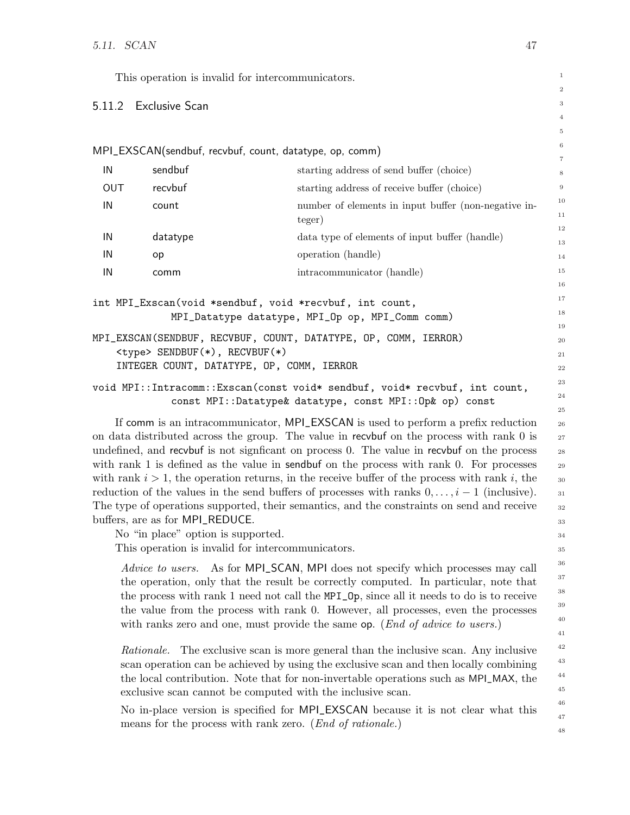<span id="page-50-0"></span>

|     | This operation is invalid for intercommunicators.                     |                                                                                                                                                                                         | $\mathbf{1}$           |
|-----|-----------------------------------------------------------------------|-----------------------------------------------------------------------------------------------------------------------------------------------------------------------------------------|------------------------|
|     | 5.11.2 Exclusive Scan                                                 |                                                                                                                                                                                         | $\boldsymbol{2}$<br>3  |
|     |                                                                       |                                                                                                                                                                                         | $\overline{4}$         |
|     |                                                                       |                                                                                                                                                                                         | 5                      |
|     |                                                                       | MPI_EXSCAN(sendbuf, recvbuf, count, datatype, op, comm)                                                                                                                                 | 6                      |
| IN  | sendbuf                                                               | starting address of send buffer (choice)                                                                                                                                                | $\scriptstyle{7}$<br>8 |
| OUT | recvbuf                                                               | starting address of receive buffer (choice)                                                                                                                                             | $9\,$                  |
| IN  | count                                                                 | number of elements in input buffer (non-negative in-<br>teger)                                                                                                                          | 10<br>11               |
| IN  | datatype                                                              | data type of elements of input buffer (handle)                                                                                                                                          | 12                     |
| IN  | op                                                                    | operation (handle)                                                                                                                                                                      | 13<br>14               |
| IN  | comm                                                                  | intracommunicator (handle)                                                                                                                                                              | 15                     |
|     |                                                                       |                                                                                                                                                                                         | 16                     |
|     |                                                                       | int MPI_Exscan(void *sendbuf, void *recvbuf, int count,                                                                                                                                 | 17                     |
|     |                                                                       | MPI_Datatype datatype, MPI_Op op, MPI_Comm comm)                                                                                                                                        | 18<br>19               |
|     |                                                                       | MPI_EXSCAN(SENDBUF, RECVBUF, COUNT, DATATYPE, OP, COMM, IERROR)                                                                                                                         | 20                     |
|     | <type> SENDBUF(*), RECVBUF(*)</type>                                  |                                                                                                                                                                                         | 21                     |
|     | INTEGER COUNT, DATATYPE, OP, COMM, IERROR                             |                                                                                                                                                                                         | 22                     |
|     |                                                                       | void MPI:: Intracomm:: Exscan (const void* sendbuf, void* recvbuf, int count,                                                                                                           | 23<br>24               |
|     |                                                                       | const MPI::Datatype& datatype, const MPI::Op& op) const                                                                                                                                 | 25                     |
|     |                                                                       | If comm is an intracommunicator, MPI_EXSCAN is used to perform a prefix reduction                                                                                                       | 26                     |
|     |                                                                       | on data distributed across the group. The value in recvbuf on the process with rank 0 is                                                                                                | $27\,$                 |
|     |                                                                       | undefined, and recybut is not significant on process 0. The value in recybut on the process<br>with rank 1 is defined as the value in sendbuf on the process with rank 0. For processes | 28<br>29               |
|     |                                                                       | with rank $i > 1$ , the operation returns, in the receive buffer of the process with rank i, the                                                                                        | 30                     |
|     |                                                                       | reduction of the values in the send buffers of processes with ranks $0, \ldots, i-1$ (inclusive).                                                                                       | 31                     |
|     |                                                                       | The type of operations supported, their semantics, and the constraints on send and receive                                                                                              | $32\,$                 |
|     | buffers, are as for MPI_REDUCE.<br>No "in place" option is supported. |                                                                                                                                                                                         | 33                     |
|     | This operation is invalid for intercommunicators.                     |                                                                                                                                                                                         | 34<br>35               |
|     | <i>Advice to users.</i>                                               |                                                                                                                                                                                         | 36                     |
|     |                                                                       | As for MPI_SCAN, MPI does not specify which processes may call<br>the operation, only that the result be correctly computed. In particular, note that                                   | 37                     |
|     |                                                                       | the process with rank 1 need not call the MPI_0p, since all it needs to do is to receive                                                                                                | 38                     |
|     |                                                                       | the value from the process with rank 0. However, all processes, even the processes                                                                                                      | 39                     |
|     |                                                                       | with ranks zero and one, must provide the same op. (End of advice to users.)                                                                                                            | 40<br>41               |
|     | Rationale.                                                            | The exclusive scan is more general than the inclusive scan. Any inclusive                                                                                                               | 42                     |
|     |                                                                       | scan operation can be achieved by using the exclusive scan and then locally combining                                                                                                   | 43                     |
|     |                                                                       | the local contribution. Note that for non-invertable operations such as MPI_MAX, the                                                                                                    | 44                     |
|     |                                                                       | exclusive scan cannot be computed with the inclusive scan.                                                                                                                              | 45                     |
|     |                                                                       | No in-place version is specified for MPI_EXSCAN because it is not clear what this                                                                                                       | 46<br>47               |
|     |                                                                       | means for the process with rank zero. ( <i>End of rationale.</i> )                                                                                                                      | 48                     |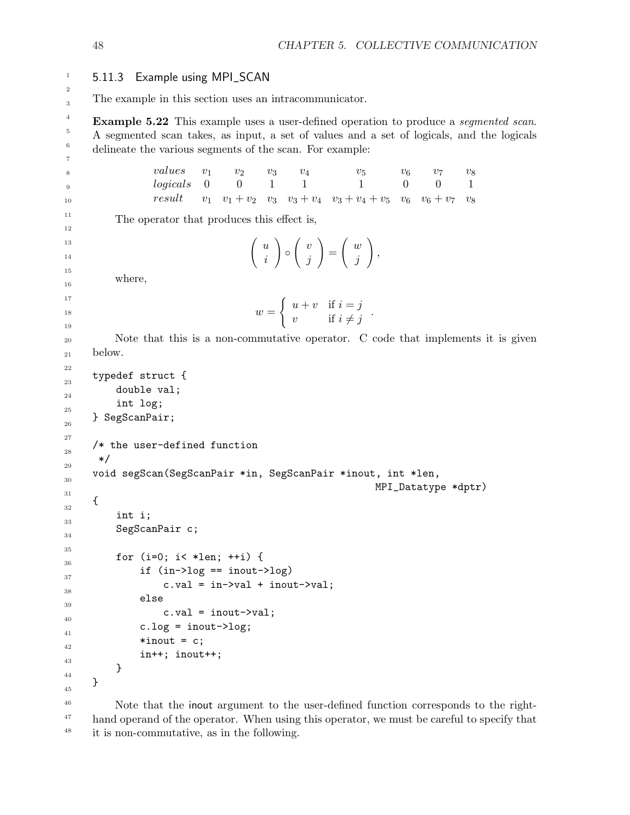5.11.3 Example using MPI\_SCAN The example in this section uses an intracommunicator. **Example 5.22** This example uses a user-defined operation to produce a *seqmented scan*. A segmented scan takes, as input, a set of values and a set of logicals, and the logicals delineate the various segments of the scan. For example:  $values \t v_1 \t v_2 \t v_3 \t v_4 \t v_5 \t v_6 \t v_7 \t v_8$  $logicals \quad 0 \quad 0 \quad 1 \quad 1 \quad 1 \quad 0 \quad 0 \quad 1$ *logicals* 0 0 1 1 1 0 0 1<br>
result  $v_1$   $v_1 + v_2$   $v_3$   $v_3 + v_4$   $v_3 + v_4 + v_5$   $v_6$   $v_6 + v_7$   $v_8$ The operator that produces this effect is,  $\int u$ i  $\setminus$  $^{\circ}$  $\int v$ j  $\setminus$ =  $\int w$ j  $\setminus$ , where,  $w =$  $\int u + v$  if  $i = j$  $\begin{array}{ll} u & v & \text{if } i - j \\ v & \text{if } i \neq j \end{array}$ Note that this is a non-commutative operator. C code that implements it is given below. typedef struct { double val; int log; } SegScanPair; /\* the user-defined function \*/ void segScan(SegScanPair \*in, SegScanPair \*inout, int \*len, MPI\_Datatype \*dptr) { int i; SegScanPair c; for  $(i=0; i < *1en; ++i)$  { if  $(in-)log == inout-)log)$  $c.val = in->val + inout->val;$ else  $c.val = inout->val;$  $c.log = inout->log;$  $*inout = c;$ in++; inout++; } } Note that the inout argument to the user-defined function corresponds to the right-1 2 3 4 5 6 7 8 9 10 11 12 13 14 15 16 17 18 19 20 21 22 23 24 25 26 27 28 29 30 31 32 33 34 35 36 37 38 39 40 41 42 43 44 45 46

hand operand of the operator. When using this operator, we must be careful to specify that it is non-commutative, as in the following. 47 48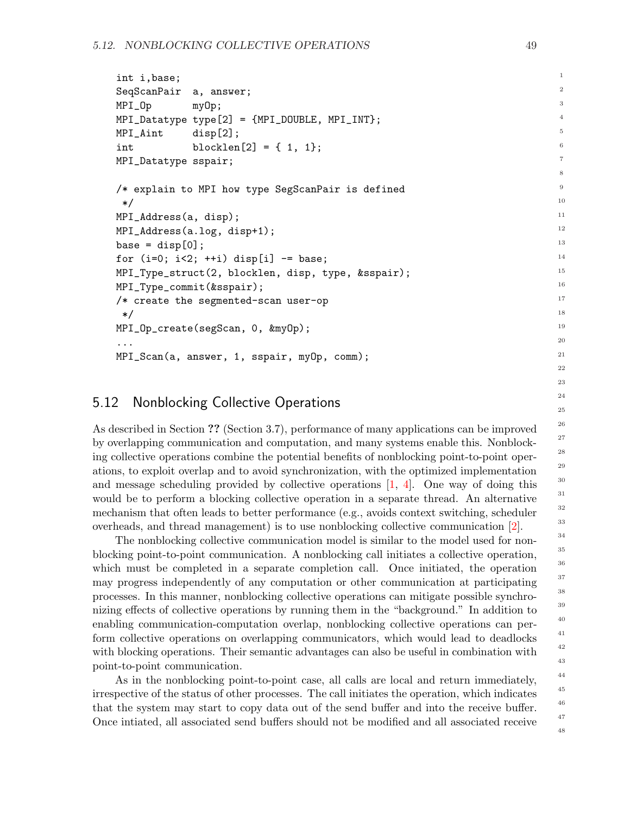```
int i,base;
SeqScanPair a, answer;
MPI_Op myOp;
MPI_Datatype type[2] = {MPI_DOUBLE, MPI_INT};
MPI_Aint disp[2];
int blocklen[2] = \{ 1, 1 \};MPI_Datatype sspair;
/* explain to MPI how type SegScanPair is defined
 */
MPI_Address(a, disp);
MPI_Address(a.log, disp+1);
base = disp[0];for (i=0; i<2; ++i) disp[i] -= base;
MPI_Type_struct(2, blocklen, disp, type, &sspair);
MPI_Type_commit(&sspair);
/* create the segmented-scan user-op
 */
MPI_Op_create(segScan, 0, &myOp);
...
MPI_Scan(a, answer, 1, sspair, myOp, comm);
```
## 5.12 Nonblocking Collective Operations

As described in Section ?? (Section 3.7), performance of many applications can be improved by overlapping communication and computation, and many systems enable this. Nonblocking collective operations combine the potential benefits of nonblocking point-to-point operations, to exploit overlap and to avoid synchronization, with the optimized implementation and message scheduling provided by collective operations  $[1, 4]$  $[1, 4]$ . One way of doing this would be to perform a blocking collective operation in a separate thread. An alternative mechanism that often leads to better performance (e.g., avoids context switching, scheduler overheads, and thread management) is to use nonblocking collective communication [\[2\]](#page-75-2).

The nonblocking collective communication model is similar to the model used for nonblocking point-to-point communication. A nonblocking call initiates a collective operation, which must be completed in a separate completion call. Once initiated, the operation may progress independently of any computation or other communication at participating processes. In this manner, nonblocking collective operations can mitigate possible synchronizing effects of collective operations by running them in the "background." In addition to enabling communication-computation overlap, nonblocking collective operations can perform collective operations on overlapping communicators, which would lead to deadlocks with blocking operations. Their semantic advantages can also be useful in combination with point-to-point communication.

As in the nonblocking point-to-point case, all calls are local and return immediately, irrespective of the status of other processes. The call initiates the operation, which indicates that the system may start to copy data out of the send buffer and into the receive buffer. Once intiated, all associated send buffers should not be modified and all associated receive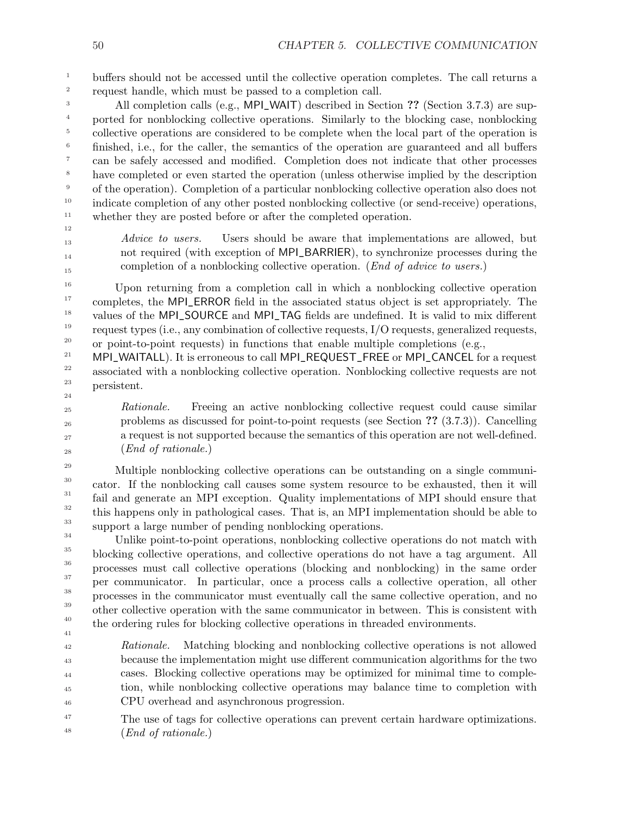buffers should not be accessed until the collective operation completes. The call returns a request handle, which must be passed to a completion call. 1 2

All completion calls (e.g., MPL WAIT) described in Section ?? (Section 3.7.3) are supported for nonblocking collective operations. Similarly to the blocking case, nonblocking collective operations are considered to be complete when the local part of the operation is finished, i.e., for the caller, the semantics of the operation are guaranteed and all buffers can be safely accessed and modified. Completion does not indicate that other processes have completed or even started the operation (unless otherwise implied by the description of the operation). Completion of a particular nonblocking collective operation also does not indicate completion of any other posted nonblocking collective (or send-receive) operations, whether they are posted before or after the completed operation. 3 4 5 6 7 8 9 10 11

12 13

14 15

Advice to users. Users should be aware that implementations are allowed, but not required (with exception of MPI\_BARRIER), to synchronize processes during the completion of a nonblocking collective operation. (End of advice to users.)

Upon returning from a completion call in which a nonblocking collective operation completes, the MPI\_ERROR field in the associated status object is set appropriately. The values of the MPI\_SOURCE and MPI\_TAG fields are undefined. It is valid to mix different request types (i.e., any combination of collective requests, I/O requests, generalized requests, or point-to-point requests) in functions that enable multiple completions (e.g., 16 17 18 19 20

MPI\_WAITALL). It is erroneous to call MPI\_REQUEST\_FREE or MPI\_CANCEL for a request associated with a nonblocking collective operation. Nonblocking collective requests are not persistent. 21 22 23 24

Rationale. Freeing an active nonblocking collective request could cause similar problems as discussed for point-to-point requests (see Section ?? (3.7.3)). Cancelling a request is not supported because the semantics of this operation are not well-defined. (End of rationale.)

Multiple nonblocking collective operations can be outstanding on a single communicator. If the nonblocking call causes some system resource to be exhausted, then it will fail and generate an MPI exception. Quality implementations of MPI should ensure that this happens only in pathological cases. That is, an MPI implementation should be able to support a large number of pending nonblocking operations. 29 30 31 32 33

Unlike point-to-point operations, nonblocking collective operations do not match with blocking collective operations, and collective operations do not have a tag argument. All processes must call collective operations (blocking and nonblocking) in the same order per communicator. In particular, once a process calls a collective operation, all other processes in the communicator must eventually call the same collective operation, and no other collective operation with the same communicator in between. This is consistent with the ordering rules for blocking collective operations in threaded environments. 34 35 36 37 38 39 40 41

Rationale. Matching blocking and nonblocking collective operations is not allowed because the implementation might use different communication algorithms for the two cases. Blocking collective operations may be optimized for minimal time to completion, while nonblocking collective operations may balance time to completion with CPU overhead and asynchronous progression. 42 43 44 45 46

The use of tags for collective operations can prevent certain hardware optimizations. (End of rationale.) 47 48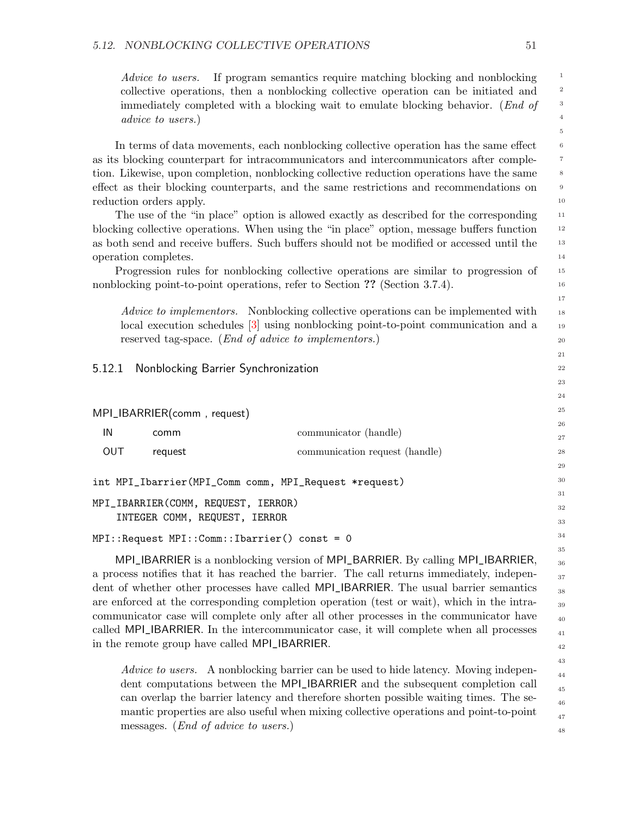Advice to users. If program semantics require matching blocking and nonblocking collective operations, then a nonblocking collective operation can be initiated and immediately completed with a blocking wait to emulate blocking behavior. (End of advice to users.)

In terms of data movements, each nonblocking collective operation has the same effect as its blocking counterpart for intracommunicators and intercommunicators after completion. Likewise, upon completion, nonblocking collective reduction operations have the same effect as their blocking counterparts, and the same restrictions and recommendations on reduction orders apply.

The use of the "in place" option is allowed exactly as described for the corresponding blocking collective operations. When using the "in place" option, message buffers function as both send and receive buffers. Such buffers should not be modified or accessed until the operation completes.

Progression rules for nonblocking collective operations are similar to progression of nonblocking point-to-point operations, refer to Section ?? (Section 3.7.4).

Advice to implementors. Nonblocking collective operations can be implemented with local execution schedules [\[3\]](#page-75-3) using nonblocking point-to-point communication and a reserved tag-space. (End of advice to implementors.)

### 5.12.1 Nonblocking Barrier Synchronization

```
MPI_IBARRIER(comm , request)
```

| IN  | comm    | communicator (handle)                                 |
|-----|---------|-------------------------------------------------------|
| OUT | request | communication request (handle)                        |
|     |         | int MPI_Ibarrier(MPI_Comm comm, MPI_Request *request) |

MPI\_IBARRIER(COMM, REQUEST, IERROR)

INTEGER COMM, REQUEST, IERROR

```
MPI::Request MPI::Comm::Ibarrier() const = 0
```
MPI\_IBARRIER is a nonblocking version of MPI\_BARRIER. By calling MPI\_IBARRIER, a process notifies that it has reached the barrier. The call returns immediately, independent of whether other processes have called MPI\_IBARRIER. The usual barrier semantics are enforced at the corresponding completion operation (test or wait), which in the intracommunicator case will complete only after all other processes in the communicator have called MPI\_IBARRIER. In the intercommunicator case, it will complete when all processes in the remote group have called MPI\_IBARRIER.

Advice to users. A nonblocking barrier can be used to hide latency. Moving independent computations between the MPI\_IBARRIER and the subsequent completion call can overlap the barrier latency and therefore shorten possible waiting times. The semantic properties are also useful when mixing collective operations and point-to-point messages. (End of advice to users.)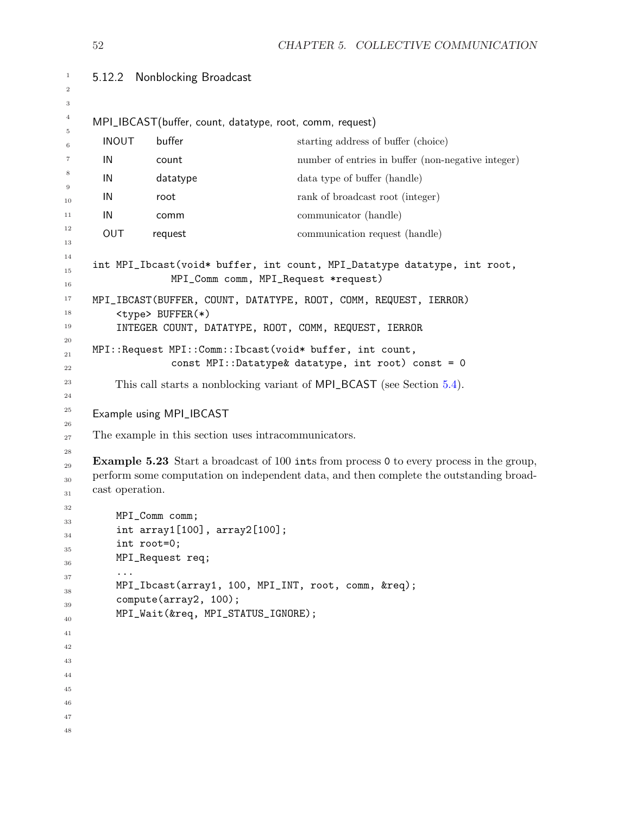```
5.12.2 Nonblocking Broadcast
     MPI_IBCAST(buffer, count, datatype, root, comm, request)
      INOUT buffer starting address of buffer (choice)
      IN count number of entries in buffer (non-negative integer)
      IN datatype data type of buffer (handle)
      IN root rank of broadcast root (integer)
      IN communicator (handle)
      OUT request communication request (handle)
     int MPI_Ibcast(void* buffer, int count, MPI_Datatype datatype, int root,
                  MPI_Comm comm, MPI_Request *request)
     MPI_IBCAST(BUFFER, COUNT, DATATYPE, ROOT, COMM, REQUEST, IERROR)
         <type> BUFFER(*)
         INTEGER COUNT, DATATYPE, ROOT, COMM, REQUEST, IERROR
     MPI::Request MPI::Comm::Ibcast(void* buffer, int count,
                  const MPI::Datatype& datatype, int root) const = 0
         This call starts a nonblocking variant of MPI_BCAST (see Section 5.4).
     Example using MPI_IBCAST
     The example in this section uses intracommunicators.
     Example 5.23 Start a broadcast of 100 ints from process 0 to every process in the group,
     perform some computation on independent data, and then complete the outstanding broad-
     cast operation.
         MPI_Comm comm;
         int array1[100], array2[100];
         int root=0;
         MPI_Request req;
         ...
         MPI_Ibcast(array1, 100, MPI_INT, root, comm, &req);
         compute(array2, 100);
         MPI_Wait(&req, MPI_STATUS_IGNORE);
1
2
3
4
5
6
7
8
9
10
11
12
13
14
15
16
17
18
19
20
21
22
23
24
25
26
27
28
29
30
31
32
33
34
35
36
37
38
39
40
41
42
43
44
45
46
47
48
```
CHAPTER 5. COLLECTIVE COMMUNICATION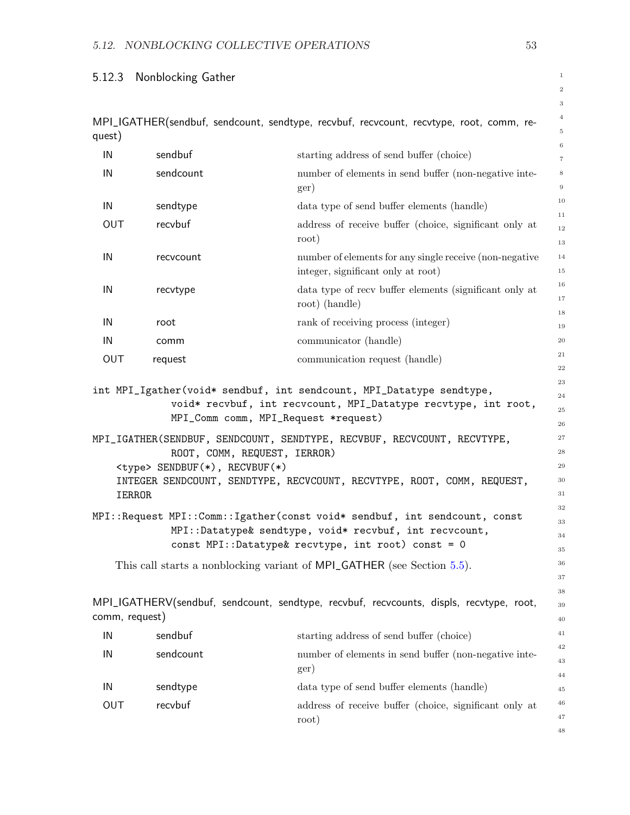# 5.12.3 Nonblocking Gather

|                |                                      |                                                                                                         | $\,2$                      |
|----------------|--------------------------------------|---------------------------------------------------------------------------------------------------------|----------------------------|
|                |                                      | MPI_IGATHER(sendbuf, sendcount, sendtype, recvbuf, recvcount, recvtype, root, comm, re-                 | $\,3$<br>$\overline{4}$    |
| quest)         |                                      |                                                                                                         | $\,$ 5                     |
| IN             | sendbuf                              | starting address of send buffer (choice)                                                                | $\,6$<br>$\scriptstyle{7}$ |
| IN             | sendcount                            | number of elements in send buffer (non-negative inte-                                                   | $\,8\,$                    |
|                |                                      | ger)                                                                                                    | $\,9$                      |
| IN             | sendtype                             | data type of send buffer elements (handle)                                                              | 10<br>$1\,1$               |
| <b>OUT</b>     | recvbuf                              | address of receive buffer (choice, significant only at<br>root)                                         | 12<br>13                   |
| IN             | recvcount                            | number of elements for any single receive (non-negative<br>integer, significant only at root)           | 14<br>$15\,$               |
| IN             | recvtype                             | data type of recy buffer elements (significant only at<br>root) (handle)                                | 16<br>$17\,$               |
| IN             | root                                 | rank of receiving process (integer)                                                                     | 18<br>19                   |
| IN             | comm                                 | communicator (handle)                                                                                   | $\rm 20$                   |
| OUT            | request                              | communication request (handle)                                                                          | $\bf{21}$                  |
|                |                                      |                                                                                                         | $\bf{^{22}}$               |
|                |                                      | int MPI_Igather(void* sendbuf, int sendcount, MPI_Datatype sendtype,                                    | $\bf 23$                   |
|                |                                      | void* recvbuf, int recvcount, MPI_Datatype recvtype, int root,<br>MPI_Comm comm, MPI_Request *request)  | 24<br>$\bf 25$             |
|                |                                      |                                                                                                         | 26<br>$\sqrt{27}$          |
|                |                                      | MPI_IGATHER(SENDBUF, SENDCOUNT, SENDTYPE, RECVBUF, RECVCOUNT, RECVTYPE,<br>ROOT, COMM, REQUEST, IERROR) | 28                         |
|                | <type> SENDBUF(*), RECVBUF(*)</type> |                                                                                                         | 29                         |
| IERROR         |                                      | INTEGER SENDCOUNT, SENDTYPE, RECVCOUNT, RECVTYPE, ROOT, COMM, REQUEST,                                  | 30<br>31                   |
|                |                                      | MPI::Request MPI::Comm::Igather(const void* sendbuf, int sendcount, const                               | 32                         |
|                |                                      | MPI::Datatype& sendtype, void* recvbuf, int recvcount,                                                  | 33<br>34                   |
|                |                                      | const MPI::Datatype& recvtype, int root) const = 0                                                      | 35                         |
|                |                                      | This call starts a nonblocking variant of MPI_GATHER (see Section 5.5).                                 | 36                         |
|                |                                      |                                                                                                         | 37                         |
| comm, request) |                                      | MPI_IGATHERV(sendbuf, sendcount, sendtype, recvbuf, recvcounts, displs, recvtype, root,                 | 38<br>39<br>40             |
| IN             | sendbuf                              | starting address of send buffer (choice)                                                                | 41                         |
|                |                                      |                                                                                                         | 42                         |
| IN             | sendcount                            | number of elements in send buffer (non-negative inte-<br>ger)                                           | 43<br>44                   |
| IN             | sendtype                             | data type of send buffer elements (handle)                                                              | 45                         |
| OUT            | recvbuf                              | address of receive buffer (choice, significant only at                                                  | 46                         |
|                |                                      | root)                                                                                                   | 47                         |
|                |                                      |                                                                                                         | 48                         |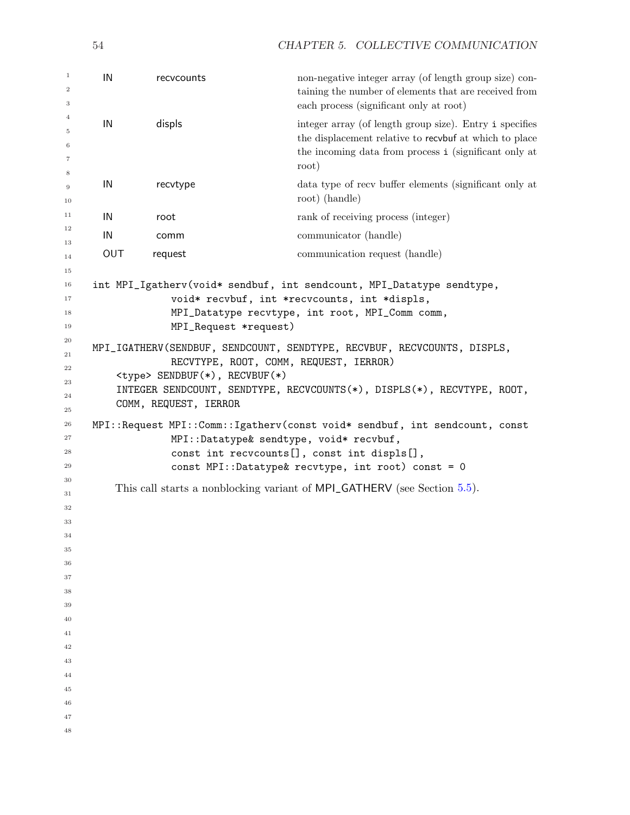```
54 CHAPTER 5. COLLECTIVE COMMUNICATION
 IN recvcounts non-negative integer array (of length group size) con-
                                 taining the number of elements that are received from
                                 each process (significant only at root)
 IN displs integer array (of length group size). Entry i specifies
                                 the displacement relative to recvbuf at which to place
                                 the incoming data from process i (significant only at
                                 root)
 IN recvtype data type of recv buffer elements (significant only at
                                 root) (handle)
 IN root rank of receiving process (integer)
 IN communicator (handle)
 OUT request communication request (handle)
int MPI_Igatherv(void* sendbuf, int sendcount, MPI_Datatype sendtype,
            void* recvbuf, int *recvcounts, int *displs,
            MPI_Datatype recvtype, int root, MPI_Comm comm,
            MPI_Request *request)
MPI_IGATHERV(SENDBUF, SENDCOUNT, SENDTYPE, RECVBUF, RECVCOUNTS, DISPLS,
            RECVTYPE, ROOT, COMM, REQUEST, IERROR)
   <type> SENDBUF(*), RECVBUF(*)
   INTEGER SENDCOUNT, SENDTYPE, RECVCOUNTS(*), DISPLS(*), RECVTYPE, ROOT,
   COMM, REQUEST, IERROR
MPI::Request MPI::Comm::Igatherv(const void* sendbuf, int sendcount, const
            MPI::Datatype& sendtype, void* recvbuf,
            const int recvcounts[], const int displs[],
            const MPI::Datatype& recvtype, int root) const = 0
   This call starts a nonblocking variant of MPI_GATHERV (see Section 5.5).
```
- 
-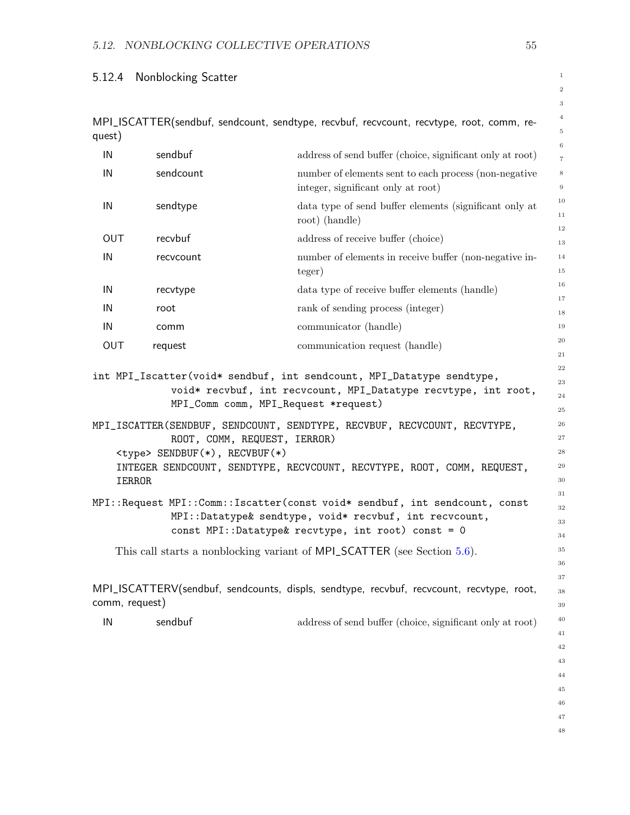## 5.12.4 Nonblocking Scatter

IERROR

|        | MPI_ISCATTER(sendbuf, sendcount, sendtype, recvbuf, recvcount, recvtype, root, comm, re- |  |  |  |  |
|--------|------------------------------------------------------------------------------------------|--|--|--|--|
| quest) |                                                                                          |  |  |  |  |

|     |           |                                                                       | 6              |
|-----|-----------|-----------------------------------------------------------------------|----------------|
| IN  | sendbuf   | address of send buffer (choice, significant only at root)             | $\overline{7}$ |
| IN  | sendcount | number of elements sent to each process (non-negative                 | $\,$ 8 $\,$    |
|     |           | integer, significant only at root)                                    | $\overline{9}$ |
| IN  | sendtype  | data type of send buffer elements (significant only at                | 10             |
|     |           | root) (handle)                                                        | 11             |
|     | recvbuf   |                                                                       | 12             |
| OUT |           | address of receive buffer (choice)                                    | 13             |
| IN  | recvcount | number of elements in receive buffer (non-negative in-                | 14             |
|     |           | teger)                                                                | $15\,$         |
| IN  | recvtype  | data type of receive buffer elements (handle)                         | 16             |
| IN  | root      | rank of sending process (integer)                                     | 17             |
|     |           |                                                                       | 18             |
| IN  | comm      | communicator (handle)                                                 | 19             |
| OUT | request   | communication request (handle)                                        | $20\,$         |
|     |           |                                                                       | $\sqrt{21}$    |
|     |           | int MPI_Iscatter(void* sendbuf, int sendcount, MPI_Datatype sendtype, | 22             |
|     |           |                                                                       | 23             |

void\* recvbuf, int recvcount, MPI\_Datatype recvtype, int root, MPI\_Comm comm, MPI\_Request \*request)

MPI\_ISCATTER(SENDBUF, SENDCOUNT, SENDTYPE, RECVBUF, RECVCOUNT, RECVTYPE, ROOT, COMM, REQUEST, IERROR) <type> SENDBUF(\*), RECVBUF(\*) INTEGER SENDCOUNT, SENDTYPE, RECVCOUNT, RECVTYPE, ROOT, COMM, REQUEST,

MPI::Request MPI::Comm::Iscatter(const void\* sendbuf, int sendcount, const MPI::Datatype& sendtype, void\* recvbuf, int recvcount, const MPI::Datatype& recvtype, int root) const = 0

This call starts a nonblocking variant of MPI\_SCATTER (see Section [5.6\)](#page-22-0).

MPI\_ISCATTERV(sendbuf, sendcounts, displs, sendtype, recvbuf, recvcount, recvtype, root, comm, request)

| - IN | sendbuf | address of send buffer (choice, significant only at root) |
|------|---------|-----------------------------------------------------------|
|------|---------|-----------------------------------------------------------|

 

>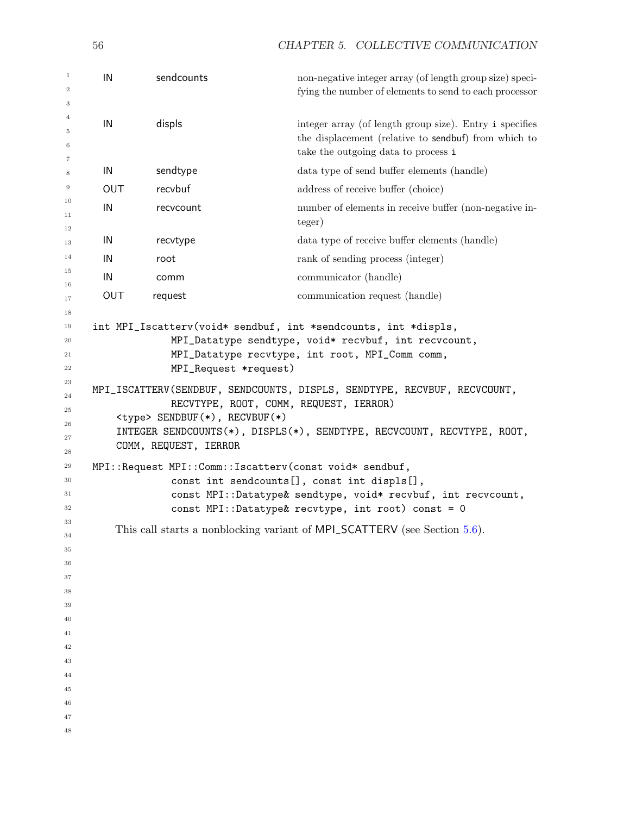IN sendcounts non-negative integer array (of length group size) specifying the number of elements to send to each processor IN displs integer array (of length group size). Entry i specifies the displacement (relative to sendbuf) from which to take the outgoing data to process i IN sendtype data type of send buffer elements (handle) OUT recvbuf recview address of receive buffer (choice) IN recvcount number of elements in receive buffer (non-negative integer) IN recvtype data type of receive buffer elements (handle) IN root rank of sending process (integer) IN communicator (handle) OUT request communication request (handle) int MPI\_Iscatterv(void\* sendbuf, int \*sendcounts, int \*displs, MPI\_Datatype sendtype, void\* recvbuf, int recvcount, MPI\_Datatype recvtype, int root, MPI\_Comm comm, MPI\_Request \*request) MPI\_ISCATTERV(SENDBUF, SENDCOUNTS, DISPLS, SENDTYPE, RECVBUF, RECVCOUNT, RECVTYPE, ROOT, COMM, REQUEST, IERROR) <type> SENDBUF(\*), RECVBUF(\*) INTEGER SENDCOUNTS(\*), DISPLS(\*), SENDTYPE, RECVCOUNT, RECVTYPE, ROOT, COMM, REQUEST, IERROR MPI::Request MPI::Comm::Iscatterv(const void\* sendbuf, const int sendcounts[], const int displs[], const MPI::Datatype& sendtype, void\* recvbuf, int recvcount, const MPI::Datatype& recvtype, int root) const = 0 This call starts a nonblocking variant of MPI\_SCATTERV (see Section [5.6\)](#page-22-0).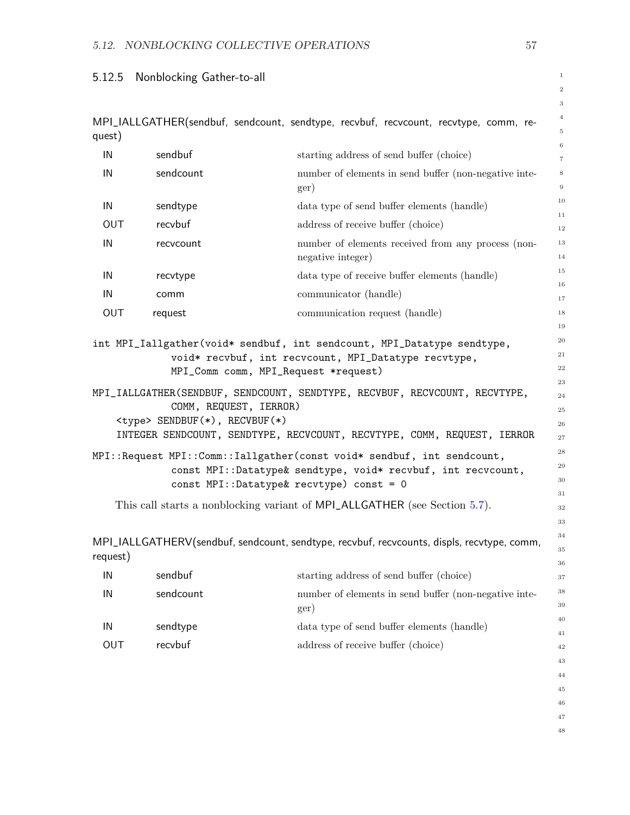# 5.12.5 Nonblocking Gather-to-all

|            |                                                                |                                                                                                                                                                                                                                                                                                                                                                                                                                                                                                                           | $\,2$<br>$\,3$                                                       |
|------------|----------------------------------------------------------------|---------------------------------------------------------------------------------------------------------------------------------------------------------------------------------------------------------------------------------------------------------------------------------------------------------------------------------------------------------------------------------------------------------------------------------------------------------------------------------------------------------------------------|----------------------------------------------------------------------|
| quest)     |                                                                | MPI_IALLGATHER(sendbuf, sendcount, sendtype, recvbuf, recvcount, recvtype, comm, re-                                                                                                                                                                                                                                                                                                                                                                                                                                      | $\,4$<br>$\,$ 5                                                      |
| IN         | sendbuf                                                        | starting address of send buffer (choice)                                                                                                                                                                                                                                                                                                                                                                                                                                                                                  | $\,6$                                                                |
| IN         | sendcount                                                      | number of elements in send buffer (non-negative inte-<br>ger)                                                                                                                                                                                                                                                                                                                                                                                                                                                             | $\scriptstyle{7}$<br>8<br>$9\,$                                      |
| IN         | sendtype                                                       | data type of send buffer elements (handle)                                                                                                                                                                                                                                                                                                                                                                                                                                                                                | 10                                                                   |
| <b>OUT</b> | recvbuf                                                        | address of receive buffer (choice)                                                                                                                                                                                                                                                                                                                                                                                                                                                                                        | 11<br>$12\,$                                                         |
| IN         | recvcount                                                      | number of elements received from any process (non-<br>negative integer)                                                                                                                                                                                                                                                                                                                                                                                                                                                   | 13<br>14                                                             |
| IN         | recvtype                                                       | data type of receive buffer elements (handle)                                                                                                                                                                                                                                                                                                                                                                                                                                                                             | 15                                                                   |
| IN         | comm                                                           | communicator (handle)                                                                                                                                                                                                                                                                                                                                                                                                                                                                                                     | 16<br>17                                                             |
| OUT        | request                                                        | communication request (handle)                                                                                                                                                                                                                                                                                                                                                                                                                                                                                            | 18                                                                   |
|            | COMM, REQUEST, IERROR)<br><type> SENDBUF(*), RECVBUF(*)</type> | void* recvbuf, int recvcount, MPI_Datatype recvtype,<br>MPI_Comm comm, MPI_Request *request)<br>MPI_IALLGATHER(SENDBUF, SENDCOUNT, SENDTYPE, RECVBUF, RECVCOUNT, RECVTYPE,<br>INTEGER SENDCOUNT, SENDTYPE, RECVCOUNT, RECVTYPE, COMM, REQUEST, IERROR<br>MPI::Request MPI::Comm::Iallgather(const void* sendbuf, int sendcount,<br>const MPI::Datatype& sendtype, void* recvbuf, int recvcount,<br>const MPI::Datatype& recvtype) const = 0<br>This call starts a nonblocking variant of MPI_ALLGATHER (see Section 5.7). | 22<br>23<br>24<br>25<br>26<br>27<br>$\bf 28$<br>29<br>30<br>31<br>32 |
|            |                                                                |                                                                                                                                                                                                                                                                                                                                                                                                                                                                                                                           | 33                                                                   |
| request)   |                                                                | MPI_IALLGATHERV(sendbuf, sendcount, sendtype, recvbuf, recvcounts, displs, recvtype, comm,                                                                                                                                                                                                                                                                                                                                                                                                                                | 34<br>35<br>36                                                       |
| IN         | sendbuf                                                        | starting address of send buffer (choice)                                                                                                                                                                                                                                                                                                                                                                                                                                                                                  | 37                                                                   |
| IN         | sendcount                                                      | number of elements in send buffer (non-negative inte-<br>ger)                                                                                                                                                                                                                                                                                                                                                                                                                                                             | 38<br>39                                                             |
| IN         | sendtype                                                       | data type of send buffer elements (handle)                                                                                                                                                                                                                                                                                                                                                                                                                                                                                | 40                                                                   |
| OUT        | recvbuf                                                        | address of receive buffer (choice)                                                                                                                                                                                                                                                                                                                                                                                                                                                                                        | 41<br>42                                                             |
|            |                                                                |                                                                                                                                                                                                                                                                                                                                                                                                                                                                                                                           | 43                                                                   |
|            |                                                                |                                                                                                                                                                                                                                                                                                                                                                                                                                                                                                                           | 44                                                                   |
|            |                                                                |                                                                                                                                                                                                                                                                                                                                                                                                                                                                                                                           | 45                                                                   |
|            |                                                                |                                                                                                                                                                                                                                                                                                                                                                                                                                                                                                                           | 46                                                                   |
|            |                                                                |                                                                                                                                                                                                                                                                                                                                                                                                                                                                                                                           | 47                                                                   |

1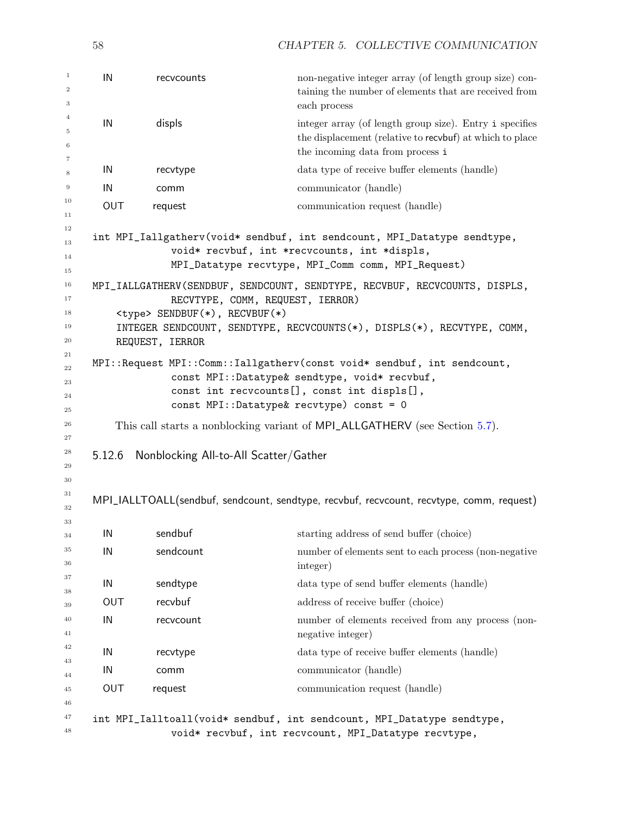| $\mathbf{1}$<br>$\boldsymbol{2}$<br>3 | IN         | recvcounts                                               | non-negative integer array (of length group size) con-<br>taining the number of elements that are received from<br>each process                                                                                     |
|---------------------------------------|------------|----------------------------------------------------------|---------------------------------------------------------------------------------------------------------------------------------------------------------------------------------------------------------------------|
| $\overline{4}$<br>5<br>6<br>7         | IN         | displs                                                   | integer array (of length group size). Entry i specifies<br>the displacement (relative to recvbuf) at which to place<br>the incoming data from process i                                                             |
| 8                                     | IN         | recvtype                                                 | data type of receive buffer elements (handle)                                                                                                                                                                       |
| 9                                     | IN         | comm                                                     | communicator (handle)                                                                                                                                                                                               |
| 10<br>11                              | <b>OUT</b> | request                                                  | communication request (handle)                                                                                                                                                                                      |
| 12<br>13<br>14<br>15                  |            |                                                          | int MPI_Iallgatherv(void* sendbuf, int sendcount, MPI_Datatype sendtype,<br>void* recvbuf, int *recvcounts, int *displs,<br>MPI_Datatype recvtype, MPI_Comm comm, MPI_Request)                                      |
| 16<br>17<br>18<br>19<br>20            |            | <type> SENDBUF(*), RECVBUF(*)<br/>REQUEST, IERROR</type> | MPI_IALLGATHERV(SENDBUF, SENDCOUNT, SENDTYPE, RECVBUF, RECVCOUNTS, DISPLS,<br>RECVTYPE, COMM, REQUEST, IERROR)<br>INTEGER SENDCOUNT, SENDTYPE, RECVCOUNTS(*), DISPLS(*), RECVTYPE, COMM,                            |
| 21<br>22<br>23<br>24<br>25            |            |                                                          | MPI::Request MPI::Comm::Iallgatherv(const void* sendbuf, int sendcount,<br>const MPI::Datatype& sendtype, void* recvbuf,<br>const int recvcounts[], const int displs[],<br>const MPI::Datatype& recvtype) const = 0 |
| 26<br>27<br>28<br>29<br>30            | 5.12.6     | Nonblocking All-to-All Scatter/Gather                    | This call starts a nonblocking variant of MPI_ALLGATHERV (see Section 5.7).                                                                                                                                         |
| 31<br>32                              |            |                                                          | MPI_IALLTOALL(sendbuf, sendcount, sendtype, recvbuf, recvcount, recvtype, comm, request)                                                                                                                            |
| 33<br>34                              | IN         | sendbuf                                                  | starting address of send buffer (choice)                                                                                                                                                                            |
| 35<br>36                              | IN         | sendcount                                                | number of elements sent to each process (non-negative<br>integer)                                                                                                                                                   |
| 37                                    | IN         | sendtype                                                 | data type of send buffer elements (handle)                                                                                                                                                                          |
| 38<br>39                              | <b>OUT</b> | recvbuf                                                  | address of receive buffer (choice)                                                                                                                                                                                  |
| 40<br>41                              | IN         | recvcount                                                | number of elements received from any process (non-<br>negative integer)                                                                                                                                             |
| 42                                    | IN         | recvtype                                                 | data type of receive buffer elements (handle)                                                                                                                                                                       |
| 43<br>44                              | IN         | comm                                                     | communicator (handle)                                                                                                                                                                                               |
| 45<br>46                              | <b>OUT</b> | request                                                  | communication request (handle)                                                                                                                                                                                      |
| 47<br>48                              |            |                                                          | int MPI_Ialltoall(void* sendbuf, int sendcount, MPI_Datatype sendtype,<br>void* recvbuf, int recvcount, MPI_Datatype recvtype,                                                                                      |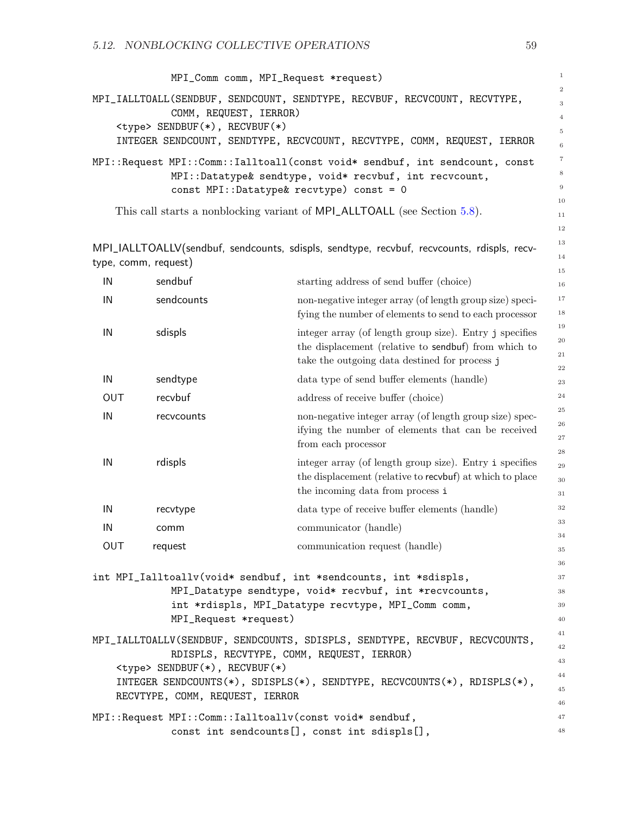|     |                                      | MPI_Comm comm, MPI_Request *request)                                                                                     | $1\,$               |
|-----|--------------------------------------|--------------------------------------------------------------------------------------------------------------------------|---------------------|
|     |                                      | MPI_IALLTOALL(SENDBUF, SENDCOUNT, SENDTYPE, RECVBUF, RECVCOUNT, RECVTYPE,                                                | $\,2$               |
|     | COMM, REQUEST, IERROR)               |                                                                                                                          | 3<br>$\,4\,$        |
|     | <type> SENDBUF(*), RECVBUF(*)</type> |                                                                                                                          | 5                   |
|     |                                      | INTEGER SENDCOUNT, SENDTYPE, RECVCOUNT, RECVTYPE, COMM, REQUEST, IERROR                                                  | $\,6$               |
|     |                                      | MPI::Request MPI::Comm::Ialltoall(const void* sendbuf, int sendcount, const                                              | $\scriptstyle{7}$   |
|     |                                      | MPI::Datatype& sendtype, void* recvbuf, int recvcount,                                                                   | 8                   |
|     |                                      | const MPI::Datatype& recvtype) const = 0                                                                                 | 9                   |
|     |                                      | This call starts a nonblocking variant of MPI_ALLTOALL (see Section 5.8).                                                | 10                  |
|     |                                      |                                                                                                                          | 11<br>$12\,$        |
|     |                                      |                                                                                                                          | 13                  |
|     |                                      | MPI_IALLTOALLV(sendbuf, sendcounts, sdispls, sendtype, recvbuf, recvcounts, rdispls, recv-                               | 14                  |
|     | type, comm, request)                 |                                                                                                                          | $15\,$              |
| IN  | sendbuf                              | starting address of send buffer (choice)                                                                                 | 16                  |
| IN  | sendcounts                           | non-negative integer array (of length group size) speci-                                                                 | $1\,7$              |
|     |                                      | fying the number of elements to send to each processor                                                                   | $18\,$              |
| IN  | sdispls                              | integer array (of length group size). Entry j specifies                                                                  | 19                  |
|     |                                      | the displacement (relative to sendbuf) from which to                                                                     | $20\,$<br>$\bf{21}$ |
|     |                                      | take the outgoing data destined for process j                                                                            | $\bf{^{22}}$        |
| IN  | sendtype                             | data type of send buffer elements (handle)                                                                               | 23                  |
| OUT | recvbuf                              | address of receive buffer (choice)                                                                                       | 24                  |
| IN  | recvcounts                           | non-negative integer array (of length group size) spec-                                                                  | $\bf 25$            |
|     |                                      | ifying the number of elements that can be received                                                                       | $\bf 26$            |
|     |                                      | from each processor                                                                                                      | 27<br>$\sqrt{28}$   |
| IN  | rdispls                              | integer array (of length group size). Entry i specifies                                                                  | $\sqrt{29}$         |
|     |                                      | the displacement (relative to recvbuf) at which to place                                                                 | $30\,$              |
|     |                                      | the incoming data from process i                                                                                         | 31                  |
| IN  | recvtype                             | data type of receive buffer elements (handle)                                                                            | 32                  |
| IN  | comm                                 | communicator (handle)                                                                                                    | 33                  |
| OUT | request                              | communication request (handle)                                                                                           | 34                  |
|     |                                      |                                                                                                                          | 35                  |
|     |                                      | int MPI_Ialltoallv(void* sendbuf, int *sendcounts, int *sdispls,                                                         | 36<br>37            |
|     |                                      | MPI_Datatype sendtype, void* recvbuf, int *recvcounts,                                                                   | 38                  |
|     |                                      | int *rdispls, MPI_Datatype recvtype, MPI_Comm comm,                                                                      | $39\,$              |
|     | MPI_Request *request)                |                                                                                                                          | 40                  |
|     |                                      |                                                                                                                          | 41                  |
|     |                                      | MPI_IALLTOALLV(SENDBUF, SENDCOUNTS, SDISPLS, SENDTYPE, RECVBUF, RECVCOUNTS,<br>RDISPLS, RECVTYPE, COMM, REQUEST, IERROR) | 42                  |
|     | <type> SENDBUF(*), RECVBUF(*)</type> |                                                                                                                          | 43                  |
|     |                                      |                                                                                                                          | 44                  |

INTEGER SENDCOUNTS(\*), SDISPLS(\*), SENDTYPE, RECVCOUNTS(\*), RDISPLS(\*), RECVTYPE, COMM, REQUEST, IERROR

MPI::Request MPI::Comm::Ialltoallv(const void\* sendbuf, const int sendcounts[], const int sdispls[],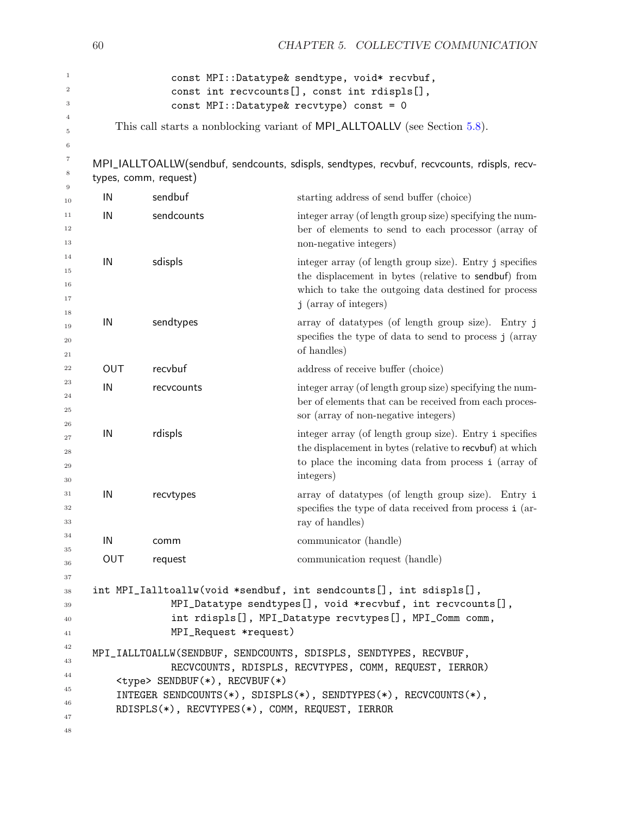|                                        | 60         |                                                                                          | CHAPTER 5. COLLECTIVE COMMUNICATION                                                                                                                                                              |
|----------------------------------------|------------|------------------------------------------------------------------------------------------|--------------------------------------------------------------------------------------------------------------------------------------------------------------------------------------------------|
| $\mathbf{1}$<br>$\boldsymbol{2}$<br>3  |            |                                                                                          | const MPI::Datatype& sendtype, void* recvbuf,<br>const int recvcounts[], const int rdispls[],<br>const MPI::Datatype& recvtype) const = 0                                                        |
| 4<br>5<br>6                            |            |                                                                                          | This call starts a nonblocking variant of MPI_ALLTOALLV (see Section 5.8).                                                                                                                       |
| 7<br>8                                 |            | types, comm, request)                                                                    | MPI_IALLTOALLW(sendbuf, sendcounts, sdispls, sendtypes, recvbuf, recvcounts, rdispls, recv-                                                                                                      |
| $\overline{9}$<br>10                   | IN         | sendbuf                                                                                  | starting address of send buffer (choice)                                                                                                                                                         |
| 11<br>12<br>13                         | IN         | sendcounts                                                                               | integer array (of length group size) specifying the num-<br>ber of elements to send to each processor (array of<br>non-negative integers)                                                        |
| 14<br>15<br>16<br>17                   | IN         | sdispls                                                                                  | integer array (of length group size). Entry j specifies<br>the displacement in bytes (relative to sendbuf) from<br>which to take the outgoing data destined for process<br>j (array of integers) |
| 18<br>19<br>20<br>21                   | IN         | sendtypes                                                                                | array of datatypes (of length group size). Entry j<br>specifies the type of data to send to process j (array<br>of handles)                                                                      |
| 22                                     | OUT        | recvbuf                                                                                  | address of receive buffer (choice)                                                                                                                                                               |
| 23<br>24<br>25                         | IN         | recvcounts                                                                               | integer array (of length group size) specifying the num-<br>ber of elements that can be received from each proces-<br>sor (array of non-negative integers)                                       |
| 26<br>27<br>28<br>29<br>30             | IN         | rdispls                                                                                  | integer array (of length group size). Entry i specifies<br>the displacement in bytes (relative to recvbuf) at which<br>to place the incoming data from process i (array of<br>integers)          |
| 31<br>32<br>33                         | IN         | recvtypes                                                                                | array of datatypes (of length group size). Entry i<br>specifies the type of data received from process i (ar-<br>ray of handles)                                                                 |
| 34                                     | IN         | comm                                                                                     | communicator (handle)                                                                                                                                                                            |
| 35<br>36                               | <b>OUT</b> | request                                                                                  | communication request (handle)                                                                                                                                                                   |
| 37<br>38<br>39<br>40<br>41             |            | MPI_Request *request)                                                                    | int MPI_Ialltoallw(void *sendbuf, int sendcounts[], int sdispls[],<br>MPI_Datatype sendtypes[], void *recvbuf, int recvcounts[],<br>int rdispls[], MPI_Datatype recvtypes[], MPI_Comm comm,      |
| 42<br>43<br>44<br>45<br>46<br>47<br>48 |            | <type> SENDBUF(*), RECVBUF(*)<br/>RDISPLS(*), RECVTYPES(*), COMM, REQUEST, IERROR</type> | MPI_IALLTOALLW(SENDBUF, SENDCOUNTS, SDISPLS, SENDTYPES, RECVBUF,<br>RECVCOUNTS, RDISPLS, RECVTYPES, COMM, REQUEST, IERROR)<br>INTEGER SENDCOUNTS(*), SDISPLS(*), SENDTYPES(*), RECVCOUNTS(*),    |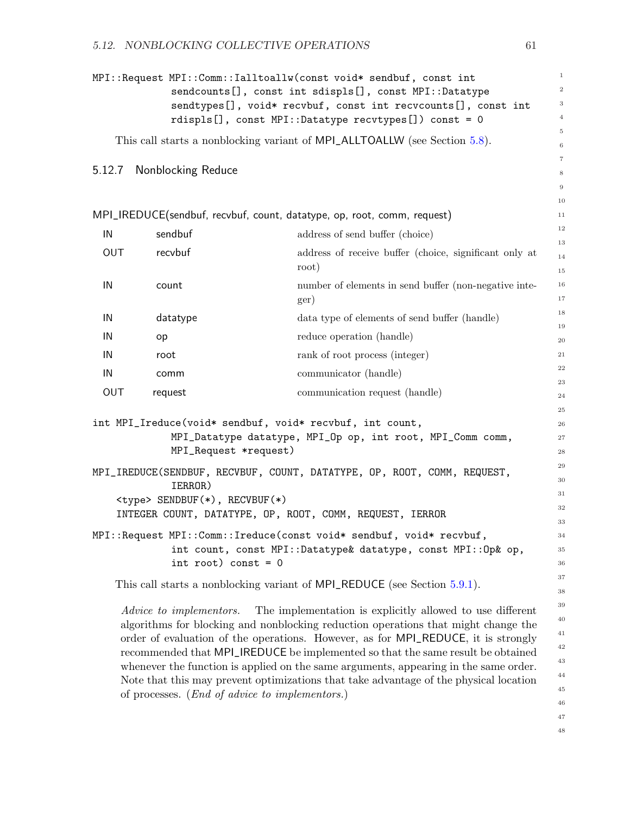| $1\,$<br>MPI::Request MPI::Comm::Ialltoallw(const void* sendbuf, const int<br>$\,2$<br>sendcounts[], const int sdispls[], const MPI::Datatype |                                                                |                                                                                                                                                                                                                                                                                                                                                                                                                 |                            |  |
|-----------------------------------------------------------------------------------------------------------------------------------------------|----------------------------------------------------------------|-----------------------------------------------------------------------------------------------------------------------------------------------------------------------------------------------------------------------------------------------------------------------------------------------------------------------------------------------------------------------------------------------------------------|----------------------------|--|
|                                                                                                                                               |                                                                | sendtypes[], void* recvbuf, const int recvcounts[], const int                                                                                                                                                                                                                                                                                                                                                   | $\,$ 3 $\,$                |  |
|                                                                                                                                               |                                                                | rdispls[], const MPI::Datatype recvtypes[]) const = 0                                                                                                                                                                                                                                                                                                                                                           | $\,4$<br>$\,$ 5            |  |
|                                                                                                                                               |                                                                | This call starts a nonblocking variant of MPI_ALLTOALLW (see Section 5.8).                                                                                                                                                                                                                                                                                                                                      | 6                          |  |
|                                                                                                                                               |                                                                |                                                                                                                                                                                                                                                                                                                                                                                                                 | $\,7$                      |  |
|                                                                                                                                               | 5.12.7 Nonblocking Reduce                                      |                                                                                                                                                                                                                                                                                                                                                                                                                 | $\,$ 8 $\,$                |  |
|                                                                                                                                               |                                                                |                                                                                                                                                                                                                                                                                                                                                                                                                 | $\overline{9}$             |  |
|                                                                                                                                               |                                                                |                                                                                                                                                                                                                                                                                                                                                                                                                 | 10                         |  |
|                                                                                                                                               |                                                                | MPI_IREDUCE(sendbuf, recvbuf, count, datatype, op, root, comm, request)                                                                                                                                                                                                                                                                                                                                         | 11<br>$12\,$               |  |
| IN                                                                                                                                            | sendbuf                                                        | address of send buffer (choice)                                                                                                                                                                                                                                                                                                                                                                                 | 13                         |  |
| OUT                                                                                                                                           | recvbuf                                                        | address of receive buffer (choice, significant only at<br>root)                                                                                                                                                                                                                                                                                                                                                 | 14<br>$15\,$               |  |
| IN                                                                                                                                            | count                                                          | number of elements in send buffer (non-negative inte-<br>ger)                                                                                                                                                                                                                                                                                                                                                   | 16<br>$17\,$               |  |
| IN                                                                                                                                            | datatype                                                       | data type of elements of send buffer (handle)                                                                                                                                                                                                                                                                                                                                                                   | 18                         |  |
| IN                                                                                                                                            | op                                                             | reduce operation (handle)                                                                                                                                                                                                                                                                                                                                                                                       | 19                         |  |
| IN                                                                                                                                            | root                                                           | rank of root process (integer)                                                                                                                                                                                                                                                                                                                                                                                  | $20\,$<br>21               |  |
|                                                                                                                                               |                                                                |                                                                                                                                                                                                                                                                                                                                                                                                                 | 22                         |  |
| IN                                                                                                                                            | comm                                                           | communicator (handle)                                                                                                                                                                                                                                                                                                                                                                                           | $\bf 23$                   |  |
| OUT                                                                                                                                           | request                                                        | communication request (handle)                                                                                                                                                                                                                                                                                                                                                                                  | 24                         |  |
|                                                                                                                                               |                                                                |                                                                                                                                                                                                                                                                                                                                                                                                                 | $\bf 25$                   |  |
|                                                                                                                                               |                                                                | int MPI_Ireduce(void* sendbuf, void* recvbuf, int count,<br>MPI_Datatype datatype, MPI_Op op, int root, MPI_Comm comm,                                                                                                                                                                                                                                                                                          | 26<br>$\sqrt{27}$          |  |
|                                                                                                                                               | MPI_Request *request)                                          |                                                                                                                                                                                                                                                                                                                                                                                                                 | 28                         |  |
|                                                                                                                                               |                                                                |                                                                                                                                                                                                                                                                                                                                                                                                                 | 29                         |  |
|                                                                                                                                               | IERROR)                                                        | MPI_IREDUCE(SENDBUF, RECVBUF, COUNT, DATATYPE, OP, ROOT, COMM, REQUEST,                                                                                                                                                                                                                                                                                                                                         | 30                         |  |
| 31<br><type> SENDBUF(*), RECVBUF(*)</type>                                                                                                    |                                                                |                                                                                                                                                                                                                                                                                                                                                                                                                 |                            |  |
|                                                                                                                                               | 32<br>INTEGER COUNT, DATATYPE, OP, ROOT, COMM, REQUEST, IERROR |                                                                                                                                                                                                                                                                                                                                                                                                                 |                            |  |
| 33<br>MPI::Request MPI::Comm::Ireduce(const void* sendbuf, void* recvbuf,                                                                     |                                                                |                                                                                                                                                                                                                                                                                                                                                                                                                 |                            |  |
|                                                                                                                                               |                                                                | int count, const MPI::Datatype& datatype, const MPI::Op& op,                                                                                                                                                                                                                                                                                                                                                    | 34<br>35                   |  |
|                                                                                                                                               | int root) const = $0$                                          |                                                                                                                                                                                                                                                                                                                                                                                                                 | 36                         |  |
|                                                                                                                                               | 37                                                             |                                                                                                                                                                                                                                                                                                                                                                                                                 |                            |  |
|                                                                                                                                               |                                                                | This call starts a nonblocking variant of MPI_REDUCE (see Section 5.9.1).                                                                                                                                                                                                                                                                                                                                       | 38                         |  |
|                                                                                                                                               | <i>Advice to implementors.</i>                                 | The implementation is explicitly allowed to use different<br>algorithms for blocking and nonblocking reduction operations that might change the<br>order of evaluation of the operations. However, as for MPI_REDUCE, it is strongly<br>recommended that MPI_IREDUCE be implemented so that the same result be obtained<br>whenever the function is applied on the same arguments, appearing in the same order. | 39<br>40<br>41<br>42<br>43 |  |
|                                                                                                                                               | 44                                                             |                                                                                                                                                                                                                                                                                                                                                                                                                 |                            |  |

Note that this may prevent optimizations that take advantage of the physical location

of processes. (End of advice to implementors.)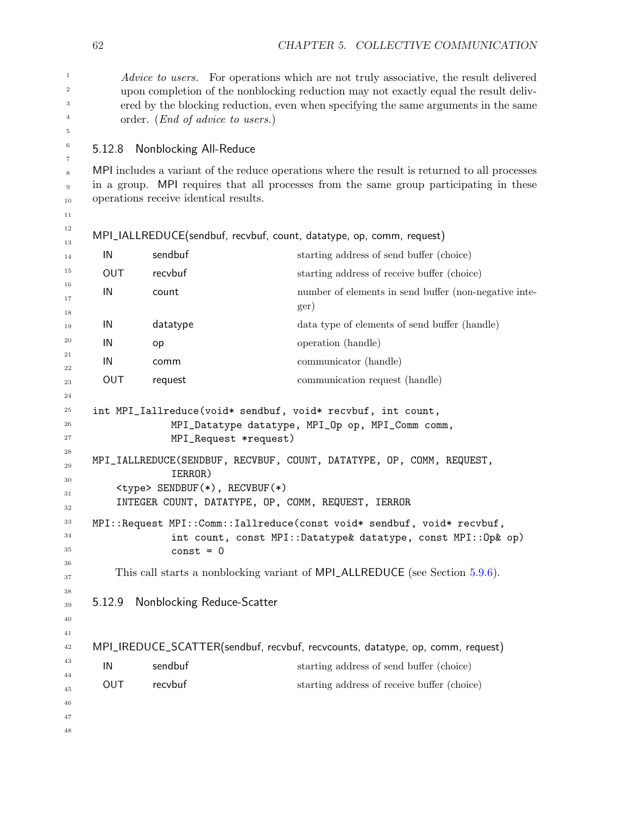Advice to users. For operations which are not truly associative, the result delivered upon completion of the nonblocking reduction may not exactly equal the result delivered by the blocking reduction, even when specifying the same arguments in the same order. (End of advice to users.)

5.12.8 Nonblocking All-Reduce

MPI includes a variant of the reduce operations where the result is returned to all processes in a group. MPI requires that all processes from the same group participating in these operations receive identical results.

```
MPI_IALLREDUCE(sendbuf, recvbuf, count, datatype, op, comm, request)
```

```
IN sendbuf starting address of send buffer (choice)
      OUT recvbuf starting address of receive buffer (choice)
      IN count number of elements in send buffer (non-negative inte-
                                      ger)
      IN datatype data type of elements of send buffer (handle)
      IN op operation (handle)
      IN communicator (handle)
      OUT request communication request (handle)
    int MPI_Iallreduce(void* sendbuf, void* recvbuf, int count,
                 MPI_Datatype datatype, MPI_Op op, MPI_Comm comm,
                 MPI_Request *request)
    MPI_IALLREDUCE(SENDBUF, RECVBUF, COUNT, DATATYPE, OP, COMM, REQUEST,
                 IERROR)
        <type> SENDBUF(*), RECVBUF(*)
        INTEGER COUNT, DATATYPE, OP, COMM, REQUEST, IERROR
    MPI::Request MPI::Comm::Iallreduce(const void* sendbuf, void* recvbuf,
                 int count, const MPI::Datatype& datatype, const MPI::Op& op)
                 const = 0This call starts a nonblocking variant of MPI_ALLREDUCE (see Section 5.9.6).
    5.12.9 Nonblocking Reduce-Scatter
    MPI_IREDUCE_SCATTER(sendbuf, recvbuf, recvcounts, datatype, op, comm, request)
      IN sendbuf starting address of send buffer (choice)
      OUT recvbuf recvies contains address of receive buffer (choice)
14
15
16
17
18
19
20
21
22
23
24
25
26
27
28
29
30
31
32
33
34
35
36
37
38
39
40
41
42
43
44
45
46
47
48
```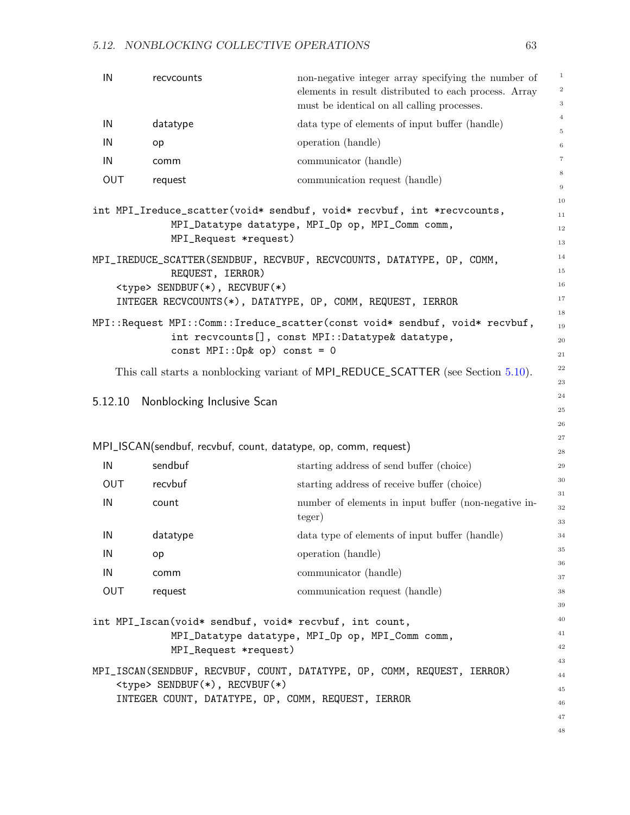| IN                                                 | recycounts                                                                    | non-negative integer array specifying the number of<br>elements in result distributed to each process. Array<br>must be identical on all calling processes. | $\mathbf{1}$<br>$\,2$<br>$\,3$ |  |
|----------------------------------------------------|-------------------------------------------------------------------------------|-------------------------------------------------------------------------------------------------------------------------------------------------------------|--------------------------------|--|
| IN                                                 | datatype                                                                      | data type of elements of input buffer (handle)                                                                                                              | $\overline{4}$                 |  |
| IN                                                 |                                                                               | operation (handle)                                                                                                                                          | $\,$ 5                         |  |
|                                                    | op                                                                            |                                                                                                                                                             | $\,6$<br>$\scriptstyle{7}$     |  |
| IN                                                 | comm                                                                          | communicator (handle)                                                                                                                                       | $\,$ 8 $\,$                    |  |
| OUT                                                | request                                                                       | communication request (handle)                                                                                                                              | $\,9$                          |  |
|                                                    |                                                                               | int MPI_Ireduce_scatter(void* sendbuf, void* recvbuf, int *recvcounts,                                                                                      | 10                             |  |
|                                                    |                                                                               | MPI_Datatype datatype, MPI_Op op, MPI_Comm comm,                                                                                                            | 11<br>12                       |  |
|                                                    | MPI_Request *request)                                                         |                                                                                                                                                             |                                |  |
|                                                    |                                                                               | MPI_IREDUCE_SCATTER(SENDBUF, RECVBUF, RECVCOUNTS, DATATYPE, OP, COMM,                                                                                       | 14                             |  |
|                                                    | REQUEST, IERROR)                                                              |                                                                                                                                                             | 15                             |  |
|                                                    | <type> SENDBUF(*), RECVBUF(*)</type>                                          |                                                                                                                                                             | 16<br>17                       |  |
|                                                    |                                                                               | INTEGER RECVCOUNTS(*), DATATYPE, OP, COMM, REQUEST, IERROR                                                                                                  | 18                             |  |
|                                                    |                                                                               | MPI::Request MPI::Comm::Ireduce_scatter(const void* sendbuf, void* recvbuf,                                                                                 | 19                             |  |
|                                                    | const $MPI::Op& op)$ const = 0                                                | int recvcounts[], const MPI::Datatype& datatype,                                                                                                            | 20                             |  |
|                                                    |                                                                               |                                                                                                                                                             | 21<br>22                       |  |
|                                                    |                                                                               | This call starts a nonblocking variant of MPI_REDUCE_SCATTER (see Section 5.10).                                                                            | 23                             |  |
| 5.12.10                                            | Nonblocking Inclusive Scan                                                    |                                                                                                                                                             | 24                             |  |
|                                                    |                                                                               |                                                                                                                                                             | 25                             |  |
|                                                    |                                                                               |                                                                                                                                                             | 26<br>27                       |  |
|                                                    | MPI_ISCAN(sendbuf, recvbuf, count, datatype, op, comm, request)               |                                                                                                                                                             | 28                             |  |
| IN                                                 | sendbuf                                                                       | starting address of send buffer (choice)                                                                                                                    | 29                             |  |
| <b>OUT</b>                                         | recvbuf                                                                       | starting address of receive buffer (choice)                                                                                                                 | 30                             |  |
| IN                                                 | count                                                                         | number of elements in input buffer (non-negative in-                                                                                                        | 31<br>32                       |  |
|                                                    |                                                                               | teger)                                                                                                                                                      | 33                             |  |
| IN                                                 | datatype                                                                      | data type of elements of input buffer (handle)                                                                                                              | 34                             |  |
| IN                                                 | op                                                                            | operation (handle)                                                                                                                                          | $35\,$                         |  |
| IN                                                 | comm                                                                          | communicator (handle)                                                                                                                                       | 36<br>37                       |  |
| OUT                                                | request                                                                       | communication request (handle)                                                                                                                              | 38                             |  |
|                                                    |                                                                               |                                                                                                                                                             | 39                             |  |
|                                                    | int MPI_Iscan(void* sendbuf, void* recvbuf, int count,                        |                                                                                                                                                             | 40                             |  |
|                                                    |                                                                               | MPI_Datatype datatype, MPI_Op op, MPI_Comm comm,                                                                                                            | 41<br>42                       |  |
|                                                    | MPI_Request *request)                                                         |                                                                                                                                                             | 43                             |  |
|                                                    | MPI_ISCAN(SENDBUF, RECVBUF, COUNT, DATATYPE, OP, COMM, REQUEST, IERROR)<br>44 |                                                                                                                                                             |                                |  |
|                                                    | <type> SENDBUF(*), RECVBUF(*)</type>                                          |                                                                                                                                                             | 45                             |  |
| INTEGER COUNT, DATATYPE, OP, COMM, REQUEST, IERROR |                                                                               |                                                                                                                                                             | 46                             |  |
|                                                    |                                                                               |                                                                                                                                                             | 47<br>48                       |  |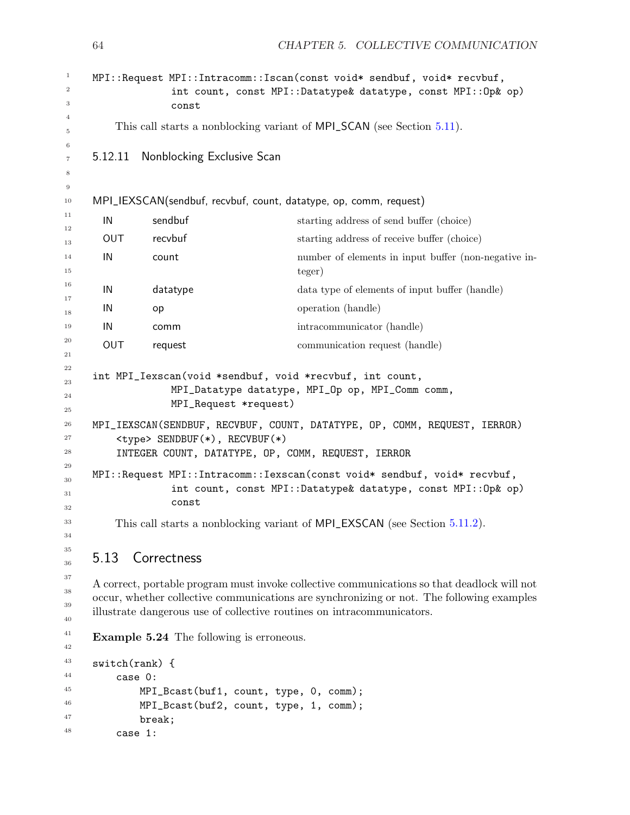|                                                                        | const                                           | MPI::Request MPI::Intracomm::Iscan(const void* sendbuf, void* recvbuf,<br>int count, const MPI::Datatype& datatype, const MPI::Op& op)                                                                                                                             |
|------------------------------------------------------------------------|-------------------------------------------------|--------------------------------------------------------------------------------------------------------------------------------------------------------------------------------------------------------------------------------------------------------------------|
| This call starts a nonblocking variant of MPI_SCAN (see Section 5.11). |                                                 |                                                                                                                                                                                                                                                                    |
| 5.12.11                                                                | <b>Nonblocking Exclusive Scan</b>               |                                                                                                                                                                                                                                                                    |
|                                                                        |                                                 | MPI_IEXSCAN(sendbuf, recvbuf, count, datatype, op, comm, request)                                                                                                                                                                                                  |
| IN                                                                     | sendbuf                                         | starting address of send buffer (choice)                                                                                                                                                                                                                           |
| <b>OUT</b>                                                             | recvbuf                                         | starting address of receive buffer (choice)                                                                                                                                                                                                                        |
| IN                                                                     | count                                           | number of elements in input buffer (non-negative in-<br>teger)                                                                                                                                                                                                     |
| IN                                                                     | datatype                                        | data type of elements of input buffer (handle)                                                                                                                                                                                                                     |
| IN                                                                     | op                                              | operation (handle)                                                                                                                                                                                                                                                 |
| IN                                                                     | comm                                            | intracommunicator (handle)                                                                                                                                                                                                                                         |
| <b>OUT</b>                                                             | request                                         | communication request (handle)                                                                                                                                                                                                                                     |
|                                                                        | MPI_Request *request)                           | int MPI_Iexscan(void *sendbuf, void *recvbuf, int count,<br>MPI_Datatype datatype, MPI_Op op, MPI_Comm comm,                                                                                                                                                       |
|                                                                        | <type> SENDBUF(*), RECVBUF(*)</type>            | MPI_IEXSCAN(SENDBUF, RECVBUF, COUNT, DATATYPE, OP, COMM, REQUEST, IERROR)<br>INTEGER COUNT, DATATYPE, OP, COMM, REQUEST, IERROR                                                                                                                                    |
|                                                                        | const                                           | MPI:: Request MPI:: Intracomm:: Iexscan (const void* sendbuf, void* recvbuf,<br>int count, const MPI::Datatype& datatype, const MPI::Op& op)                                                                                                                       |
|                                                                        |                                                 | This call starts a nonblocking variant of MPI_EXSCAN (see Section 5.11.2).                                                                                                                                                                                         |
| 5.13                                                                   | Correctness                                     |                                                                                                                                                                                                                                                                    |
|                                                                        |                                                 | A correct, portable program must invoke collective communications so that deadlock will not<br>occur, whether collective communications are synchronizing or not. The following examples<br>illustrate dangerous use of collective routines on intracommunicators. |
|                                                                        | <b>Example 5.24</b> The following is erroneous. |                                                                                                                                                                                                                                                                    |
| $switch(rank)$ {                                                       |                                                 |                                                                                                                                                                                                                                                                    |
|                                                                        | case 0:                                         |                                                                                                                                                                                                                                                                    |
|                                                                        |                                                 | MPT $Rcast(huff1, count, true, 0, comm):$                                                                                                                                                                                                                          |

```
MPI_Bcast(buf1, count, type, 0, comm);
   MPI_Bcast(buf2, count, type, 1, comm);
   break;
case 1:
```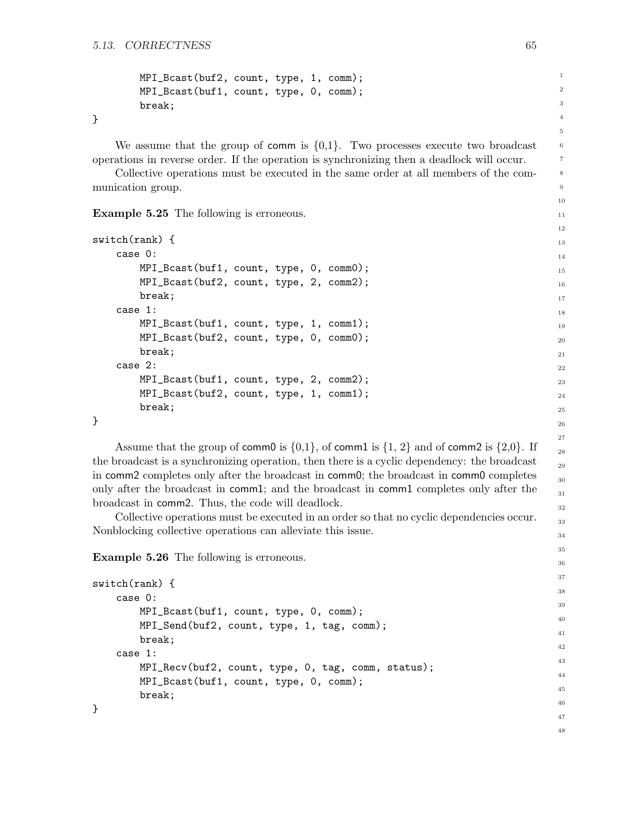```
MPI_Bcast(buf2, count, type, 1, comm);
MPI_Bcast(buf1, count, type, 0, comm);
break;
```
}

We assume that the group of comm is  $\{0,1\}$ . Two processes execute two broadcast operations in reverse order. If the operation is synchronizing then a deadlock will occur.

Collective operations must be executed in the same order at all members of the communication group.

Example 5.25 The following is erroneous.

```
switch(rank) {
   case 0:
       MPI_Bcast(buf1, count, type, 0, comm0);
       MPI_Bcast(buf2, count, type, 2, comm2);
       break;
   case 1:
       MPI_Bcast(buf1, count, type, 1, comm1);
       MPI_Bcast(buf2, count, type, 0, comm0);
       break;
   case 2:
       MPI_Bcast(buf1, count, type, 2, comm2);
       MPI_Bcast(buf2, count, type, 1, comm1);
       break;
}
```
Assume that the group of comm0 is  $\{0,1\}$ , of comm1 is  $\{1, 2\}$  and of comm2 is  $\{2,0\}$ . If the broadcast is a synchronizing operation, then there is a cyclic dependency: the broadcast in comm2 completes only after the broadcast in comm0; the broadcast in comm0 completes only after the broadcast in comm1; and the broadcast in comm1 completes only after the broadcast in comm2. Thus, the code will deadlock.

Collective operations must be executed in an order so that no cyclic dependencies occur. Nonblocking collective operations can alleviate this issue.

Example 5.26 The following is erroneous.

```
switch(rank) {
    case 0:
        MPI_Bcast(buf1, count, type, 0, comm);
        MPI_Send(buf2, count, type, 1, tag, comm);
        break;
    case 1:
        MPI_Recv(buf2, count, type, 0, tag, comm, status);
        MPI_Bcast(buf1, count, type, 0, comm);
        break;
}
```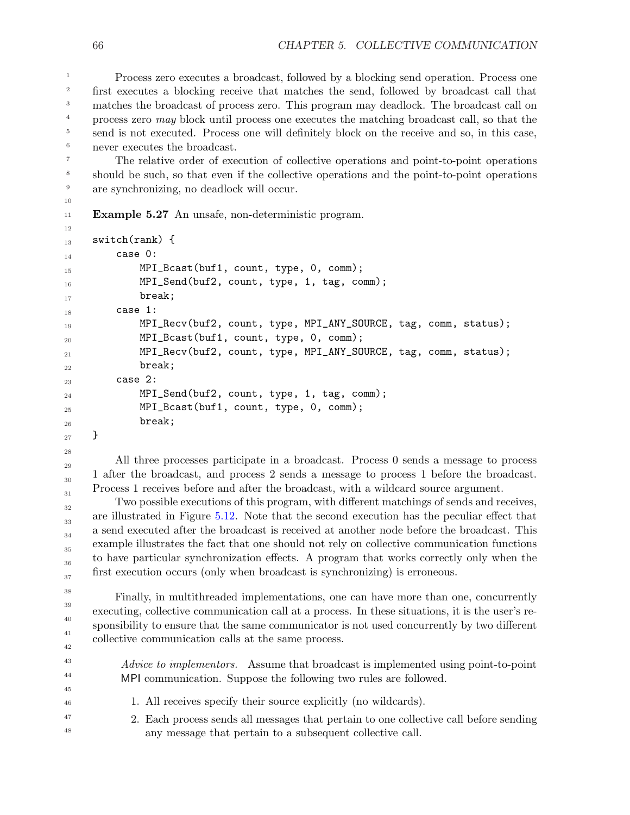Process zero executes a broadcast, followed by a blocking send operation. Process one first executes a blocking receive that matches the send, followed by broadcast call that matches the broadcast of process zero. This program may deadlock. The broadcast call on process zero may block until process one executes the matching broadcast call, so that the send is not executed. Process one will definitely block on the receive and so, in this case, never executes the broadcast. 1 2 3 4 5 6

The relative order of execution of collective operations and point-to-point operations should be such, so that even if the collective operations and the point-to-point operations are synchronizing, no deadlock will occur.

Example 5.27 An unsafe, non-deterministic program.

```
switch(rank) {
         case 0:
             MPI_Bcast(buf1, count, type, 0, comm);
             MPI_Send(buf2, count, type, 1, tag, comm);
             break;
         case 1:
             MPI_Recv(buf2, count, type, MPI_ANY_SOURCE, tag, comm, status);
             MPI_Bcast(buf1, count, type, 0, comm);
             MPI_Recv(buf2, count, type, MPI_ANY_SOURCE, tag, comm, status);
             break;
         case 2:
             MPI_Send(buf2, count, type, 1, tag, comm);
             MPI_Bcast(buf1, count, type, 0, comm);
             break;
     }
12
13
14
15
16
17
18
19
20
21
22
23
24
25
26
```
27 28

All three processes participate in a broadcast. Process 0 sends a message to process 1 after the broadcast, and process 2 sends a message to process 1 before the broadcast. Process 1 receives before and after the broadcast, with a wildcard source argument.

Two possible executions of this program, with different matchings of sends and receives, are illustrated in Figure [5.12.](#page-70-0) Note that the second execution has the peculiar effect that a send executed after the broadcast is received at another node before the broadcast. This example illustrates the fact that one should not rely on collective communication functions to have particular synchronization effects. A program that works correctly only when the first execution occurs (only when broadcast is synchronizing) is erroneous.

Finally, in multithreaded implementations, one can have more than one, concurrently executing, collective communication call at a process. In these situations, it is the user's responsibility to ensure that the same communicator is not used concurrently by two different collective communication calls at the same process.

Advice to implementors. Assume that broadcast is implemented using point-to-point MPI communication. Suppose the following two rules are followed.

- 1. All receives specify their source explicitly (no wildcards).
- 2. Each process sends all messages that pertain to one collective call before sending any message that pertain to a subsequent collective call.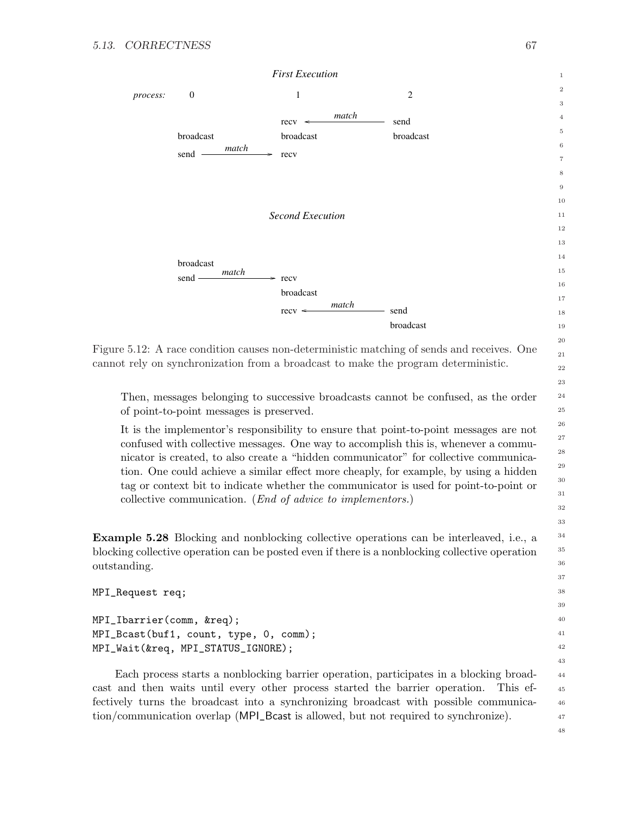

<span id="page-70-0"></span>Figure 5.12: A race condition causes non-deterministic matching of sends and receives. One cannot rely on synchronization from a broadcast to make the program deterministic.

Then, messages belonging to successive broadcasts cannot be confused, as the order of point-to-point messages is preserved.

It is the implementor's responsibility to ensure that point-to-point messages are not confused with collective messages. One way to accomplish this is, whenever a communicator is created, to also create a "hidden communicator" for collective communication. One could achieve a similar effect more cheaply, for example, by using a hidden tag or context bit to indicate whether the communicator is used for point-to-point or collective communication. (End of advice to implementors.)

Example 5.28 Blocking and nonblocking collective operations can be interleaved, i.e., a blocking collective operation can be posted even if there is a nonblocking collective operation outstanding.

```
MPI_Request req;
```
MPI\_Ibarrier(comm, &req); MPI\_Bcast(buf1, count, type, 0, comm); MPI\_Wait(&req, MPI\_STATUS\_IGNORE);

Each process starts a nonblocking barrier operation, participates in a blocking broadcast and then waits until every other process started the barrier operation. This effectively turns the broadcast into a synchronizing broadcast with possible communication/communication overlap (MPI\_Bcast is allowed, but not required to synchronize).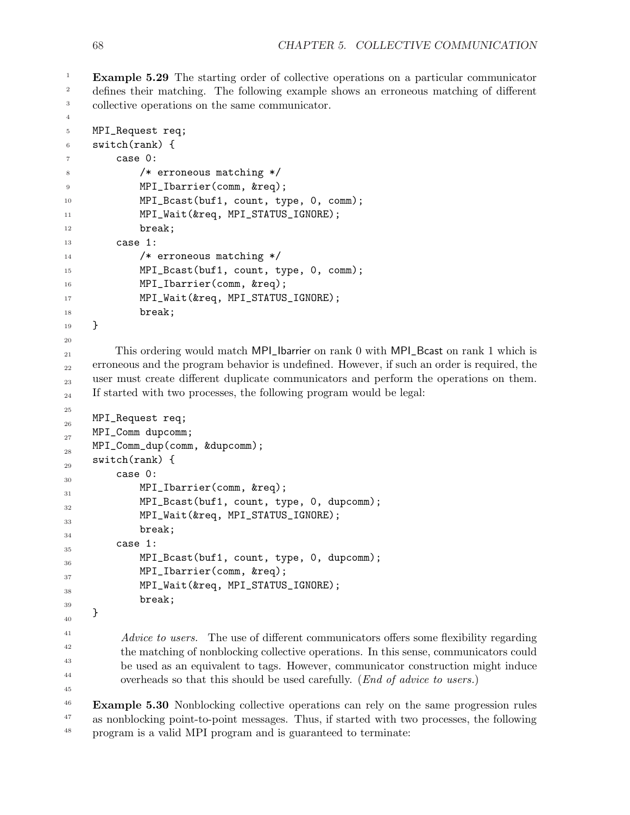4

Example 5.29 The starting order of collective operations on a particular communicator defines their matching. The following example shows an erroneous matching of different collective operations on the same communicator. 1 2 3

```
MPI_Request req;
     switch(rank) {
          case 0:
              /* erroneous matching */
              MPI_Ibarrier(comm, &req);
              MPI_Bcast(buf1, count, type, 0, comm);
              MPI_Wait(&req, MPI_STATUS_IGNORE);
              break;
          case 1:
               /* erroneous matching */
              MPI_Bcast(buf1, count, type, 0, comm);
              MPI_Ibarrier(comm, &req);
              MPI_Wait(&req, MPI_STATUS_IGNORE);
              break;
     }
          This ordering would match MPI_Ibarrier on rank 0 with MPI_Bcast on rank 1 which is
     erroneous and the program behavior is undefined. However, if such an order is required, the
     user must create different duplicate communicators and perform the operations on them.
     If started with two processes, the following program would be legal:
     MPI_Request req;
     MPI_Comm dupcomm;
     MPI_Comm_dup(comm, &dupcomm);
     switch(rank) {
          case 0:
              MPI_Ibarrier(comm, &req);
              MPI_Bcast(buf1, count, type, 0, dupcomm);
              MPI_Wait(&req, MPI_STATUS_IGNORE);
              break;
          case 1:
              MPI_Bcast(buf1, count, type, 0, dupcomm);
              MPI_Ibarrier(comm, &req);
              MPI_Wait(&req, MPI_STATUS_IGNORE);
              break;
     }
           Advice to users. The use of different communicators offers some flexibility regarding
           the matching of nonblocking collective operations. In this sense, communicators could
           be used as an equivalent to tags. However, communicator construction might induce
           overheads so that this should be used carefully. (End of advice to users.)
     Example 5.30 Nonblocking collective operations can rely on the same progression rules
     as nonblocking point-to-point messages. Thus, if started with two processes, the following
     program is a valid MPI program and is guaranteed to terminate:
5
6
7
8
9
10
11
12
13
14
15
16
17
18
19
20
21
22
23
24
25
26
27
2829
30
31
32
33
34
35
36
37
38
39
40
41
42
43
44
45
46
47
48
```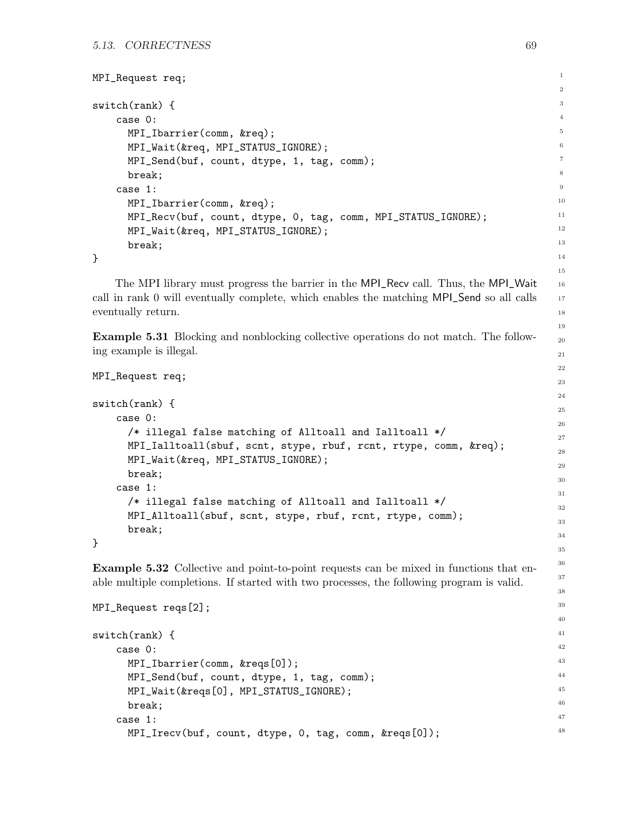```
MPI_Request req;
switch(rank) {
    case 0:
      MPI_Ibarrier(comm, &req);
      MPI_Wait(&req, MPI_STATUS_IGNORE);
      MPI_Send(buf, count, dtype, 1, tag, comm);
      break;
    case 1:
      MPI_Ibarrier(comm, &req);
      MPI_Recv(buf, count, dtype, 0, tag, comm, MPI_STATUS_IGNORE);
      MPI_Wait(&req, MPI_STATUS_IGNORE);
      break;
}
```
The MPI library must progress the barrier in the MPI\_Recv call. Thus, the MPI\_Wait call in rank 0 will eventually complete, which enables the matching MPI\_Send so all calls eventually return.

Example 5.31 Blocking and nonblocking collective operations do not match. The following example is illegal.

```
MPI_Request req;
switch(rank) {
    case 0:
      /* illegal false matching of Alltoall and Ialltoall */
      MPI_Ialltoall(sbuf, scnt, stype, rbuf, rcnt, rtype, comm, &req);
      MPI_Wait(&req, MPI_STATUS_IGNORE);
      break;
    case 1:
      /* illegal false matching of Alltoall and Ialltoall */
      MPI_Alltoall(sbuf, scnt, stype, rbuf, rcnt, rtype, comm);
      break;
}
```
Example 5.32 Collective and point-to-point requests can be mixed in functions that enable multiple completions. If started with two processes, the following program is valid.

```
MPI_Request reqs[2];
switch(rank) {
    case 0:
      MPI_Ibarrier(comm, &reqs[0]);
      MPI_Send(buf, count, dtype, 1, tag, comm);
      MPI_Wait(&reqs[0], MPI_STATUS_IGNORE);
      break;
    case 1:
      MPI_Irecv(buf, count, dtype, 0, tag, comm, &reqs[0]);
```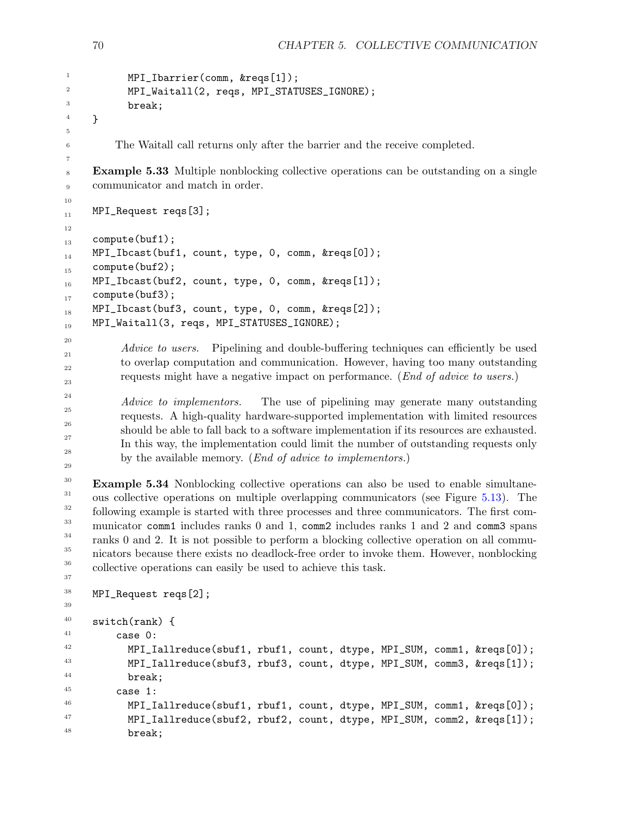```
MPI_Ibarrier(comm, &reqs[1]);
            MPI_Waitall(2, reqs, MPI_STATUSES_IGNORE);
            break;
     }
          The Waitall call returns only after the barrier and the receive completed.
     Example 5.33 Multiple nonblocking collective operations can be outstanding on a single
     communicator and match in order.
     MPI_Request reqs[3];
     compute(buf1);
     MPI_Ibcast(buf1, count, type, 0, comm, &reqs[0]);
     compute(buf2);
     MPI_Ibcast(buf2, count, type, 0, comm, &reqs[1]);
     compute(buf3);
     MPI_Ibcast(buf3, count, type, 0, comm, &reqs[2]);
     MPI_Waitall(3, reqs, MPI_STATUSES_IGNORE);
           Advice to users. Pipelining and double-buffering techniques can efficiently be used
           to overlap computation and communication. However, having too many outstanding
           requests might have a negative impact on performance. (End of advice to users.)
           Advice to implementors. The use of pipelining may generate many outstanding
           requests. A high-quality hardware-supported implementation with limited resources
           should be able to fall back to a software implementation if its resources are exhausted.
           In this way, the implementation could limit the number of outstanding requests only
           by the available memory. (End of advice to implementors.)
     Example 5.34 Nonblocking collective operations can also be used to enable simultane-
     ous collective operations on multiple overlapping communicators (see Figure 5.13). The
     following example is started with three processes and three communicators. The first com-
     municator comm1 includes ranks 0 and 1, comm2 includes ranks 1 and 2 and comm3 spans
     ranks 0 and 2. It is not possible to perform a blocking collective operation on all commu-
     nicators because there exists no deadlock-free order to invoke them. However, nonblocking
     collective operations can easily be used to achieve this task.
     MPI_Request reqs[2];
     switch(rank) {
          case 0:
            MPI_Iallreduce(sbuf1, rbuf1, count, dtype, MPI_SUM, comm1, &reqs[0]);
            MPI_Iallreduce(sbuf3, rbuf3, count, dtype, MPI_SUM, comm3, &reqs[1]);
            break;
          case 1:
            MPI_Iallreduce(sbuf1, rbuf1, count, dtype, MPI_SUM, comm1, &reqs[0]);
            MPI_Iallreduce(sbuf2, rbuf2, count, dtype, MPI_SUM, comm2, &reqs[1]);
            break;
1
2
3
4
5
6
7
8
9
10
11
12
13
14
15
16
17
18
19
20
21
22
23
24
25
26
27
28
29
30
31
32
33
34
35
36
37
38
39
40
41
42
43
44
45
46
47
48
```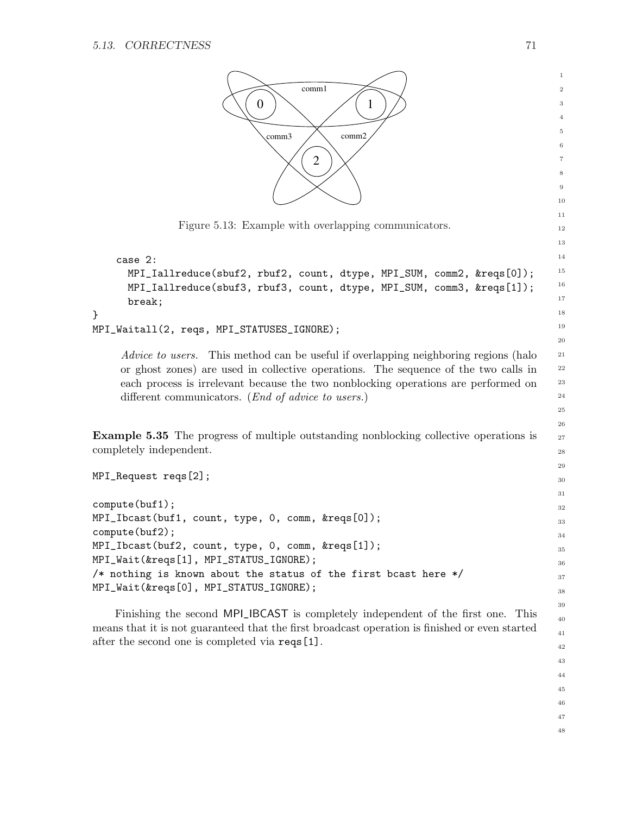<span id="page-74-0"></span>}



Finishing the second MPI\_IBCAST is completely independent of the first one. This means that it is not guaranteed that the first broadcast operation is finished or even started after the second one is completed via reqs[1].